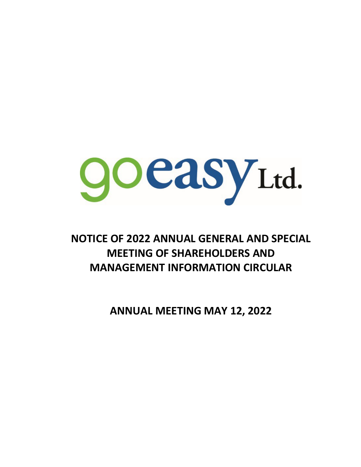

# **NOTICE OF 2022 ANNUAL GENERAL AND SPECIAL MEETING OF SHAREHOLDERS AND MANAGEMENT INFORMATION CIRCULAR**

**ANNUAL MEETING MAY 12, 2022**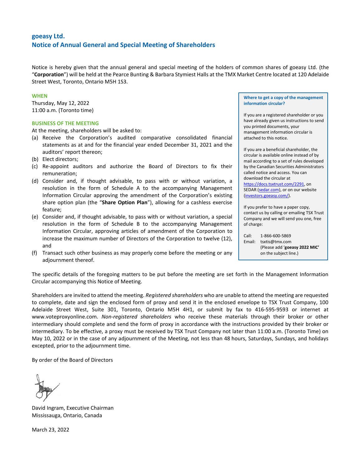# **goeasy Ltd. Notice of Annual General and Special Meeting of Shareholders**

Notice is hereby given that the annual general and special meeting of the holders of common shares of goeasy Ltd. (the "**Corporation**") will be held at the Pearce Bunting & Barbara Stymiest Halls at the TMX Market Centre located at 120 Adelaide Street West, Toronto, Ontario M5H 1S3.

### **WHEN**

Thursday, May 12, 2022 11:00 a.m. (Toronto time)

### **BUSINESS OF THE MEETING**

At the meeting, shareholders will be asked to:

- (a) Receive the Corporation's audited comparative consolidated financial statements as at and for the financial year ended December 31, 2021 and the auditors' report thereon;
- (b) Elect directors;
- (c) Re-appoint auditors and authorize the Board of Directors to fix their remuneration;
- (d) Consider and, if thought advisable, to pass with or without variation, a resolution in the form of Schedule A to the accompanying Management Information Circular approving the amendment of the Corporation's existing share option plan (the "**Share Option Plan**"), allowing for a cashless exercise feature;
- (e) Consider and, if thought advisable, to pass with or without variation, a special resolution in the form of Schedule B to the accompanying Management Information Circular, approving articles of amendment of the Corporation to increase the maximum number of Directors of the Corporation to twelve (12), and
- (f) Transact such other business as may properly come before the meeting or any adjournment thereof.

**Where to get a copy of the management information circular?**

If you are a registered shareholder or you have already given us instructions to send you printed documents, your management information circular is attached to this notice.

If you are a beneficial shareholder, the circular is available online instead of by mail according to a set of rules developed by the Canadian Securities Administrators called notice and access. You can download the circular at https://docs.tsxtrust.com/2291, on SEDAR [\(sedar.com\)](http://www.sedar.com/), or on our website [\(investors.goeasy.com/\)](https://investors.goeasy.com/).

If you prefer to have a paper copy, contact us by calling or emailing TSX Trust Company and we will send you one, free of charge:

Call: 1-866-600-5869 Email: tsxtis@tmx.com (Please add '**goeasy 2022 MIC'**  on the subject line.)

The specific details of the foregoing matters to be put before the meeting are set forth in the Management Information Circular accompanying this Notice of Meeting.

Shareholders are invited to attend the meeting. *Registered shareholders* who are unable to attend the meeting are requested to complete, date and sign the enclosed form of proxy and send it in the enclosed envelope to TSX Trust Company, 100 Adelaide Street West, Suite 301, Toronto, Ontario M5H 4H1, or submit by fax to 416-595-9593 or internet at www.voteproxyonline.com. *Non-registered shareholders* who receive these materials through their broker or other intermediary should complete and send the form of proxy in accordance with the instructions provided by their broker or intermediary. To be effective, a proxy must be received by TSX Trust Company not later than 11:00 a.m. (Toronto Time) on May 10, 2022 or in the case of any adjournment of the Meeting, not less than 48 hours, Saturdays, Sundays, and holidays excepted, prior to the adjournment time.

By order of the Board of Directors

David Ingram, Executive Chairman Mississauga, Ontario, Canada

March 23, 2022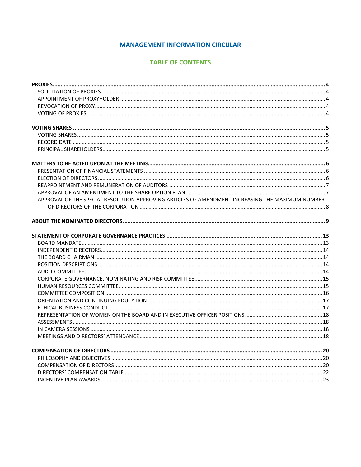# **MANAGEMENT INFORMATION CIRCULAR**

# **TABLE OF CONTENTS**

| APPROVAL OF THE SPECIAL RESOLUTION APPROVING ARTICLES OF AMENDMENT INCREASING THE MAXIMUM NUMBER |  |
|--------------------------------------------------------------------------------------------------|--|
|                                                                                                  |  |
|                                                                                                  |  |
|                                                                                                  |  |
|                                                                                                  |  |
|                                                                                                  |  |
|                                                                                                  |  |
|                                                                                                  |  |
|                                                                                                  |  |
|                                                                                                  |  |
|                                                                                                  |  |
|                                                                                                  |  |
|                                                                                                  |  |
|                                                                                                  |  |
|                                                                                                  |  |
|                                                                                                  |  |
|                                                                                                  |  |
|                                                                                                  |  |
|                                                                                                  |  |
|                                                                                                  |  |
|                                                                                                  |  |
|                                                                                                  |  |
|                                                                                                  |  |
|                                                                                                  |  |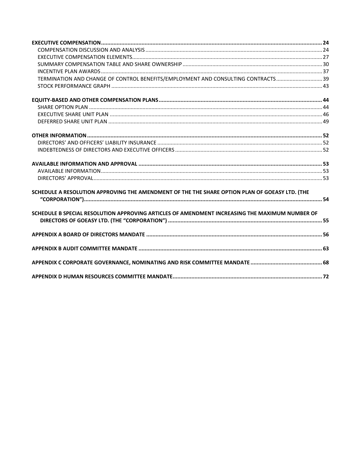| TERMINATION AND CHANGE OF CONTROL BENEFITS/EMPLOYMENT AND CONSULTING CONTRACTS39               |  |
|------------------------------------------------------------------------------------------------|--|
|                                                                                                |  |
|                                                                                                |  |
|                                                                                                |  |
|                                                                                                |  |
|                                                                                                |  |
|                                                                                                |  |
|                                                                                                |  |
|                                                                                                |  |
|                                                                                                |  |
|                                                                                                |  |
|                                                                                                |  |
| SCHEDULE A RESOLUTION APPROVING THE AMENDMENT OF THE THE SHARE OPTION PLAN OF GOEASY LTD. (THE |  |
|                                                                                                |  |
| SCHEDULE B SPECIAL RESOLUTION APPROVING ARTICLES OF AMENDMENT INCREASING THE MAXIMUM NUMBER OF |  |
|                                                                                                |  |
|                                                                                                |  |
|                                                                                                |  |
|                                                                                                |  |
|                                                                                                |  |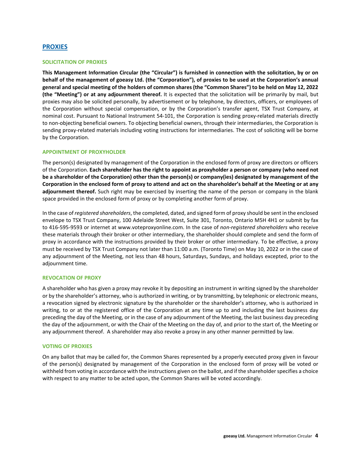### <span id="page-4-0"></span>**PROXIES**

### <span id="page-4-1"></span>**SOLICITATION OF PROXIES**

**This Management Information Circular (the "Circular") is furnished in connection with the solicitation, by or on behalf of the management of goeasy Ltd. (the "Corporation"), of proxies to be used at the Corporation's annual general and special meeting of the holders of common shares (the "Common Shares") to be held on May 12, 2022 (the "Meeting") or at any adjournment thereof.** It is expected that the solicitation will be primarily by mail, but proxies may also be solicited personally, by advertisement or by telephone, by directors, officers, or employees of the Corporation without special compensation, or by the Corporation's transfer agent, TSX Trust Company, at nominal cost. Pursuant to National Instrument 54-101, the Corporation is sending proxy-related materials directly to non-objecting beneficial owners. To objecting beneficial owners, through their intermediaries, the Corporation is sending proxy-related materials including voting instructions for intermediaries. The cost of soliciting will be borne by the Corporation.

#### <span id="page-4-2"></span>**APPOINTMENT OF PROXYHOLDER**

The person(s) designated by management of the Corporation in the enclosed form of proxy are directors or officers of the Corporation. **Each shareholder has the right to appoint as proxyholder a person or company (who need not be a shareholder of the Corporation) other than the person(s) or company(ies) designated by management of the Corporation in the enclosed form of proxy to attend and act on the shareholder's behalf at the Meeting or at any adjournment thereof.** Such right may be exercised by inserting the name of the person or company in the blank space provided in the enclosed form of proxy or by completing another form of proxy.

In the case of *registered shareholders*, the completed, dated, and signed form of proxy should be sent in the enclosed envelope to TSX Trust Company, 100 Adelaide Street West, Suite 301, Toronto, Ontario M5H 4H1 or submit by fax to 416-595-9593 or internet at www.voteproxyonline.com. In the case of *non-registered shareholders* who receive these materials through their broker or other intermediary, the shareholder should complete and send the form of proxy in accordance with the instructions provided by their broker or other intermediary. To be effective, a proxy must be received by TSX Trust Company not later than 11:00 a.m. (Toronto Time) on May 10, 2022 or in the case of any adjournment of the Meeting, not less than 48 hours, Saturdays, Sundays, and holidays excepted, prior to the adjournment time.

#### <span id="page-4-3"></span>**REVOCATION OF PROXY**

A shareholder who has given a proxy may revoke it by depositing an instrument in writing signed by the shareholder or by the shareholder's attorney, who is authorized in writing, or by transmitting, by telephonic or electronic means, a revocation signed by electronic signature by the shareholder or the shareholder's attorney, who is authorized in writing, to or at the registered office of the Corporation at any time up to and including the last business day preceding the day of the Meeting, or in the case of any adjournment of the Meeting, the last business day preceding the day of the adjournment, or with the Chair of the Meeting on the day of, and prior to the start of, the Meeting or any adjournment thereof. A shareholder may also revoke a proxy in any other manner permitted by law.

#### <span id="page-4-4"></span>**VOTING OF PROXIES**

On any ballot that may be called for, the Common Shares represented by a properly executed proxy given in favour of the person(s) designated by management of the Corporation in the enclosed form of proxy will be voted or withheld from voting in accordance with the instructions given on the ballot, and if the shareholder specifies a choice with respect to any matter to be acted upon, the Common Shares will be voted accordingly.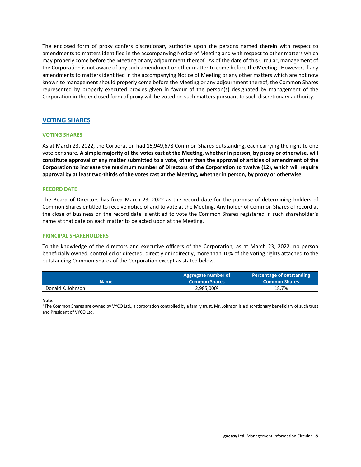The enclosed form of proxy confers discretionary authority upon the persons named therein with respect to amendments to matters identified in the accompanying Notice of Meeting and with respect to other matters which may properly come before the Meeting or any adjournment thereof. As of the date of this Circular, management of the Corporation is not aware of any such amendment or other matter to come before the Meeting. However, if any amendments to matters identified in the accompanying Notice of Meeting or any other matters which are not now known to management should properly come before the Meeting or any adjournment thereof, the Common Shares represented by properly executed proxies given in favour of the person(s) designated by management of the Corporation in the enclosed form of proxy will be voted on such matters pursuant to such discretionary authority.

### <span id="page-5-0"></span>**VOTING SHARES**

### <span id="page-5-1"></span>**VOTING SHARES**

As at March 23, 2022, the Corporation had 15,949,678 Common Shares outstanding, each carrying the right to one vote per share. **A simple majority of the votes cast at the Meeting, whether in person, by proxy or otherwise, will constitute approval of any matter submitted to a vote, other than the approval of articles of amendment of the Corporation to increase the maximum number of Directors of the Corporation to twelve (12), which will require approval by at least two-thirds of the votes cast at the Meeting, whether in person, by proxy or otherwise.**

### <span id="page-5-2"></span>**RECORD DATE**

The Board of Directors has fixed March 23, 2022 as the record date for the purpose of determining holders of Common Shares entitled to receive notice of and to vote at the Meeting. Any holder of Common Shares of record at the close of business on the record date is entitled to vote the Common Shares registered in such shareholder's name at that date on each matter to be acted upon at the Meeting.

### <span id="page-5-3"></span>**PRINCIPAL SHAREHOLDERS**

To the knowledge of the directors and executive officers of the Corporation, as at March 23, 2022, no person beneficially owned, controlled or directed, directly or indirectly, more than 10% of the voting rights attached to the outstanding Common Shares of the Corporation except as stated below.

| <b>Name</b>       | Aggregate number of<br><b>Common Shares</b> | Percentage of outstanding<br><b>Common Shares</b> |
|-------------------|---------------------------------------------|---------------------------------------------------|
| Donald K. Johnson | 2,985,000 <sup>1</sup>                      | 18.7%                                             |

**Note:**

<span id="page-5-4"></span><sup>1</sup>The Common Shares are owned by VYCO Ltd., a corporation controlled by a family trust. Mr. Johnson is a discretionary beneficiary of such trust and President of VYCO Ltd.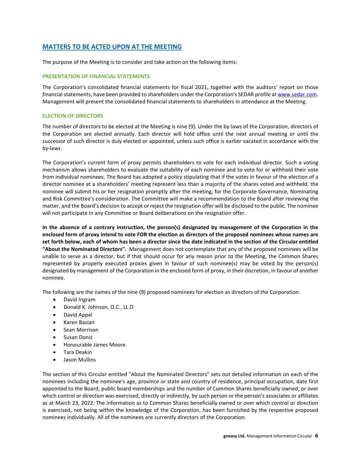# **MATTERS TO BE ACTED UPON AT THE MEETING**

The purpose of the Meeting is to consider and take action on the following items:

### <span id="page-6-0"></span>**PRESENTATION OF FINANCIAL STATEMENTS**

The Corporation's consolidated financial statements for fiscal 2021, together with the auditors' report on those financial statements, have been provided to shareholders under the Corporation's SEDAR profile at www.sedar.com. Management will present the consolidated financial statements to shareholders in attendance at the Meeting.

### <span id="page-6-1"></span>**ELECTION OF DIRECTORS**

The number of directors to be elected at the Meeting is nine (9). Under the by-laws of the Corporation, directors of the Corporation are elected annually. Each director will hold office until the next annual meeting or until the successor of such director is duly elected or appointed, unless such office is earlier vacated in accordance with the by-laws.

The Corporation's current form of proxy permits shareholders to vote for each individual director. Such a voting mechanism allows shareholders to evaluate the suitability of each nominee and to vote for or withhold their vote from individual nominees. The Board has adopted a policy stipulating that if the votes in favour of the election of a director nominee at a shareholders' meeting represent less than a majority of the shares voted and withheld, the nominee will submit his or her resignation promptly after the meeting, for the Corporate Governance, Nominating and Risk Committee's consideration. The Committee will make a recommendation to the Board after reviewing the matter, and the Board's decision to accept or reject the resignation offer will be disclosed to the public. The nominee will not participate in any Committee or Board deliberations on the resignation offer.

**In the absence of a contrary instruction, the person(s) designated by management of the Corporation in the enclosed form of proxy intend to vote FOR the election as directors of the proposed nominees whose names are set forth below, each of whom has been a director since the date indicated in the section of the Circular entitled "About the Nominated Directors".** Management does not contemplate that any of the proposed nominees will be unable to serve as a director, but if that should occur for any reason prior to the Meeting, the Common Shares represented by properly executed proxies given in favour of such nominee(s) may be voted by the person(s) designated by management of the Corporation in the enclosed form of proxy, in their discretion, in favour of another nominee.

The following are the names of the nine (9) proposed nominees for election as directors of the Corporation:

- David Ingram
- Donald K. Johnson, O.C., LL.D
- David Appel
- Karen Basian
- Sean Morrison
- Susan Doniz
- Honourable James Moore
- Tara Deakin
- Jason Mullins

The section of this Circular entitled "About the Nominated Directors" sets out detailed information on each of the nominees including the nominee's age, province or state and country of residence, principal occupation, date first appointed to the Board, public board memberships and the number of Common Shares beneficially owned, or over which control or direction was exercised, directly or indirectly, by such person or the person's associates or affiliates as at March 23, 2022. The information as to Common Shares beneficially owned or over which control or direction is exercised, not being within the knowledge of the Corporation, has been furnished by the respective proposed nominees individually. All of the nominees are currently directors of the Corporation.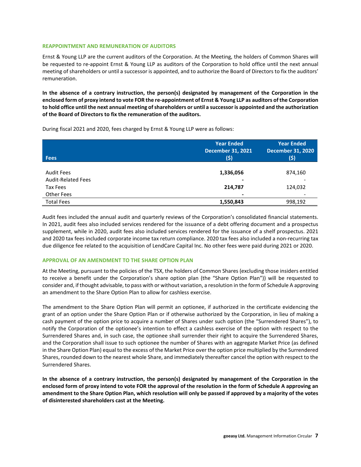### <span id="page-7-0"></span>**REAPPOINTMENT AND REMUNERATION OF AUDITORS**

Ernst & Young LLP are the current auditors of the Corporation. At the Meeting, the holders of Common Shares will be requested to re-appoint Ernst & Young LLP as auditors of the Corporation to hold office until the next annual meeting of shareholders or until a successor is appointed, and to authorize the Board of Directors to fix the auditors' remuneration.

**In the absence of a contrary instruction, the person(s) designated by management of the Corporation in the enclosed form of proxy intend to vote FOR the re-appointment of Ernst & Young LLP as auditors of the Corporation to hold office until the next annual meeting of shareholders or until a successor is appointed and the authorization of the Board of Directors to fix the remuneration of the auditors.**

During fiscal 2021 and 2020, fees charged by Ernst & Young LLP were as follows:

| <b>Fees</b>                                    | <b>Year Ended</b><br><b>December 31, 2021</b><br>(\$) | <b>Year Ended</b><br><b>December 31, 2020</b><br>(\$) |
|------------------------------------------------|-------------------------------------------------------|-------------------------------------------------------|
| <b>Audit Fees</b><br><b>Audit-Related Fees</b> | 1,336,056<br>$\blacksquare$                           | 874,160                                               |
| Tax Fees                                       | 214,787                                               | 124,032                                               |
| Other Fees                                     | $\overline{\phantom{a}}$                              |                                                       |
| <b>Total Fees</b>                              | 1,550,843                                             | 998,192                                               |

Audit fees included the annual audit and quarterly reviews of the Corporation's consolidated financial statements. In 2021, audit fees also included services rendered for the issuance of a debt offering document and a prospectus supplement, while in 2020, audit fees also included services rendered for the issuance of a shelf prospectus. 2021 and 2020 tax fees included corporate income tax return compliance. 2020 tax fees also included a non-recurring tax due diligence fee related to the acquisition of LendCare Capital Inc. No other fees were paid during 2021 or 2020.

### <span id="page-7-1"></span>**APPROVAL OF AN AMENDMENT TO THE SHARE OPTION PLAN**

At the Meeting, pursuant to the policies of the TSX, the holders of Common Shares (excluding those insiders entitled to receive a benefit under the Corporation's share option plan (the "Share Option Plan")) will be requested to consider and, if thought advisable, to pass with or without variation, a resolution in the form of Schedule A approving an amendment to the Share Option Plan to allow for cashless exercise.

The amendment to the Share Option Plan will permit an optionee, if authorized in the certificate evidencing the grant of an option under the Share Option Plan or if otherwise authorized by the Corporation, in lieu of making a cash payment of the option price to acquire a number of Shares under such option (the "Surrendered Shares"), to notify the Corporation of the optionee's intention to effect a cashless exercise of the option with respect to the Surrendered Shares and, in such case, the optionee shall surrender their right to acquire the Surrendered Shares, and the Corporation shall issue to such optionee the number of Shares with an aggregate Market Price (as defined in the Share Option Plan) equal to the excess of the Market Price over the option price multiplied by the Surrendered Shares, rounded down to the nearest whole Share, and immediately thereafter cancel the option with respect to the Surrendered Shares.

**In the absence of a contrary instruction, the person(s) designated by management of the Corporation in the enclosed form of proxy intend to vote FOR the approval of the resolution in the form of Schedule A approving an amendment to the Share Option Plan, which resolution will only be passed if approved by a majority of the votes of disinterested shareholders cast at the Meeting.**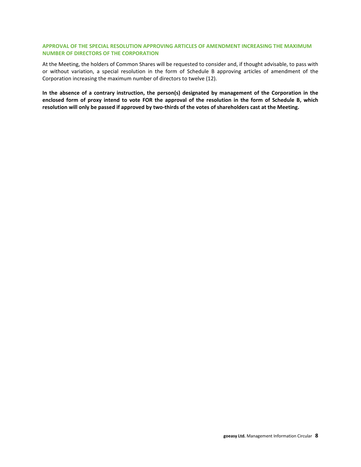### <span id="page-8-0"></span>**APPROVAL OF THE SPECIAL RESOLUTION APPROVING ARTICLES OF AMENDMENT INCREASING THE MAXIMUM NUMBER OF DIRECTORS OF THE CORPORATION**

At the Meeting, the holders of Common Shares will be requested to consider and, if thought advisable, to pass with or without variation, a special resolution in the form of Schedule B approving articles of amendment of the Corporation increasing the maximum number of directors to twelve (12).

**In the absence of a contrary instruction, the person(s) designated by management of the Corporation in the enclosed form of proxy intend to vote FOR the approval of the resolution in the form of Schedule B, which resolution will only be passed if approved by two-thirds of the votes of shareholders cast at the Meeting.**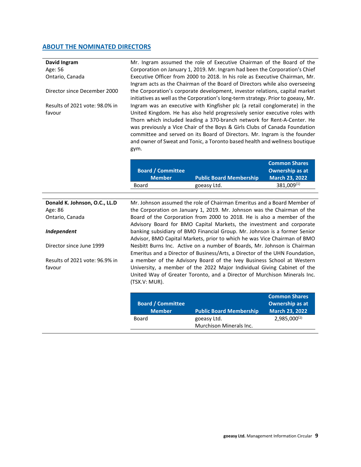# <span id="page-9-0"></span>**ABOUT THE NOMINATED DIRECTORS**

| David Ingram<br>Age: 56<br>Ontario, Canada |                          | Mr. Ingram assumed the role of Executive Chairman of the Board of the<br>Corporation on January 1, 2019. Mr. Ingram had been the Corporation's Chief<br>Executive Officer from 2000 to 2018. In his role as Executive Chairman, Mr.<br>Ingram acts as the Chairman of the Board of Directors while also overseeing                                                                                                                                                           |                        |
|--------------------------------------------|--------------------------|------------------------------------------------------------------------------------------------------------------------------------------------------------------------------------------------------------------------------------------------------------------------------------------------------------------------------------------------------------------------------------------------------------------------------------------------------------------------------|------------------------|
| Director since December 2000               |                          | the Corporation's corporate development, investor relations, capital market<br>initiatives as well as the Corporation's long-term strategy. Prior to goeasy, Mr.                                                                                                                                                                                                                                                                                                             |                        |
| Results of 2021 vote: 98.0% in<br>favour   | gym.                     | Ingram was an executive with Kingfisher plc (a retail conglomerate) in the<br>United Kingdom. He has also held progressively senior executive roles with<br>Thorn which included leading a 370-branch network for Rent-A-Center. He<br>was previously a Vice Chair of the Boys & Girls Clubs of Canada Foundation<br>committee and served on its Board of Directors. Mr. Ingram is the founder<br>and owner of Sweat and Tonic, a Toronto based health and wellness boutique |                        |
|                                            |                          |                                                                                                                                                                                                                                                                                                                                                                                                                                                                              | <b>Common Shares</b>   |
|                                            | <b>Board / Committee</b> |                                                                                                                                                                                                                                                                                                                                                                                                                                                                              | <b>Ownership as at</b> |
|                                            | <b>Member</b>            | <b>Public Board Membership</b>                                                                                                                                                                                                                                                                                                                                                                                                                                               | <b>March 23, 2022</b>  |
|                                            | Board                    | goeasy Ltd.                                                                                                                                                                                                                                                                                                                                                                                                                                                                  | 381,009(1)             |
| Donald K. Johnson, O.C., LL.D              |                          | Mr. Johnson assumed the role of Chairman Emeritus and a Board Member of                                                                                                                                                                                                                                                                                                                                                                                                      |                        |
| Age: 86                                    |                          | the Corporation on January 1, 2019. Mr. Johnson was the Chairman of the                                                                                                                                                                                                                                                                                                                                                                                                      |                        |
| Ontario, Canada                            |                          | Board of the Corporation from 2000 to 2018. He is also a member of the                                                                                                                                                                                                                                                                                                                                                                                                       |                        |
|                                            |                          | Advisory Board for BMO Capital Markets, the investment and corporate                                                                                                                                                                                                                                                                                                                                                                                                         |                        |
| Independent                                |                          | banking subsidiary of BMO Financial Group. Mr. Johnson is a former Senior<br>Advisor, BMO Capital Markets, prior to which he was Vice Chairman of BMO                                                                                                                                                                                                                                                                                                                        |                        |
| Director since June 1999                   |                          | Nesbitt Burns Inc. Active on a number of Boards, Mr. Johnson is Chairman<br>Emeritus and a Director of Business/Arts, a Director of the UHN Foundation,                                                                                                                                                                                                                                                                                                                      |                        |
| Results of 2021 vote: 96.9% in             |                          | a member of the Advisory Board of the Ivey Business School at Western                                                                                                                                                                                                                                                                                                                                                                                                        |                        |
| favour                                     | (TSX.V: MUR).            | University, a member of the 2022 Major Individual Giving Cabinet of the<br>United Way of Greater Toronto, and a Director of Murchison Minerals Inc.                                                                                                                                                                                                                                                                                                                          |                        |

| <b>Board / Committee</b><br><b>Member</b> | <b>Public Board Membership</b> | <b>Common Shares</b><br><b>Ownership as at</b><br><b>March 23, 2022</b> |
|-------------------------------------------|--------------------------------|-------------------------------------------------------------------------|
| Board                                     | goeasy Ltd.                    | $2,985,000^{(2)}$                                                       |
|                                           | Murchison Minerals Inc.        |                                                                         |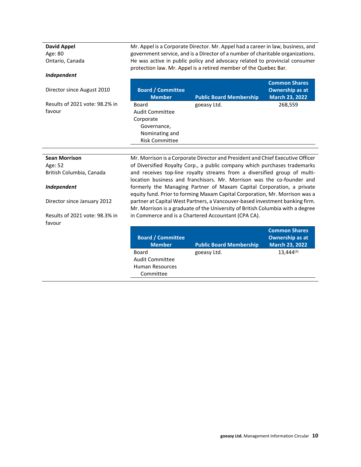**David Appel** Age: 80 Ontario, Canada Mr. Appel is a Corporate Director. Mr. Appel had a career in law, business, and government service, and is a Director of a number of charitable organizations. He was active in public policy and advocacy related to provincial consumer protection law. Mr. Appel is a retired member of the Quebec Bar.

### *Independent*

favour

Director since August 2010 Results of 2021 vote: 98.2% in **Board / Committee Public Board Membership Common Shares Ownership as at March 23, 2022** Board Audit Committee Corporate Governance, Nominating and Risk Committee goeasy Ltd. 268,559

| <b>Sean Morrison</b>           |                          | Mr. Morrison is a Corporate Director and President and Chief Executive Officer                                                                                 |                        |
|--------------------------------|--------------------------|----------------------------------------------------------------------------------------------------------------------------------------------------------------|------------------------|
| Age: 52                        |                          | of Diversified Royalty Corp., a public company which purchases trademarks                                                                                      |                        |
| British Columbia, Canada       |                          | and receives top-line royalty streams from a diversified group of multi-<br>location business and franchisors. Mr. Morrison was the co-founder and             |                        |
| Independent                    |                          | formerly the Managing Partner of Maxam Capital Corporation, a private<br>equity fund. Prior to forming Maxam Capital Corporation, Mr. Morrison was a           |                        |
| Director since January 2012    |                          | partner at Capital West Partners, a Vancouver-based investment banking firm.<br>Mr. Morrison is a graduate of the University of British Columbia with a degree |                        |
| Results of 2021 vote: 98.3% in |                          | in Commerce and is a Chartered Accountant (CPA CA).                                                                                                            |                        |
| favour                         |                          |                                                                                                                                                                |                        |
|                                |                          |                                                                                                                                                                | <b>Common Shares</b>   |
|                                | <b>Board / Committee</b> |                                                                                                                                                                | <b>Ownership as at</b> |
|                                | <b>Member</b>            | <b>Public Board Membership</b>                                                                                                                                 | <b>March 23, 2022</b>  |
|                                | Board                    | goeasy Ltd.                                                                                                                                                    | 13,444(3)              |
|                                | Audit Committee          |                                                                                                                                                                |                        |
|                                | <b>Human Resources</b>   |                                                                                                                                                                |                        |
|                                | Committee                |                                                                                                                                                                |                        |
|                                |                          |                                                                                                                                                                |                        |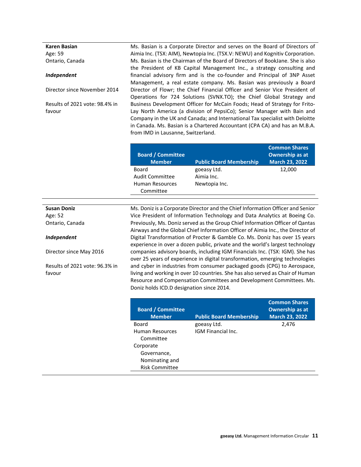**Karen Basian** Age: 59 Ontario, Canada

#### *Independent*

Director since November 2014

Results of 2021 vote: 98.4% in favour

Ms. Basian is a Corporate Director and serves on the Board of Directors of Aimia Inc. (TSX: AIM), Newtopia Inc. (TSX.V: NEWU) and Kognitiv Corporation. Ms. Basian is the Chairman of the Board of Directors of BookJane. She is also the President of KB Capital Management Inc., a strategy consulting and financial advisory firm and is the co-founder and Principal of 3NP Asset Management, a real estate company. Ms. Basian was previously a Board Director of Flowr; the Chief Financial Officer and Senior Vice President of Operations for 724 Solutions (SVNX.TO); the Chief Global Strategy and Business Development Officer for McCain Foods; Head of Strategy for Frito-Lay North America (a division of PepsiCo); Senior Manager with Bain and Company in the UK and Canada; and International Tax specialist with Deloitte in Canada. Ms. Basian is a Chartered Accountant (CPA CA) and has an M.B.A. from IMD in Lausanne, Switzerland.

| <b>Board / Committee</b><br><b>Member</b> | <b>Public Board Membership</b> | <b>Common Shares</b><br><b>Ownership as at</b><br><b>March 23, 2022</b> |
|-------------------------------------------|--------------------------------|-------------------------------------------------------------------------|
| Board                                     | goeasy Ltd.                    | 12,000                                                                  |
| Audit Committee                           | Aimia Inc.                     |                                                                         |
| <b>Human Resources</b><br>Committee       | Newtopia Inc.                  |                                                                         |

### **Susan Doniz** Age: 52 Ontario, Canada

#### *Independent*

Director since May 2016

Results of 2021 vote: 96.3% in favour

Ms. Doniz is a Corporate Director and the Chief Information Officer and Senior Vice President of Information Technology and Data Analytics at Boeing Co. Previously, Ms. Doniz served as the Group Chief Information Officer of Qantas Airways and the Global Chief Information Officer of Aimia Inc., the Director of Digital Transformation of Procter & Gamble Co. Ms. Doniz has over 15 years experience in over a dozen public, private and the world's largest technology companies advisory boards, including IGM Financials Inc. (TSX: IGM). She has over 25 years of experience in digital transformation, emerging technologies and cyber in industries from consumer packaged goods (CPG) to Aerospace, living and working in over 10 countries. She has also served as Chair of Human Resource and Compensation Committees and Development Committees. Ms. Doniz holds ICD.D designation since 2014.

| <b>Board / Committee</b><br><b>Member</b> | <b>Public Board Membership</b> | <b>Common Shares</b><br><b>Ownership as at</b><br><b>March 23, 2022</b> |
|-------------------------------------------|--------------------------------|-------------------------------------------------------------------------|
| Board                                     | goeasy Ltd.                    | 2,476                                                                   |
| Human Resources                           | IGM Financial Inc.             |                                                                         |
| Committee                                 |                                |                                                                         |
| Corporate                                 |                                |                                                                         |
| Governance,                               |                                |                                                                         |
| Nominating and                            |                                |                                                                         |
| <b>Risk Committee</b>                     |                                |                                                                         |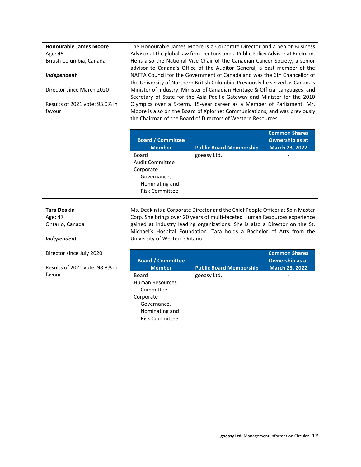**Honourable James Moore** Age: 45 British Columbia, Canada

#### *Independent*

Director since March 2020

Results of 2021 vote: 93.0% in favour

The Honourable James Moore is a Corporate Director and a Senior Business Advisor at the global law firm Dentons and a Public Policy Advisor at Edelman. He is also the National Vice-Chair of the Canadian Cancer Society, a senior advisor to Canada's Office of the Auditor General, a past member of the NAFTA Council for the Government of Canada and was the 6th Chancellor of the University of Northern British Columbia. Previously he served as Canada's Minister of Industry, Minister of Canadian Heritage & Official Languages, and Secretary of State for the Asia Pacific Gateway and Minister for the 2010 Olympics over a 5-term, 15-year career as a Member of Parliament. Mr. Moore is also on the Board of Xplornet Communications, and was previously the Chairman of the Board of Directors of Western Resources.

| <b>Board / Committee</b><br><b>Member</b> | <b>Public Board Membership</b> | <b>Common Shares</b><br><b>Ownership as at</b><br><b>March 23, 2022</b> |
|-------------------------------------------|--------------------------------|-------------------------------------------------------------------------|
| Board                                     | goeasy Ltd.                    |                                                                         |
| <b>Audit Committee</b>                    |                                |                                                                         |
| Corporate                                 |                                |                                                                         |
| Governance,                               |                                |                                                                         |
| Nominating and                            |                                |                                                                         |
| <b>Risk Committee</b>                     |                                |                                                                         |
|                                           |                                |                                                                         |

# **Tara Deakin**

Age: 47 Ontario, Canada

#### *Independent*

Director since July 2020

Results of 2021 vote: 98.8% in favour

Ms. Deakin is a Corporate Director and the Chief People Officer at Spin Master Corp. She brings over 20 years of multi-faceted Human Resources experience gained at industry leading organizations. She is also a Director on the St. Michael's Hospital Foundation. Tara holds a Bachelor of Arts from the University of Western Ontario.

| <b>Board / Committee</b> |                                | <b>Common Shares</b><br><b>Ownership as at</b> |
|--------------------------|--------------------------------|------------------------------------------------|
| <b>Member</b>            | <b>Public Board Membership</b> | <b>March 23, 2022</b>                          |
| Board                    | goeasy Ltd.                    |                                                |
| <b>Human Resources</b>   |                                |                                                |
| Committee                |                                |                                                |
| Corporate                |                                |                                                |
| Governance,              |                                |                                                |
| Nominating and           |                                |                                                |
| <b>Risk Committee</b>    |                                |                                                |
|                          |                                |                                                |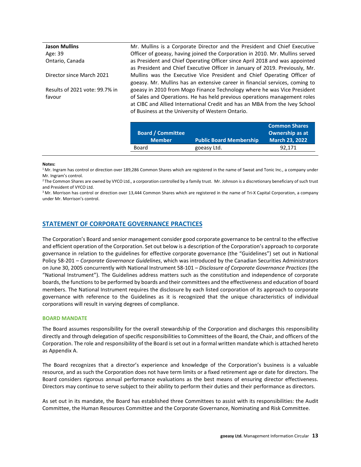| <b>Jason Mullins</b>           | Mr. Mullins is a Corporate Director and the President and Chief Executive    |
|--------------------------------|------------------------------------------------------------------------------|
| Age: 39                        | Officer of goeasy, having joined the Corporation in 2010. Mr. Mullins served |
| Ontario, Canada                | as President and Chief Operating Officer since April 2018 and was appointed  |
|                                | as President and Chief Executive Officer in January of 2019. Previously, Mr. |
| Director since March 2021      | Mullins was the Executive Vice President and Chief Operating Officer of      |
|                                | goeasy. Mr. Mullins has an extensive career in financial services, coming to |
| Results of 2021 vote: 99.7% in | goeasy in 2010 from Mogo Finance Technology where he was Vice President      |
| favour                         | of Sales and Operations. He has held previous operations management roles    |
|                                | at CIBC and Allied International Credit and has an MBA from the Ivey School  |
|                                | of Business at the University of Western Ontario.                            |
|                                |                                                                              |

|                          |                                | <b>Common Shares</b>   |
|--------------------------|--------------------------------|------------------------|
| <b>Board / Committee</b> |                                | <b>Ownership as at</b> |
| <b>Member</b>            | <b>Public Board Membership</b> | <b>March 23, 2022</b>  |
| Board                    | goeasy Ltd.                    | 92.171                 |

#### **Notes:**

<sup>1</sup> Mr. Ingram has control or direction over 189,286 Common Shares which are registered in the name of Sweat and Tonic Inc., a company under Mr. Ingram's control.

<sup>2</sup> The Common Shares are owned by VYCO Ltd., a corporation controlled by a family trust. Mr. Johnson is a discretionary beneficiary of such trust and President of VYCO Ltd.

<sup>3</sup> Mr. Morrison has control or direction over 13,444 Common Shares which are registered in the name of Tri-X Capital Corporation, a company under Mr. Morrison's control.

### <span id="page-13-0"></span>**STATEMENT OF CORPORATE GOVERNANCE PRACTICES**

The Corporation's Board and senior management consider good corporate governance to be central to the effective and efficient operation of the Corporation. Set out below is a description of the Corporation's approach to corporate governance in relation to the guidelines for effective corporate governance (the "Guidelines") set out in National Policy 58-201 – *Corporate Governance Guidelines*, which was introduced by the Canadian Securities Administrators on June 30, 2005 concurrently with National Instrument 58-101 – *Disclosure of Corporate Governance Practices* (the "National Instrument"). The Guidelines address matters such as the constitution and independence of corporate boards, the functions to be performed by boards and their committees and the effectiveness and education of board members. The National Instrument requires the disclosure by each listed corporation of its approach to corporate governance with reference to the Guidelines as it is recognized that the unique characteristics of individual corporations will result in varying degrees of compliance.

#### <span id="page-13-1"></span>**BOARD MANDATE**

The Board assumes responsibility for the overall stewardship of the Corporation and discharges this responsibility directly and through delegation of specific responsibilities to Committees of the Board, the Chair, and officers of the Corporation. The role and responsibility of the Board is set out in a formal written mandate which is attached hereto as Appendix A.

The Board recognizes that a director's experience and knowledge of the Corporation's business is a valuable resource, and as such the Corporation does not have term limits or a fixed retirement age or date for directors. The Board considers rigorous annual performance evaluations as the best means of ensuring director effectiveness. Directors may continue to serve subject to their ability to perform their duties and their performance as directors.

As set out in its mandate, the Board has established three Committees to assist with its responsibilities: the Audit Committee, the Human Resources Committee and the Corporate Governance, Nominating and Risk Committee.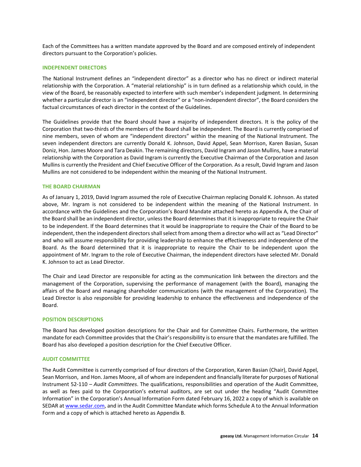Each of the Committees has a written mandate approved by the Board and are composed entirely of independent directors pursuant to the Corporation's policies.

### <span id="page-14-0"></span>**INDEPENDENT DIRECTORS**

The National Instrument defines an "independent director" as a director who has no direct or indirect material relationship with the Corporation. A "material relationship" is in turn defined as a relationship which could, in the view of the Board, be reasonably expected to interfere with such member's independent judgment. In determining whether a particular director is an "independent director" or a "non-independent director", the Board considers the factual circumstances of each director in the context of the Guidelines.

The Guidelines provide that the Board should have a majority of independent directors. It is the policy of the Corporation that two-thirds of the members of the Board shall be independent. The Board is currently comprised of nine members, seven of whom are "independent directors" within the meaning of the National Instrument. The seven independent directors are currently Donald K. Johnson, David Appel, Sean Morrison, Karen Basian, Susan Doniz, Hon. James Moore and Tara Deakin. The remaining directors, David Ingram and Jason Mullins, have a material relationship with the Corporation as David Ingram is currently the Executive Chairman of the Corporation and Jason Mullins is currently the President and Chief Executive Officer of the Corporation. As a result, David Ingram and Jason Mullins are not considered to be independent within the meaning of the National Instrument.

### <span id="page-14-1"></span>**THE BOARD CHAIRMAN**

As of January 1, 2019, David Ingram assumed the role of Executive Chairman replacing Donald K. Johnson. As stated above, Mr. Ingram is not considered to be independent within the meaning of the National Instrument. In accordance with the Guidelines and the Corporation's Board Mandate attached hereto as Appendix A, the Chair of the Board shall be an independent director, unless the Board determines that it is inappropriate to require the Chair to be independent. If the Board determines that it would be inappropriate to require the Chair of the Board to be independent, then the independent directors shall select from among them a director who will act as "Lead Director" and who will assume responsibility for providing leadership to enhance the effectiveness and independence of the Board. As the Board determined that it is inappropriate to require the Chair to be independent upon the appointment of Mr. Ingram to the role of Executive Chairman, the independent directors have selected Mr. Donald K. Johnson to act as Lead Director.

The Chair and Lead Director are responsible for acting as the communication link between the directors and the management of the Corporation, supervising the performance of management (with the Board), managing the affairs of the Board and managing shareholder communications (with the management of the Corporation)*.* The Lead Director is also responsible for providing leadership to enhance the effectiveness and independence of the Board.

#### <span id="page-14-2"></span>**POSITION DESCRIPTIONS**

The Board has developed position descriptions for the Chair and for Committee Chairs. Furthermore, the written mandate for each Committee provides that the Chair's responsibility is to ensure that the mandates are fulfilled. The Board has also developed a position description for the Chief Executive Officer.

### <span id="page-14-3"></span>**AUDIT COMMITTEE**

The Audit Committee is currently comprised of four directors of the Corporation, Karen Basian (Chair), David Appel, Sean Morrison, and Hon. James Moore, all of whom are independent and financially literate for purposes of National Instrument 52-110 – *Audit Committees*. The qualifications, responsibilities and operation of the Audit Committee, as well as fees paid to the Corporation's external auditors, are set out under the heading "Audit Committee Information" in the Corporation's Annual Information Form dated February 16, 2022 a copy of which is available on SEDAR at [www.sedar.com,](http://www.sedar.com/) and in the Audit Committee Mandate which forms Schedule A to the Annual Information Form and a copy of which is attached hereto as Appendix B.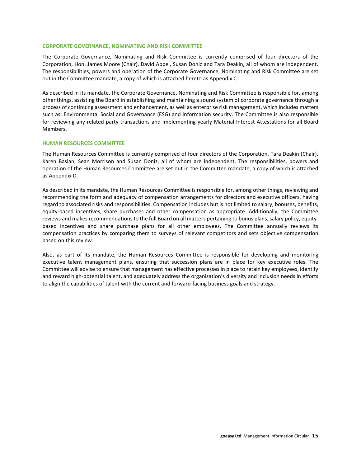### <span id="page-15-0"></span>**CORPORATE GOVERNANCE, NOMINATING AND RISK COMMITTEE**

The Corporate Governance, Nominating and Risk Committee is currently comprised of four directors of the Corporation, Hon. James Moore (Chair), David Appel, Susan Doniz and Tara Deakin, all of whom are independent. The responsibilities, powers and operation of the Corporate Governance, Nominating and Risk Committee are set out in the Committee mandate, a copy of which is attached hereto as Appendix C.

As described in its mandate, the Corporate Governance, Nominating and Risk Committee is responsible for, among other things, assisting the Board in establishing and maintaining a sound system of corporate governance through a process of continuing assessment and enhancement, as well as enterprise risk management, which includes matters such as: Environmental Social and Governance (ESG) and information security. The Committee is also responsible for reviewing any related-party transactions and implementing yearly Material Interest Attestations for all Board Members.

#### <span id="page-15-1"></span>**HUMAN RESOURCES COMMITTEE**

The Human Resources Committee is currently comprised of four directors of the Corporation, Tara Deakin (Chair), Karen Basian, Sean Morrison and Susan Doniz, all of whom are independent. The responsibilities, powers and operation of the Human Resources Committee are set out in the Committee mandate, a copy of which is attached as Appendix D.

As described in its mandate, the Human Resources Committee is responsible for, among other things, reviewing and recommending the form and adequacy of compensation arrangements for directors and executive officers, having regard to associated risks and responsibilities. Compensation includes but is not limited to salary, bonuses, benefits, equity-based incentives, share purchases and other compensation as appropriate. Additionally, the Committee reviews and makes recommendations to the full Board on all matters pertaining to bonus plans, salary policy, equitybased incentives and share purchase plans for all other employees. The Committee annually reviews its compensation practices by comparing them to surveys of relevant competitors and sets objective compensation based on this review.

<span id="page-15-2"></span>Also, as part of its mandate, the Human Resources Committee is responsible for developing and monitoring executive talent management plans, ensuring that succession plans are in place for key executive roles. The Committee will advise to ensure that management has effective processes in place to retain key employees, identify and reward high-potential talent, and adequately address the organization's diversity and inclusion needs in efforts to align the capabilities of talent with the current and forward-facing business goals and strategy.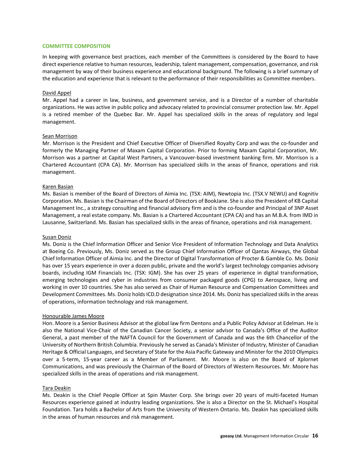### **COMMITTEE COMPOSITION**

In keeping with governance best practices, each member of the Committees is considered by the Board to have direct experience relative to human resources, leadership, talent management, compensation, governance, and risk management by way of their business experience and educational background. The following is a brief summary of the education and experience that is relevant to the performance of their responsibilities as Committee members.

### David Appel

Mr. Appel had a career in law, business, and government service, and is a Director of a number of charitable organizations. He was active in public policy and advocacy related to provincial consumer protection law. Mr. Appel is a retired member of the Quebec Bar. Mr. Appel has specialized skills in the areas of regulatory and legal management.

### Sean Morrison

Mr. Morrison is the President and Chief Executive Officer of Diversified Royalty Corp and was the co-founder and formerly the Managing Partner of Maxam Capital Corporation. Prior to forming Maxam Capital Corporation, Mr. Morrison was a partner at Capital West Partners, a Vancouver-based investment banking firm. Mr. Morrison is a Chartered Accountant (CPA CA). Mr. Morrison has specialized skills in the areas of finance, operations and risk management.

### Karen Basian

Ms. Basian is member of the Board of Directors of Aimia Inc. (TSX: AIM), Newtopia Inc. (TSX.V NEWU) and Kognitiv Corporation. Ms. Basian is the Chairman of the Board of Directors of BookJane. She is also the President of KB Capital Management Inc., a strategy consulting and financial advisory firm and is the co-founder and Principal of 3NP Asset Management, a real estate company. Ms. Basian is a Chartered Accountant (CPA CA) and has an M.B.A. from IMD in Lausanne, Switzerland. Ms. Basian has specialized skills in the areas of finance, operations and risk management.

#### Susan Doniz

Ms. Doniz is the Chief Information Officer and Senior Vice President of Information Technology and Data Analytics at Boeing Co. Previously, Ms. Doniz served as the Group Chief Information Officer of Qantas Airways, the Global Chief Information Officer of Aimia Inc. and the Director of Digital Transformation of Procter & Gamble Co. Ms. Doniz has over 15 years experience in over a dozen public, private and the world's largest technology companies advisory boards, including IGM Financials Inc. (TSX: IGM). She has over 25 years of experience in digital transformation, emerging technologies and cyber in industries from consumer packaged goods (CPG) to Aerospace, living and working in over 10 countries. She has also served as Chair of Human Resource and Compensation Committees and Development Committees. Ms. Doniz holds ICD.D designation since 2014. Ms. Doniz has specialized skills in the areas of operations, information technology and risk management.

#### Honourable James Moore

Hon. Moore is a Senior Business Advisor at the global law firm Dentons and a Public Policy Advisor at Edelman. He is also the National Vice-Chair of the Canadian Cancer Society, a senior advisor to Canada's Office of the Auditor General, a past member of the NAFTA Council for the Government of Canada and was the 6th Chancellor of the University of Northern British Columbia. Previously he served as Canada's Minister of Industry, Minister of Canadian Heritage & Official Languages, and Secretary of State for the Asia Pacific Gateway and Minister for the 2010 Olympics over a 5-term, 15-year career as a Member of Parliament. Mr. Moore is also on the Board of Xplornet Communications, and was previously the Chairman of the Board of Directors of Western Resources. Mr. Moore has specialized skills in the areas of operations and risk management.

#### Tara Deakin

Ms. Deakin is the Chief People Officer at Spin Master Corp. She brings over 20 years of multi-faceted Human Resources experience gained at industry leading organizations. She is also a Director on the St. Michael's Hospital Foundation. Tara holds a Bachelor of Arts from the University of Western Ontario. Ms. Deakin has specialized skills in the areas of human resources and risk management.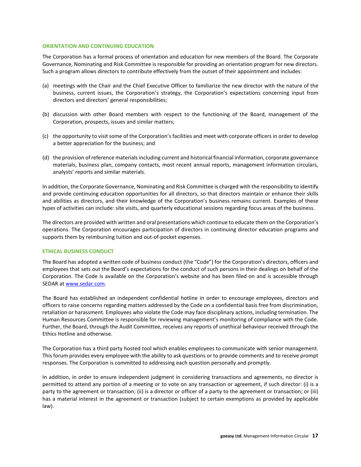### <span id="page-17-0"></span>**ORIENTATION AND CONTINUING EDUCATION**

The Corporation has a formal process of orientation and education for new members of the Board. The Corporate Governance, Nominating and Risk Committee is responsible for providing an orientation program for new directors. Such a program allows directors to contribute effectively from the outset of their appointment and includes:

- (a) meetings with the Chair and the Chief Executive Officer to familiarize the new director with the nature of the business, current issues, the Corporation's strategy, the Corporation's expectations concerning input from directors and directors' general responsibilities;
- (b) discussion with other Board members with respect to the functioning of the Board, management of the Corporation, prospects, issues and similar matters;
- (c) the opportunity to visit some of the Corporation's facilities and meet with corporate officers in order to develop a better appreciation for the business; and
- (d) the provision of reference materials including current and historical financial information, corporate governance materials, business plan, company contacts, most recent annual reports, management information circulars, analysts' reports and similar materials.

In addition, the Corporate Governance, Nominating and Risk Committee is charged with the responsibility to identify and provide continuing education opportunities for all directors, so that directors maintain or enhance their skills and abilities as directors, and their knowledge of the Corporation's business remains current. Examples of these types of activities can include: site visits, and quarterly educational sessions regarding focus areas of the business.

The directors are provided with written and oral presentations which continue to educate them on the Corporation's operations. The Corporation encourages participation of directors in continuing director education programs and supports them by reimbursing tuition and out-of-pocket expenses.

### <span id="page-17-1"></span>**ETHICAL BUSINESS CONDUCT**

The Board has adopted a written code of business conduct (the "Code") for the Corporation's directors, officers and employees that sets out the Board's expectations for the conduct of such persons in their dealings on behalf of the Corporation. The Code is available on the Corporation's website and has been filed on and is accessible through SEDAR a[t www.sedar.com.](http://www.sedar.com/)

The Board has established an independent confidential hotline in order to encourage employees, directors and officers to raise concerns regarding matters addressed by the Code on a confidential basis free from discrimination, retaliation or harassment. Employees who violate the Code may face disciplinary actions, including termination. The Human Resources Committee is responsible for reviewing management's monitoring of compliance with the Code. Further, the Board, through the Audit Committee, receives any reports of unethical behaviour received through the Ethics Hotline and otherwise.

The Corporation has a third party hosted tool which enables employees to communicate with senior management. This forum provides every employee with the ability to ask questions or to provide comments and to receive prompt responses. The Corporation is committed to addressing each question personally and promptly.

In addition, in order to ensure independent judgment in considering transactions and agreements, no director is permitted to attend any portion of a meeting or to vote on any transaction or agreement, if such director: (i) is a party to the agreement or transaction; (ii) is a director or officer of a party to the agreement or transaction; or (iii) has a material interest in the agreement or transaction (subject to certain exemptions as provided by applicable law).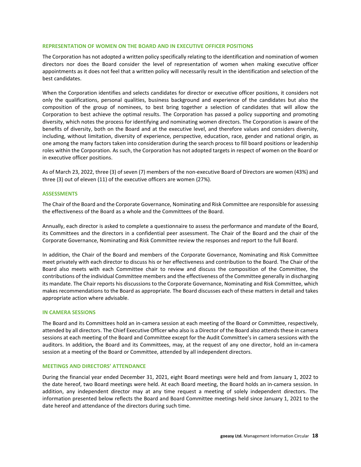### <span id="page-18-0"></span>**REPRESENTATION OF WOMEN ON THE BOARD AND IN EXECUTIVE OFFICER POSITIONS**

The Corporation has not adopted a written policy specifically relating to the identification and nomination of women directors nor does the Board consider the level of representation of women when making executive officer appointments as it does not feel that a written policy will necessarily result in the identification and selection of the best candidates.

When the Corporation identifies and selects candidates for director or executive officer positions, it considers not only the qualifications, personal qualities, business background and experience of the candidates but also the composition of the group of nominees, to best bring together a selection of candidates that will allow the Corporation to best achieve the optimal results. The Corporation has passed a policy supporting and promoting diversity, which notes the process for identifying and nominating women directors. The Corporation is aware of the benefits of diversity, both on the Board and at the executive level, and therefore values and considers diversity, including, without limitation, diversity of experience, perspective, education, race, gender and national origin, as one among the many factors taken into consideration during the search process to fill board positions or leadership roles within the Corporation. As such, the Corporation has not adopted targets in respect of women on the Board or in executive officer positions.

As of March 23, 2022, three (3) of seven (7) members of the non-executive Board of Directors are women (43%) and three (3) out of eleven (11) of the executive officers are women (27%).

#### <span id="page-18-1"></span>**ASSESSMENTS**

The Chair of the Board and the Corporate Governance, Nominating and Risk Committee are responsible for assessing the effectiveness of the Board as a whole and the Committees of the Board.

Annually, each director is asked to complete a questionnaire to assess the performance and mandate of the Board, its Committees and the directors in a confidential peer assessment. The Chair of the Board and the chair of the Corporate Governance, Nominating and Risk Committee review the responses and report to the full Board.

In addition, the Chair of the Board and members of the Corporate Governance, Nominating and Risk Committee meet privately with each director to discuss his or her effectiveness and contribution to the Board. The Chair of the Board also meets with each Committee chair to review and discuss the composition of the Committee, the contributions of the individual Committee members and the effectiveness of the Committee generally in discharging its mandate. The Chair reports his discussions to the Corporate Governance, Nominating and Risk Committee, which makes recommendations to the Board as appropriate. The Board discusses each of these matters in detail and takes appropriate action where advisable.

#### <span id="page-18-2"></span>**IN CAMERA SESSIONS**

The Board and its Committees hold an in-camera session at each meeting of the Board or Committee, respectively, attended by all directors. The Chief Executive Officer who also is a Director of the Board also attends these in camera sessions at each meeting of the Board and Committee except for the Audit Committee's in camera sessions with the auditors. In addition**,** the Board and its Committees, may, at the request of any one director, hold an in-camera session at a meeting of the Board or Committee, attended by all independent directors.

### <span id="page-18-3"></span>**MEETINGS AND DIRECTORS' ATTENDANCE**

During the financial year ended December 31, 2021, eight Board meetings were held and from January 1, 2022 to the date hereof, two Board meetings were held. At each Board meeting, the Board holds an in-camera session. In addition, any independent director may at any time request a meeting of solely independent directors. The information presented below reflects the Board and Board Committee meetings held since January 1, 2021 to the date hereof and attendance of the directors during such time.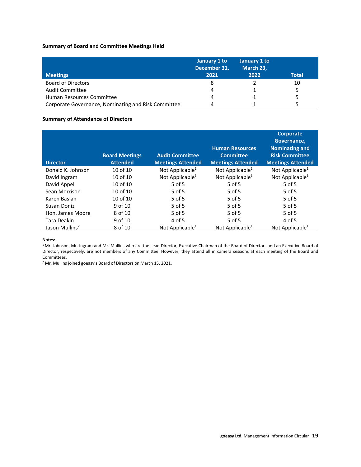### **Summary of Board and Committee Meetings Held**

| <b>Meetings</b>                                     | January 1 to<br>December 31,<br>2021 | January 1 to<br>March 23,<br>2022 | <b>Total</b> |
|-----------------------------------------------------|--------------------------------------|-----------------------------------|--------------|
| <b>Board of Directors</b>                           | 8                                    |                                   | 10           |
| <b>Audit Committee</b>                              | 4                                    |                                   |              |
| Human Resources Committee                           | 4                                    |                                   |              |
| Corporate Governance, Nominating and Risk Committee | Δ                                    |                                   |              |

### **Summary of Attendance of Directors**

| <b>Director</b>            | <b>Board Meetings</b><br><b>Attended</b> | <b>Audit Committee</b><br><b>Meetings Attended</b> | <b>Human Resources</b><br><b>Committee</b><br><b>Meetings Attended</b> | <b>Corporate</b><br>Governance,<br><b>Nominating and</b><br><b>Risk Committee</b><br><b>Meetings Attended</b> |
|----------------------------|------------------------------------------|----------------------------------------------------|------------------------------------------------------------------------|---------------------------------------------------------------------------------------------------------------|
| Donald K. Johnson          | 10 of 10                                 | Not Applicable $1$                                 | Not Applicable $1$                                                     | Not Applicable $1$                                                                                            |
| David Ingram               | 10 of 10                                 | Not Applicable <sup>1</sup>                        | Not Applicable <sup>1</sup>                                            | Not Applicable <sup>1</sup>                                                                                   |
| David Appel                | 10 of 10                                 | $5$ of 5                                           | $5$ of $5$                                                             | $5$ of $5$                                                                                                    |
| Sean Morrison              | 10 of 10                                 | $5$ of $5$                                         | 5 of 5                                                                 | $5$ of 5                                                                                                      |
| Karen Basian               | 10 of 10                                 | $5$ of 5                                           | $5$ of 5                                                               | 5 of 5                                                                                                        |
| Susan Doniz                | 9 of 10                                  | $5$ of $5$                                         | $5$ of 5                                                               | $5$ of 5                                                                                                      |
| Hon. James Moore           | 8 of 10                                  | $5$ of $5$                                         | $5$ of $5$                                                             | $5$ of $5$                                                                                                    |
| Tara Deakin                | 9 of 10                                  | 4 of 5                                             | 5 of 5                                                                 | 4 of 5                                                                                                        |
| Jason Mullins <sup>2</sup> | 8 of 10                                  | Not Applicable <sup>1</sup>                        | Not Applicable <sup>1</sup>                                            | Not Applicable <sup>1</sup>                                                                                   |

#### **Notes:**

<sup>1</sup> Mr. Johnson, Mr. Ingram and Mr. Mullins who are the Lead Director, Executive Chairman of the Board of Directors and an Executive Board of Director, respectively, are not members of any Committee. However, they attend all in camera sessions at each meeting of the Board and Committees.

<sup>2</sup> Mr. Mullins joined goeasy's Board of Directors on March 15, 2021.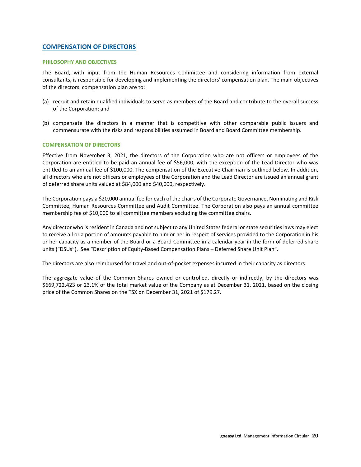### <span id="page-20-0"></span>**COMPENSATION OF DIRECTORS**

### <span id="page-20-1"></span>**PHILOSOPHY AND OBJECTIVES**

The Board, with input from the Human Resources Committee and considering information from external consultants, is responsible for developing and implementing the directors' compensation plan. The main objectives of the directors' compensation plan are to:

- (a) recruit and retain qualified individuals to serve as members of the Board and contribute to the overall success of the Corporation; and
- (b) compensate the directors in a manner that is competitive with other comparable public issuers and commensurate with the risks and responsibilities assumed in Board and Board Committee membership.

### <span id="page-20-2"></span>**COMPENSATION OF DIRECTORS**

Effective from November 3, 2021, the directors of the Corporation who are not officers or employees of the Corporation are entitled to be paid an annual fee of \$56,000, with the exception of the Lead Director who was entitled to an annual fee of \$100,000. The compensation of the Executive Chairman is outlined below. In addition, all directors who are not officers or employees of the Corporation and the Lead Director are issued an annual grant of deferred share units valued at \$84,000 and \$40,000, respectively.

The Corporation pays a \$20,000 annual fee for each of the chairs of the Corporate Governance, Nominating and Risk Committee, Human Resources Committee and Audit Committee. The Corporation also pays an annual committee membership fee of \$10,000 to all committee members excluding the committee chairs.

Any director who is resident in Canada and not subject to any United States federal or state securities laws may elect to receive all or a portion of amounts payable to him or her in respect of services provided to the Corporation in his or her capacity as a member of the Board or a Board Committee in a calendar year in the form of deferred share units ("DSUs"). See "Description of Equity-Based Compensation Plans – Deferred Share Unit Plan".

The directors are also reimbursed for travel and out-of-pocket expenses incurred in their capacity as directors.

The aggregate value of the Common Shares owned or controlled, directly or indirectly, by the directors was \$669,722,423 or 23.1% of the total market value of the Company as at December 31, 2021, based on the closing price of the Common Shares on the TSX on December 31, 2021 of \$179.27.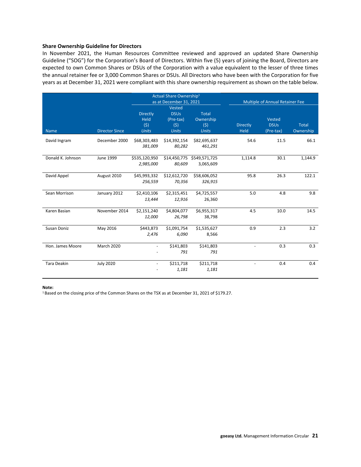### **Share Ownership Guideline for Directors**

In November 2021, the Human Resources Committee reviewed and approved an updated Share Ownership Guideline ("SOG") for the Corporation's Board of Directors. Within five (5) years of joining the Board, Directors are expected to own Common Shares or DSUs of the Corporation with a value equivalent to the lesser of three times the annual retainer fee or 3,000 Common Shares or DSUs. All Directors who have been with the Corporation for five years as at December 31, 2021 were compliant with this share ownership requirement as shown on the table below.

|                    |                       |                                                | Actual Share Ownership <sup>1</sup><br>as at December 31, 2021 |                                                  |                                | Multiple of Annual Retainer Fee    |                           |
|--------------------|-----------------------|------------------------------------------------|----------------------------------------------------------------|--------------------------------------------------|--------------------------------|------------------------------------|---------------------------|
| <b>Name</b>        | <b>Director Since</b> | <b>Directly</b><br>Held<br>(5)<br><b>Units</b> | Vested<br><b>DSUs</b><br>(Pre-tax)<br>(5)<br><b>Units</b>      | <b>Total</b><br>Ownership<br>(5)<br><b>Units</b> | <b>Directly</b><br><b>Held</b> | Vested<br><b>DSUs</b><br>(Pre-tax) | <b>Total</b><br>Ownership |
| David Ingram       | December 2000         | \$68,303,483<br>381,009                        | \$14,392,154<br>80,282                                         | \$82,695,637<br>461,291                          | 54.6                           | 11.5                               | 66.1                      |
| Donald K. Johnson  | June 1999             | \$535,120,950<br>2,985,000                     | \$14,450,775<br>80,609                                         | \$549,571,725<br>3,065,609                       | 1,114.8                        | 30.1                               | 1,144.9                   |
| David Appel        | August 2010           | \$45,993,332<br>256,559                        | \$12,612,720<br>70,356                                         | \$58,606,052<br>326,915                          | 95.8                           | 26.3                               | 122.1                     |
| Sean Morrison      | January 2012          | \$2,410,106<br>13,444                          | \$2,315,451<br>12,916                                          | \$4,725,557<br>26,360                            | 5.0                            | 4.8                                | 9.8                       |
| Karen Basian       | November 2014         | \$2,151,240<br>12,000                          | \$4,804,077<br>26,798                                          | \$6,955,317<br>38,798                            | 4.5                            | 10.0                               | 14.5                      |
| Susan Doniz        | May 2016              | \$443,873<br>2,476                             | \$1,091,754<br>6,090                                           | \$1,535,627<br>8,566                             | 0.9                            | 2.3                                | 3.2                       |
| Hon. James Moore   | <b>March 2020</b>     | $\overline{\phantom{a}}$                       | \$141,803<br>791                                               | \$141,803<br>791                                 | $\overline{\phantom{a}}$       | 0.3                                | 0.3                       |
| <b>Tara Deakin</b> | <b>July 2020</b>      | $\blacksquare$                                 | \$211,718<br>1,181                                             | \$211,718<br>1,181                               | $\overline{\phantom{a}}$       | 0.4                                | 0.4                       |

**Note:** 

<sup>1</sup> Based on the closing price of the Common Shares on the TSX as at December 31, 2021 of \$179.27.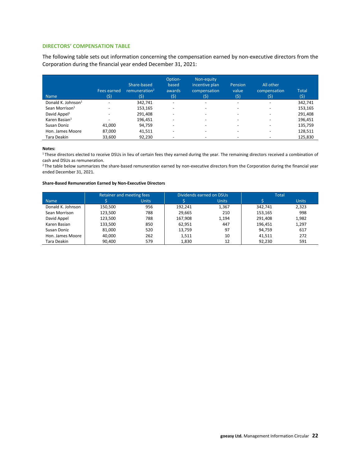### <span id="page-22-0"></span>**DIRECTORS' COMPENSATION TABLE**

The following table sets out information concerning the compensation earned by non-executive directors from the Corporation during the financial year ended December 31, 2021:

| <b>Name</b>                    | Fees earned<br>(\$)      | Share-based<br>remuneration $2$<br>(5) | Option-<br>based<br>awards<br>(5) | Non-equity<br>incentive plan<br>compensation<br>(\$) | Pension<br>value<br>(5)  | All other<br>compensation<br>(\$) | <b>Total</b><br>(5) |
|--------------------------------|--------------------------|----------------------------------------|-----------------------------------|------------------------------------------------------|--------------------------|-----------------------------------|---------------------|
| Donald K. Johnson <sup>1</sup> | $\overline{\phantom{a}}$ | 342,741                                | $\overline{\phantom{a}}$          | $\overline{\phantom{a}}$                             | $\overline{\phantom{0}}$ | $\overline{\phantom{a}}$          | 342,741             |
| Sean Morrison <sup>1</sup>     |                          | 153,165                                | $\overline{\phantom{0}}$          | ٠                                                    | -                        | $\overline{\phantom{a}}$          | 153,165             |
| David Appel <sup>1</sup>       |                          | 291,408                                | ٠                                 |                                                      | -                        | $\overline{\phantom{0}}$          | 291,408             |
| Karen Basian <sup>1</sup>      | $\overline{\phantom{a}}$ | 196.451                                | $\overline{\phantom{0}}$          |                                                      | -                        | $\overline{\phantom{a}}$          | 196,451             |
| Susan Doniz                    | 41,000                   | 94,759                                 | ٠                                 |                                                      |                          |                                   | 135,759             |
| Hon. James Moore               | 87,000                   | 41,511                                 | ٠                                 |                                                      |                          |                                   | 128,511             |
| Tara Deakin                    | 33,600                   | 92,230                                 |                                   |                                                      |                          |                                   | 125,830             |

#### **Notes:**

<sup>1</sup>These directors elected to receive DSUs in lieu of certain fees they earned during the year. The remaining directors received a combination of cash and DSUs as remuneration.

<sup>2</sup> The table below summarizes the share-based remuneration earned by non-executive directors from the Corporation during the financial year ended December 31, 2021.

#### **Share-Based Remuneration Earned by Non-Executive Directors**

|                   |         | Retainer and meeting fees |         | Dividends earned on DSUs |         | <b>Total</b> |
|-------------------|---------|---------------------------|---------|--------------------------|---------|--------------|
| <b>Name</b>       |         | <b>Units</b>              |         | <b>Units</b>             |         | <b>Units</b> |
| Donald K. Johnson | 150,500 | 956                       | 192,241 | 1,367                    | 342,741 | 2,323        |
| Sean Morrison     | 123.500 | 788                       | 29.665  | 210                      | 153,165 | 998          |
| David Appel       | 123.500 | 788                       | 167,908 | 1.194                    | 291,408 | 1,982        |
| Karen Basian      | 133,500 | 850                       | 62,951  | 447                      | 196,451 | 1,297        |
| Susan Doniz       | 81,000  | 520                       | 13,759  | 97                       | 94,759  | 617          |
| Hon, James Moore  | 40,000  | 262                       | 1,511   | 10                       | 41,511  | 272          |
| Tara Deakin       | 90,400  | 579                       | 1,830   | 12                       | 92,230  | 591          |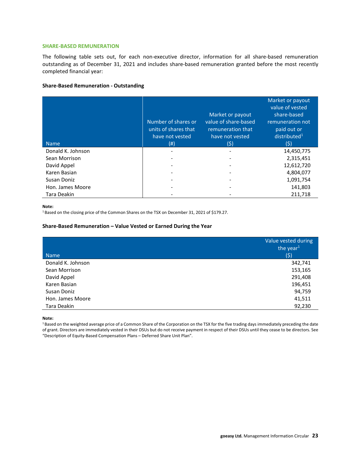### <span id="page-23-0"></span>**SHARE-BASED REMUNERATION**

The following table sets out, for each non-executive director, information for all share-based remuneration outstanding as of December 31, 2021 and includes share-based remuneration granted before the most recently completed financial year:

### **Share-Based Remuneration - Outstanding**

| <b>Name</b>       | Number of shares or<br>units of shares that<br>have not vested<br>(#) | Market or payout<br>value of share-based<br>remuneration that<br>have not vested<br>(5) | Market or payout<br>value of vested<br>share-based<br>remuneration not<br>paid out or<br>distributed <sup>1</sup><br>(\$) |
|-------------------|-----------------------------------------------------------------------|-----------------------------------------------------------------------------------------|---------------------------------------------------------------------------------------------------------------------------|
| Donald K. Johnson | ٠                                                                     |                                                                                         | 14,450,775                                                                                                                |
| Sean Morrison     |                                                                       |                                                                                         | 2,315,451                                                                                                                 |
| David Appel       |                                                                       |                                                                                         | 12,612,720                                                                                                                |
| Karen Basian      |                                                                       |                                                                                         | 4,804,077                                                                                                                 |
| Susan Doniz       |                                                                       |                                                                                         | 1,091,754                                                                                                                 |
| Hon. James Moore  |                                                                       |                                                                                         | 141,803                                                                                                                   |
| Tara Deakin       |                                                                       |                                                                                         | 211,718                                                                                                                   |

#### **Note:**

<sup>1</sup> Based on the closing price of the Common Shares on the TSX on December 31, 2021 of \$179.27.

### **Share-Based Remuneration – Value Vested or Earned During the Year**

| <b>Name</b>       | Value vested during<br>the year <sup>1</sup><br>(5) |
|-------------------|-----------------------------------------------------|
| Donald K. Johnson | 342,741                                             |
| Sean Morrison     | 153,165                                             |
| David Appel       | 291,408                                             |
| Karen Basian      | 196,451                                             |
| Susan Doniz       | 94,759                                              |
| Hon. James Moore  | 41,511                                              |
| Tara Deakin       | 92,230                                              |

**Note:**

<sup>1</sup> Based on the weighted average price of a Common Share of the Corporation on the TSX for the five trading days immediately preceding the date of grant. Directors are immediately vested in their DSUs but do not receive payment in respect of their DSUs until they cease to be directors. See "Description of Equity-Based Compensation Plans – Deferred Share Unit Plan".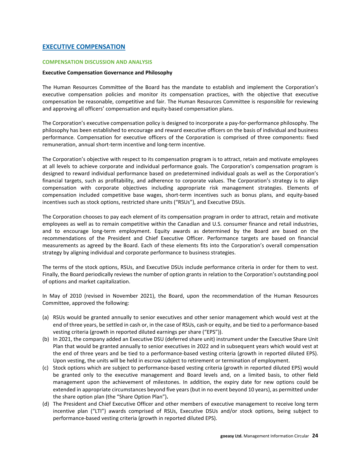### <span id="page-24-0"></span>**EXECUTIVE COMPENSATION**

### <span id="page-24-1"></span>**COMPENSATION DISCUSSION AND ANALYSIS**

### **Executive Compensation Governance and Philosophy**

The Human Resources Committee of the Board has the mandate to establish and implement the Corporation's executive compensation policies and monitor its compensation practices, with the objective that executive compensation be reasonable, competitive and fair. The Human Resources Committee is responsible for reviewing and approving all officers' compensation and equity-based compensation plans.

The Corporation's executive compensation policy is designed to incorporate a pay-for-performance philosophy. The philosophy has been established to encourage and reward executive officers on the basis of individual and business performance. Compensation for executive officers of the Corporation is comprised of three components: fixed remuneration, annual short-term incentive and long-term incentive.

The Corporation's objective with respect to its compensation program is to attract, retain and motivate employees at all levels to achieve corporate and individual performance goals. The Corporation's compensation program is designed to reward individual performance based on predetermined individual goals as well as the Corporation's financial targets, such as profitability, and adherence to corporate values. The Corporation's strategy is to align compensation with corporate objectives including appropriate risk management strategies. Elements of compensation included competitive base wages, short-term incentives such as bonus plans, and equity-based incentives such as stock options, restricted share units ("RSUs"), and Executive DSUs.

The Corporation chooses to pay each element of its compensation program in order to attract, retain and motivate employees as well as to remain competitive within the Canadian and U.S. consumer finance and retail industries, and to encourage long-term employment. Equity awards as determined by the Board are based on the recommendations of the President and Chief Executive Officer. Performance targets are based on financial measurements as agreed by the Board. Each of these elements fits into the Corporation's overall compensation strategy by aligning individual and corporate performance to business strategies.

The terms of the stock options, RSUs, and Executive DSUs include performance criteria in order for them to vest. Finally, the Board periodically reviews the number of option grants in relation to the Corporation's outstanding pool of options and market capitalization.

In May of 2010 (revised in November 2021), the Board, upon the recommendation of the Human Resources Committee, approved the following:

- (a) RSUs would be granted annually to senior executives and other senior management which would vest at the end of three years, be settled in cash or, in the case of RSUs, cash or equity, and be tied to a performance-based vesting criteria (growth in reported diluted earnings per share ("EPS")).
- (b) In 2021, the company added an Executive DSU (deferred share unit) instrument under the Executive Share Unit Plan that would be granted annually to senior executives in 2022 and in subsequent years which would vest at the end of three years and be tied to a performance-based vesting criteria (growth in reported diluted EPS). Upon vesting, the units will be held in escrow subject to retirement or termination of employment.
- (c) Stock options which are subject to performance-based vesting criteria (growth in reported diluted EPS) would be granted only to the executive management and Board levels and, on a limited basis, to other field management upon the achievement of milestones. In addition, the expiry date for new options could be extended in appropriate circumstances beyond five years (but in no event beyond 10 years), as permitted under the share option plan (the "Share Option Plan")**.**
- (d) The President and Chief Executive Officer and other members of executive management to receive long term incentive plan ("LTI") awards comprised of RSUs, Executive DSUs and/or stock options, being subject to performance-based vesting criteria (growth in reported diluted EPS).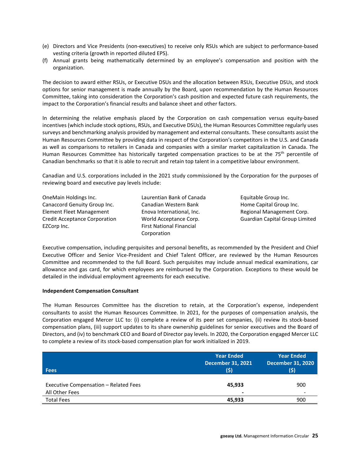- (e) Directors and Vice Presidents (non-executives) to receive only RSUs which are subject to performance-based vesting criteria (growth in reported diluted EPS).
- (f) Annual grants being mathematically determined by an employee's compensation and position with the organization.

The decision to award either RSUs, or Executive DSUs and the allocation between RSUs, Executive DSUs, and stock options for senior management is made annually by the Board, upon recommendation by the Human Resources Committee, taking into consideration the Corporation's cash position and expected future cash requirements, the impact to the Corporation's financial results and balance sheet and other factors.

In determining the relative emphasis placed by the Corporation on cash compensation versus equity-based incentives (which include stock options, RSUs, and Executive DSUs), the Human Resources Committee regularly uses surveys and benchmarking analysis provided by management and external consultants. These consultants assist the Human Resources Committee by providing data in respect of the Corporation's competitors in the U.S. and Canada as well as comparisons to retailers in Canada and companies with a similar market capitalization in Canada. The Human Resources Committee has historically targeted compensation practices to be at the 75<sup>th</sup> percentile of Canadian benchmarks so that it is able to recruit and retain top talent in a competitive labour environment.

Canadian and U.S. corporations included in the 2021 study commissioned by the Corporation for the purposes of reviewing board and executive pay levels include:

| OneMain Holdings Inc.                |
|--------------------------------------|
| Canaccord Genuity Group Inc.         |
| <b>Element Fleet Management</b>      |
| <b>Credit Acceptance Corporation</b> |
| EZCorp Inc.                          |

Laurentian Bank of Canada Canadian Western Bank Enova International, Inc. World Acceptance Corp. First National Financial Corporation

Equitable Group Inc. Home Capital Group Inc. Regional Management Corp. Guardian Capital Group Limited

Executive compensation, including perquisites and personal benefits, as recommended by the President and Chief Executive Officer and Senior Vice-President and Chief Talent Officer, are reviewed by the Human Resources Committee and recommended to the full Board. Such perquisites may include annual medical examinations, car allowance and gas card, for which employees are reimbursed by the Corporation. Exceptions to these would be detailed in the individual employment agreements for each executive.

### **Independent Compensation Consultant**

The Human Resources Committee has the discretion to retain, at the Corporation's expense, independent consultants to assist the Human Resources Committee. In 2021, for the purposes of compensation analysis, the Corporation engaged Mercer LLC to: (i) complete a review of its peer set companies, (ii) review its stock-based compensation plans, (iii) support updates to its share ownership guidelines for senior executives and the Board of Directors, and (iv) to benchmark CEO and Board of Director pay levels. In 2020, the Corporation engaged Mercer LLC to complete a review of its stock-based compensation plan for work initialized in 2019.

| <b>Fees</b>                                             | <b>Year Ended</b><br><b>December 31, 2021</b><br>(\$) | <b>Year Ended</b><br><b>December 31, 2020</b><br>(\$) |
|---------------------------------------------------------|-------------------------------------------------------|-------------------------------------------------------|
| Executive Compensation - Related Fees<br>All Other Fees | 45,933<br>$\overline{\phantom{a}}$                    | 900<br>$\overline{\phantom{a}}$                       |
| <b>Total Fees</b>                                       | 45,933                                                | 900                                                   |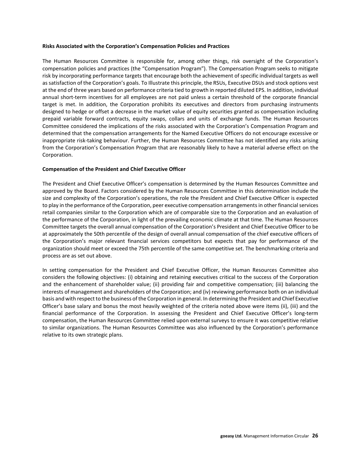### **Risks Associated with the Corporation's Compensation Policies and Practices**

The Human Resources Committee is responsible for, among other things, risk oversight of the Corporation's compensation policies and practices (the "Compensation Program"). The Compensation Program seeks to mitigate risk by incorporating performance targets that encourage both the achievement of specific individual targets as well as satisfaction of the Corporation's goals. To Illustrate this principle, the RSUs, Executive DSUs and stock options vest at the end of three years based on performance criteria tied to growth in reported diluted EPS. In addition, individual annual short-term incentives for all employees are not paid unless a certain threshold of the corporate financial target is met. In addition, the Corporation prohibits its executives and directors from purchasing instruments designed to hedge or offset a decrease in the market value of equity securities granted as compensation including prepaid variable forward contracts, equity swaps, collars and units of exchange funds. The Human Resources Committee considered the implications of the risks associated with the Corporation's Compensation Program and determined that the compensation arrangements for the Named Executive Officers do not encourage excessive or inappropriate risk-taking behaviour. Further, the Human Resources Committee has not identified any risks arising from the Corporation's Compensation Program that are reasonably likely to have a material adverse effect on the Corporation.

### **Compensation of the President and Chief Executive Officer**

The President and Chief Executive Officer's compensation is determined by the Human Resources Committee and approved by the Board. Factors considered by the Human Resources Committee in this determination include the size and complexity of the Corporation's operations, the role the President and Chief Executive Officer is expected to play in the performance of the Corporation, peer executive compensation arrangements in other financial services retail companies similar to the Corporation which are of comparable size to the Corporation and an evaluation of the performance of the Corporation, in light of the prevailing economic climate at that time. The Human Resources Committee targets the overall annual compensation of the Corporation's President and Chief Executive Officer to be at approximately the 50th percentile of the design of overall annual compensation of the chief executive officers of the Corporation's major relevant financial services competitors but expects that pay for performance of the organization should meet or exceed the 75th percentile of the same competitive set. The benchmarking criteria and process are as set out above.

In setting compensation for the President and Chief Executive Officer, the Human Resources Committee also considers the following objectives: (i) obtaining and retaining executives critical to the success of the Corporation and the enhancement of shareholder value; (ii) providing fair and competitive compensation; (iii) balancing the interests of management and shareholders of the Corporation; and (iv) reviewing performance both on an individual basis and with respect to the business of the Corporation in general. In determining the President and Chief Executive Officer's base salary and bonus the most heavily weighted of the criteria noted above were items (ii), (iii) and the financial performance of the Corporation. In assessing the President and Chief Executive Officer's long-term compensation, the Human Resources Committee relied upon external surveys to ensure it was competitive relative to similar organizations. The Human Resources Committee was also influenced by the Corporation's performance relative to its own strategic plans.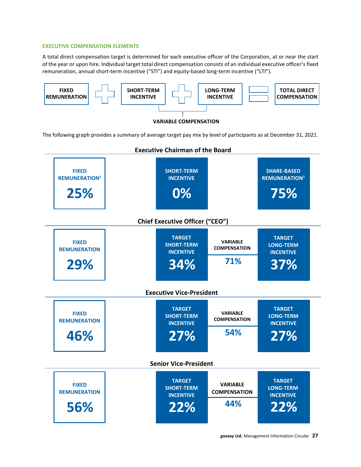### <span id="page-27-0"></span>**EXECUTIVE COMPENSATION ELEMENTS**

A total direct compensation target is determined for each executive officer of the Corporation, at or near the start of the year or upon hire. Individual target total direct compensation consists of an individual executive officer's fixed remuneration, annual short-term incentive ("STI") and equity-based long-term incentive ("LTI").

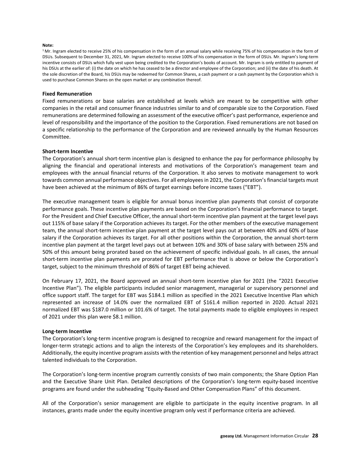#### **Note:**

<sup>1</sup> Mr. Ingram elected to receive 25% of his compensation in the form of an annual salary while receiving 75% of his compensation in the form of DSUs. Subsequent to December 31, 2021, Mr. Ingram elected to receive 100% of his compensation in the form of DSUs. Mr. Ingram's long-term incentive consists of DSUs which fully vest upon being credited to the Corporation's books of account. Mr. Ingram is only entitled to payment of his DSUs at the earlier of: (i) the date on which he has ceased to be a director and employee of the Corporation; and (ii) the date of his death. At the sole discretion of the Board, his DSUs may be redeemed for Common Shares, a cash payment or a cash payment by the Corporation which is used to purchase Common Shares on the open market or any combination thereof.

#### **Fixed Remuneration**

Fixed remunerations or base salaries are established at levels which are meant to be competitive with other companies in the retail and consumer finance industries similar to and of comparable size to the Corporation. Fixed remunerations are determined following an assessment of the executive officer's past performance, experience and level of responsibility and the importance of the position to the Corporation. Fixed remunerations are not based on a specific relationship to the performance of the Corporation and are reviewed annually by the Human Resources Committee.

#### **Short-term Incentive**

The Corporation's annual short-term incentive plan is designed to enhance the pay for performance philosophy by aligning the financial and operational interests and motivations of the Corporation's management team and employees with the annual financial returns of the Corporation. It also serves to motivate management to work towards common annual performance objectives. For all employees in 2021, the Corporation's financial targets must have been achieved at the minimum of 86% of target earnings before income taxes ("EBT").

The executive management team is eligible for annual bonus incentive plan payments that consist of corporate performance goals. These incentive plan payments are based on the Corporation's financial performance to target. For the President and Chief Executive Officer, the annual short-term incentive plan payment at the target level pays out 115% of base salary if the Corporation achieves its target. For the other members of the executive management team, the annual short-term incentive plan payment at the target level pays out at between 40% and 60% of base salary if the Corporation achieves its target. For all other positions within the Corporation, the annual short-term incentive plan payment at the target level pays out at between 10% and 30% of base salary with between 25% and 50% of this amount being prorated based on the achievement of specific individual goals. In all cases, the annual short-term incentive plan payments are prorated for EBT performance that is above or below the Corporation's target, subject to the minimum threshold of 86% of target EBT being achieved.

On February 17, 2021, the Board approved an annual short-term incentive plan for 2021 (the "2021 Executive Incentive Plan"). The eligible participants included senior management, managerial or supervisory personnel and office support staff. The target for EBT was \$184.1 million as specified in the 2021 Executive Incentive Plan which represented an increase of 14.0% over the normalized EBT of \$161.4 million reported in 2020. Actual 2021 normalized EBT was \$187.0 million or 101.6% of target. The total payments made to eligible employees in respect of 2021 under this plan were \$8.1 million.

#### **Long-term Incentive**

The Corporation's long-term incentive program is designed to recognize and reward management for the impact of longer-term strategic actions and to align the interests of the Corporation's key employees and its shareholders. Additionally, the equity incentive program assists with the retention of key management personnel and helps attract talented individuals to the Corporation.

The Corporation's long-term incentive program currently consists of two main components; the Share Option Plan and the Executive Share Unit Plan. Detailed descriptions of the Corporation's long-term equity-based incentive programs are found under the subheading "Equity-Based and Other Compensation Plans" of this document.

All of the Corporation's senior management are eligible to participate in the equity incentive program. In all instances, grants made under the equity incentive program only vest if performance criteria are achieved.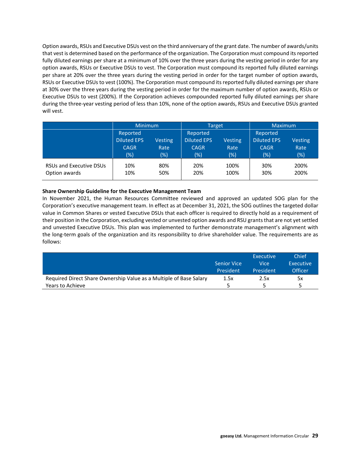Option awards, RSUs and Executive DSUs vest on the third anniversary of the grant date. The number of awards/units that vest is determined based on the performance of the organization. The Corporation must compound its reported fully diluted earnings per share at a minimum of 10% over the three years during the vesting period in order for any option awards, RSUs or Executive DSUs to vest. The Corporation must compound its reported fully diluted earnings per share at 20% over the three years during the vesting period in order for the target number of option awards, RSUs or Executive DSUs to vest (100%). The Corporation must compound its reported fully diluted earnings per share at 30% over the three years during the vesting period in order for the maximum number of option awards, RSUs or Executive DSUs to vest (200%). If the Corporation achieves compounded reported fully diluted earnings per share during the three-year vesting period of less than 10%, none of the option awards, RSUs and Executive DSUs granted will vest.

|                                                 | <b>Minimum</b>                                          |                                  | <b>Target</b>                                           |                                  | <b>Maximum</b>                                       |                               |
|-------------------------------------------------|---------------------------------------------------------|----------------------------------|---------------------------------------------------------|----------------------------------|------------------------------------------------------|-------------------------------|
|                                                 | Reported<br><b>Diluted EPS</b><br><b>CAGR</b><br>$(\%)$ | <b>Vesting</b><br>Rate<br>$(\%)$ | Reported<br><b>Diluted EPS</b><br><b>CAGR</b><br>$(\%)$ | <b>Vesting</b><br>Rate<br>$(\%)$ | Reported<br><b>Diluted EPS</b><br><b>CAGR</b><br>(%) | <b>Vesting</b><br>Rate<br>(%) |
| <b>RSUs and Executive DSUs</b><br>Option awards | 10%<br>10%                                              | 80%<br>50%                       | 20%<br>20%                                              | 100%<br>100%                     | 30%<br>30%                                           | 200%<br>200%                  |

### **Share Ownership Guideline for the Executive Management Team**

In November 2021, the Human Resources Committee reviewed and approved an updated SOG plan for the Corporation's executive management team. In effect as at December 31, 2021, the SOG outlines the targeted dollar value in Common Shares or vested Executive DSUs that each officer is required to directly hold as a requirement of their position in the Corporation, excluding vested or unvested option awards and RSU grants that are not yet settled and unvested Executive DSUs. This plan was implemented to further demonstrate management's alignment with the long-term goals of the organization and its responsibility to drive shareholder value. The requirements are as follows:

|                                                                    | <b>Senior Vice</b><br>President | Executive<br>Vicel<br>President | Chief<br>Executive<br>Officer |
|--------------------------------------------------------------------|---------------------------------|---------------------------------|-------------------------------|
| Required Direct Share Ownership Value as a Multiple of Base Salary | 1.5x                            | 2.5x                            | 5x                            |
| Years to Achieve                                                   |                                 |                                 | 5                             |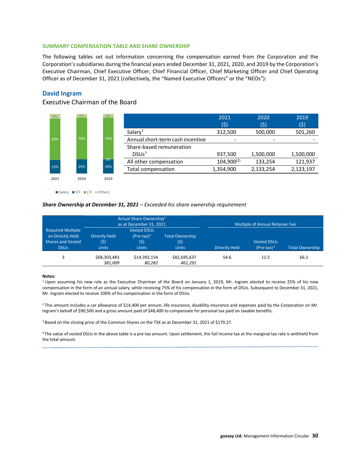### <span id="page-30-0"></span>**SUMMARY COMPENSATION TABLE AND SHARE OWNERSHIP**

The following tables set out information concerning the compensation earned from the Corporation and the Corporation's subsidiaries during the financial years ended December 31, 2021, 2020, and 2019 by the Corporation's Executive Chairman, Chief Executive Officer, Chief Financial Officer, Chief Marketing Officer and Chief Operating Officer as of December 31, 2021 (collectively, the "Named Executive Officers" or the "NEOs"):

### **David Ingram**

## Executive Chairman of the Board



Salary STI LTI Others

#### *Share Ownership at December 31, 2021 – Exceeded his share ownership requirement*

|                                                                                         |                                             | Actual Share Ownership <sup>3</sup><br>as at December 31, 2021 |                                                | <b>Multiple of Annual Retainer Fee</b> |                                     |                        |  |  |
|-----------------------------------------------------------------------------------------|---------------------------------------------|----------------------------------------------------------------|------------------------------------------------|----------------------------------------|-------------------------------------|------------------------|--|--|
| <b>Required Multiple</b><br>on Directly Held<br><b>Shares and Vested</b><br><b>DSUs</b> | <b>Directly Held</b><br>(5)<br><b>Units</b> | <b>Vested DSUs</b><br>$(Pre-tax)^4$<br>(5)<br><b>Units</b>     | <b>Total Ownership</b><br>(\$)<br><b>Units</b> | <b>Directly Held</b>                   | <b>Vested DSUs</b><br>(Pre-tax) $4$ | <b>Total Ownership</b> |  |  |
| 3                                                                                       | \$68,303,483<br>381,009                     | \$14.392.154<br>80,282                                         | \$82,695,637<br>461,291                        | 54.6                                   | 11.5                                | 66.1                   |  |  |

#### **Notes:**

 $1$  Upon assuming his new role as the Executive Chairman of the Board on January 1, 2019, Mr. Ingram elected to receive 25% of his new compensation in the form of an annual salary, while receiving 75% of his compensation in the form of DSUs. Subsequent to December 31, 2021, Mr. Ingram elected to receive 100% of his compensation in the form of DSUs.

<sup>2</sup> This amount includes a car allowance of \$14,400 per annum, life insurance, disability insurance and expenses paid by the Corporation on Mr. Ingram's behalf of \$90,500 and a gross amount paid of \$48,400 to compensate for personal tax paid on taxable benefits.

3 Based on the closing price of the Common Shares on the TSX as at December 31, 2021 of \$179.27.

4 The value of vested DSUs in the above table is a pre-tax amount. Upon settlement, the full income tax at the marginal tax rate is withheld from the total amount.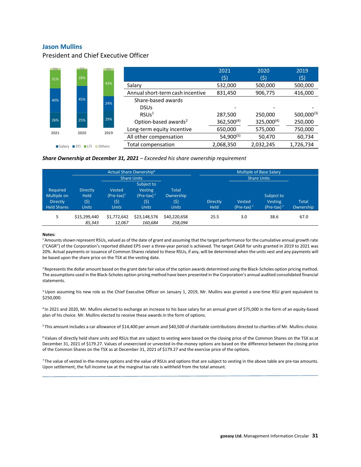### **Jason Mullins**

President and Chief Executive Officer



#### *Share Ownership at December 31, 2021 – Exceeded his share ownership requirement*

|                                                                  |                                                       |                                                 | Actual Share Ownership <sup>6</sup>                                   | <b>Multiple of Base Salary</b>                    |                         |                         |                                               |                           |
|------------------------------------------------------------------|-------------------------------------------------------|-------------------------------------------------|-----------------------------------------------------------------------|---------------------------------------------------|-------------------------|-------------------------|-----------------------------------------------|---------------------------|
|                                                                  | <b>Share Units</b>                                    |                                                 |                                                                       |                                                   |                         |                         | <b>Share Units</b>                            |                           |
| Required<br>Multiple on<br><b>Directly</b><br><b>Held Shares</b> | <b>Directly</b><br><b>Held</b><br>(5)<br><b>Units</b> | Vested<br>$(Pre-tax)^7$<br>(\$)<br><b>Units</b> | Subject to<br><b>Vesting</b><br>(Pre-tax) $7$<br>(\$)<br><b>Units</b> | <b>Total</b><br>Ownership<br>(\$)<br><b>Units</b> | <b>Directly</b><br>Held | Vested<br>(Pre-tax) $7$ | Subject to<br><b>Vesting</b><br>(Pre-tax) $7$ | <b>Total</b><br>Ownership |
| 5                                                                | \$15,299,440<br>85.343                                | \$1,772,642<br>12.067                           | \$23,148,576<br>160.684                                               | \$40,220,658<br>258,094                           | 25.5                    | 3.0                     | 38.6                                          | 67.0                      |

#### **Notes:**

1 Amounts shown represent RSUs, valued as of the date of grant and assuming that the target performance for the cumulative annual growth rate ("CAGR") of the Corporation's reported diluted EPS over a three-year period is achieved. The target CAGR for units granted in 2019 to 2021 was 20%. Actual payments or issuance of Common Shares related to these RSUs, if any, will be determined when the units vest and any payments will be based upon the share price on the TSX at the vesting date.

<sup>2</sup> Represents the dollar amount based on the grant date fair value of the option awards determined using the Black-Scholes option pricing method. The assumptions used in the Black-Scholes option pricing method have been presented in the Corporation's annual audited consolidated financial statements.

<sup>3</sup> Upon assuming his new role as the Chief Executive Officer on January 1, 2019, Mr. Mullins was granted a one-time RSU grant equivalent to \$250,000.

4 In 2021 and 2020, Mr. Mullins elected to exchange an increase to his base salary for an annual grant of \$75,000 in the form of an equity-based plan of his choice. Mr. Mullins elected to receive these awards in the form of options.

5 This amount includes a car allowance of \$14,400 per annum and \$40,500 of charitable contributions directed to charities of Mr. Mullins choice.

<sup>6</sup> Values of directly held share units and RSUs that are subject to vesting were based on the closing price of the Common Shares on the TSX as at December 31, 2021 of \$179.27. Values of unexercised or unvested in-the-money options are based on the difference between the closing price of the Common Shares on the TSX as at December 31, 2021 of \$179.27 and the exercise price of the options.

7 The value of vested in-the-money options and the value of RSUs and options that are subject to vesting in the above table are pre-tax amounts. Upon settlement, the full income tax at the marginal tax rate is withheld from the total amount.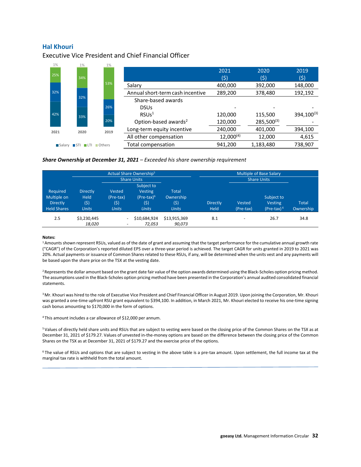### **Hal Khouri**

Executive Vice President and Chief Financial Officer



#### *Share Ownership at December 31, 2021 – Exceeded his share ownership requirement*

|                                                                  |                                                        |                                                      | Actual Share Ownership <sup>5</sup>                                   | <b>Multiple of Base Salary</b>                    |                                |                          |                                               |                           |
|------------------------------------------------------------------|--------------------------------------------------------|------------------------------------------------------|-----------------------------------------------------------------------|---------------------------------------------------|--------------------------------|--------------------------|-----------------------------------------------|---------------------------|
|                                                                  | <b>Share Units</b>                                     |                                                      |                                                                       |                                                   |                                | <b>Share Units</b>       |                                               |                           |
| Required<br>Multiple on<br><b>Directly</b><br><b>Held Shares</b> | <b>Directly</b><br><b>Held</b><br>(\$)<br><b>Units</b> | Vested<br>(Pre-tax)<br>(\$)<br><b>Units</b>          | Subject to<br><b>Vesting</b><br>$(Pre-tax)^6$<br>(\$)<br><b>Units</b> | <b>Total</b><br>Ownership<br>(\$)<br><b>Units</b> | <b>Directly</b><br><b>Held</b> | Vested<br>(Pre-tax)      | Subject to<br><b>Vesting</b><br>(Pre-tax) $6$ | <b>Total</b><br>Ownership |
| 2.5                                                              | \$3,230,445<br>18,020                                  | $\overline{\phantom{0}}$<br>$\overline{\phantom{0}}$ | \$10,684,924<br>72,053                                                | \$13,915,369<br>90,073                            | 8.1                            | $\overline{\phantom{a}}$ | 26.7                                          | 34.8                      |

#### **Notes:**

<sup>1</sup> Amounts shown represent RSUs, valued as of the date of grant and assuming that the target performance for the cumulative annual growth rate ("CAGR") of the Corporation's reported diluted EPS over a three-year period is achieved. The target CAGR for units granted in 2019 to 2021 was 20%. Actual payments or issuance of Common Shares related to these RSUs, if any, will be determined when the units vest and any payments will be based upon the share price on the TSX at the vesting date.

<sup>2</sup> Represents the dollar amount based on the grant date fair value of the option awards determined using the Black-Scholes option pricing method. The assumptions used in the Black-Scholes option pricing method have been presented in the Corporation's annual audited consolidated financial statements.

<sup>3</sup> Mr. Khouri was hired to the role of Executive Vice President and Chief Financial Officer in August 2019. Upon joining the Corporation, Mr. Khouri was granted a one-time upfront RSU grant equivalent to \$394,100. In addition, in March 2021, Mr. Khouri elected to receive his one-time signing cash bonus amounting to \$170,000 in the form of options.

4 This amount includes a car allowance of \$12,000 per annum.

5 Values of directly held share units and RSUs that are subject to vesting were based on the closing price of the Common Shares on the TSX as at December 31, 2021 of \$179.27. Values of unvested in-the-money options are based on the difference between the closing price of the Common Shares on the TSX as at December 31, 2021 of \$179.27 and the exercise price of the options.

6 The value of RSUs and options that are subject to vesting in the above table is a pre-tax amount. Upon settlement, the full income tax at the marginal tax rate is withheld from the total amount.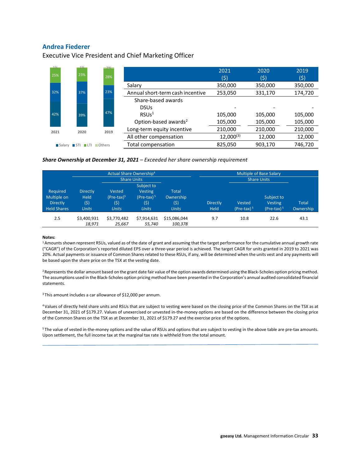### **Andrea Fiederer**

Executive Vice President and Chief Marketing Officer



### *Share Ownership at December 31, 2021 – Exceeded her share ownership requirement*

|                                                                  |                                                        | Actual Share Ownership <sup>4</sup>            |                                                                      | <b>Multiple of Base Salary</b>                    |                         |                        |                                               |                           |
|------------------------------------------------------------------|--------------------------------------------------------|------------------------------------------------|----------------------------------------------------------------------|---------------------------------------------------|-------------------------|------------------------|-----------------------------------------------|---------------------------|
|                                                                  |                                                        | <b>Share Units</b>                             |                                                                      |                                                   |                         |                        | <b>Share Units</b>                            |                           |
| Required<br>Multiple on<br><b>Directly</b><br><b>Held Shares</b> | <b>Directly</b><br><b>Held</b><br>(\$)<br><b>Units</b> | Vested<br>$(Pre-tax)5$<br>(\$)<br><b>Units</b> | Subject to<br><b>Vesting</b><br>$(Pre-tax)5$<br>(\$)<br><b>Units</b> | <b>Total</b><br>Ownership<br>(\$)<br><b>Units</b> | <b>Directly</b><br>Held | Vested<br>$(Pre-tax)5$ | Subject to<br><b>Vesting</b><br>(Pre-tax) $5$ | <b>Total</b><br>Ownership |
| 2.5                                                              | \$3,400,931<br>18,971                                  | \$3,770,482<br>25,667                          | \$7,914,631<br>55,740                                                | \$15,086,044<br>100,378                           | 9.7                     | 10.8                   | 22.6                                          | 43.1                      |

#### **Notes:**

<sup>1</sup> Amounts shown represent RSUs, valued as of the date of grant and assuming that the target performance for the cumulative annual growth rate ("CAGR") of the Corporation's reported diluted EPS over a three-year period is achieved. The target CAGR for units granted in 2019 to 2021 was 20%. Actual payments or issuance of Common Shares related to these RSUs, if any, will be determined when the units vest and any payments will be based upon the share price on the TSX at the vesting date.

<sup>2</sup> Represents the dollar amount based on the grant date fair value of the option awards determined using the Black-Scholes option pricing method. The assumptions used in the Black-Scholes option pricing method have been presented in the Corporation's annual audited consolidated financial statements.

<sup>3</sup> This amount includes a car allowance of \$12,000 per annum.

4 Values of directly held share units and RSUs that are subject to vesting were based on the closing price of the Common Shares on the TSX as at December 31, 2021 of \$179.27. Values of unexercised or unvested in-the-money options are based on the difference between the closing price of the Common Shares on the TSX as at December 31, 2021 of \$179.27 and the exercise price of the options.

<sup>5</sup> The value of vested in-the-money options and the value of RSUs and options that are subject to vesting in the above table are pre-tax amounts. Upon settlement, the full income tax at the marginal tax rate is withheld from the total amount.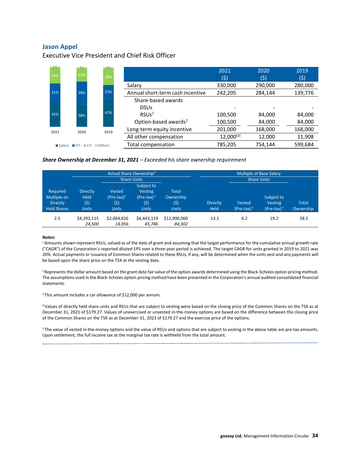### **Jason Appel**

Executive Vice President and Chief Risk Officer



#### *Share Ownership at December 31, 2021 – Exceeded his share ownership requirement*

|                                                                  |                                                        | Actual Share Ownership <sup>4</sup>             |                                                                      | <b>Multiple of Base Salary</b>                    |                                |                        |                                              |                           |
|------------------------------------------------------------------|--------------------------------------------------------|-------------------------------------------------|----------------------------------------------------------------------|---------------------------------------------------|--------------------------------|------------------------|----------------------------------------------|---------------------------|
|                                                                  | <b>Share Units</b>                                     |                                                 |                                                                      |                                                   |                                | <b>Share Units</b>     |                                              |                           |
| Required<br>Multiple on<br><b>Directly</b><br><b>Held Shares</b> | <b>Directly</b><br><b>Held</b><br>(\$)<br><b>Units</b> | Vested<br>$(Pre-tax)^5$<br>(\$)<br><b>Units</b> | Subject to<br><b>Vesting</b><br>$(Pre-tax)5$<br>(\$)<br><b>Units</b> | <b>Total</b><br>Ownership<br>(\$)<br><b>Units</b> | <b>Directly</b><br><b>Held</b> | Vested<br>$(Pre-tax)5$ | Subject to<br><b>Vesting</b><br>$(Pre-tax)5$ | <b>Total</b><br>Ownership |
| 2.5                                                              | \$4,392,115<br>24,500                                  | \$2,064,826<br>14,056                           | \$6,443,119<br>45.746                                                | \$12,900,060<br>84,302                            | 13.1                           | 6.2                    | 19.2                                         | 38.5                      |

#### **Notes:**

<sup>1</sup> Amounts shown represent RSUs, valued as of the date of grant and assuming that the target performance for the cumulative annual growth rate ("CAGR") of the Corporation's reported diluted EPS over a three-year period is achieved. The target CAGR for units granted in 2019 to 2021 was 20%. Actual payments or issuance of Common Shares related to these RSUs, if any, will be determined when the units vest and any payments will be based upon the share price on the TSX at the vesting date.

<sup>2</sup> Represents the dollar amount based on the grant date fair value of the option awards determined using the Black-Scholes option pricing method. The assumptions used in the Black-Scholes option pricing method have been presented in the Corporation's annual audited consolidated financial statements.

<sup>3</sup> This amount includes a car allowance of \$12,000 per annum.

4 Values of directly held share units and RSUs that are subject to vesting were based on the closing price of the Common Shares on the TSX as at December 31, 2021 of \$179.27. Values of unexercised or unvested in-the-money options are based on the difference between the closing price of the Common Shares on the TSX as at December 31, 2021 of \$179.27 and the exercise price of the options.

<sup>5</sup> The value of vested in-the-money options and the value of RSUs and options that are subject to vesting in the above table are pre-tax amounts. Upon settlement, the full income tax at the marginal tax rate is withheld from the total amount.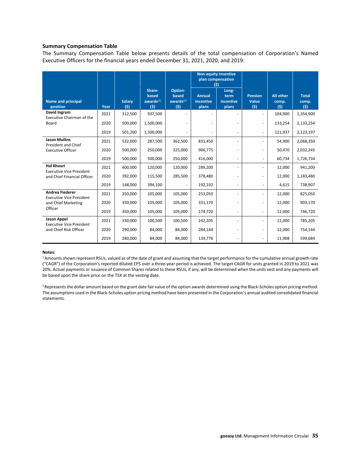### **Summary Compensation Table**

The Summary Compensation Table below presents details of the total compensation of Corporation's Named Executive Officers for the financial years ended December 31, 2021, 2020, and 2019:

|                                                           |      |                      |                                        |                                         | <b>Non-equity incentive</b><br>plan compensation<br>(5) |                                     |                                |                                  |                              |
|-----------------------------------------------------------|------|----------------------|----------------------------------------|-----------------------------------------|---------------------------------------------------------|-------------------------------------|--------------------------------|----------------------------------|------------------------------|
| <b>Name and principal</b><br>position                     | Year | <b>Salary</b><br>(s) | Share-<br>based<br>awards $(1)$<br>(5) | Option-<br>based<br>awards $(2)$<br>(5) | <b>Annual</b><br>incentive<br>plans                     | Long-<br>term<br>incentive<br>plans | <b>Pension</b><br>Value<br>(5) | <b>All other</b><br>comp.<br>(5) | <b>Total</b><br>comp.<br>(5) |
| David Ingram<br>Executive Chairman of the                 | 2021 | 312,500              | 937,500                                |                                         |                                                         |                                     |                                | 104,900                          | 1,354,900                    |
| Board                                                     | 2020 | 500,000              | 1,500,000                              |                                         |                                                         |                                     |                                | 133,254                          | 2,133,254                    |
|                                                           | 2019 | 501,260              | 1,500,000                              | ÷                                       |                                                         |                                     |                                | 121,937                          | 2,123,197                    |
| <b>Jason Mullins</b><br>President and Chief               | 2021 | 532,000              | 287,500                                | 362,500                                 | 831,450                                                 |                                     |                                | 54,900                           | 2,068,350                    |
| <b>Executive Officer</b>                                  | 2020 | 500,000              | 250,000                                | 325,000                                 | 906,775                                                 |                                     |                                | 50,470                           | 2,032,245                    |
|                                                           | 2019 | 500,000              | 500,000                                | 250,000                                 | 416,000                                                 | ٠                                   |                                | 60,734                           | 1,726,734                    |
| <b>Hal Khouri</b><br><b>Executive Vice President</b>      | 2021 | 400,000              | 120,000                                | 120,000                                 | 289,200                                                 |                                     |                                | 12,000                           | 941,200                      |
| and Chief Financial Officer                               | 2020 | 392,000              | 115,500                                | 285,500                                 | 378,480                                                 |                                     |                                | 12,000                           | 1,183,480                    |
|                                                           | 2019 | 148,000              | 394,100                                | ٠                                       | 192,192                                                 |                                     |                                | 4,615                            | 738,907                      |
| <b>Andrea Fiederer</b><br><b>Executive Vice President</b> | 2021 | 350,000              | 105,000                                | 105,000                                 | 253,050                                                 |                                     |                                | 12,000                           | 825,050                      |
| and Chief Marketing                                       | 2020 | 350,000              | 105,000                                | 105,000                                 | 331,170                                                 |                                     |                                | 12,000                           | 903,170                      |
| Officer                                                   | 2019 | 350,000              | 105,000                                | 105,000                                 | 174,720                                                 |                                     |                                | 12,000                           | 746,720                      |
| Jason Appel<br><b>Executive Vice President</b>            | 2021 | 330,000              | 100,500                                | 100,500                                 | 242,205                                                 |                                     |                                | 12,000                           | 785,205                      |
| and Chief Risk Officer                                    | 2020 | 290,000              | 84,000                                 | 84,000                                  | 284,144                                                 |                                     |                                | 12,000                           | 754,144                      |
|                                                           | 2019 | 280,000              | 84,000                                 | 84,000                                  | 139,776                                                 |                                     |                                | 11,908                           | 599,684                      |

### **Notes:**

1 Amounts shown represent RSUs, valued as of the date of grant and assuming that the target performance for the cumulative annual growth rate ("CAGR") of the Corporation's reported diluted EPS over a three-year period is achieved. The target CAGR for units granted in 2019 to 2021 was 20%. Actual payments or issuance of Common Shares related to these RSUs, if any, will be determined when the units vest and any payments will be based upon the share price on the TSX at the vesting date.

<sup>2</sup> Represents the dollar amount based on the grant date fair value of the option awards determined using the Black-Scholes option pricing method. The assumptions used in the Black-Scholes option pricing method have been presented in the Corporation's annual audited consolidated financial statements.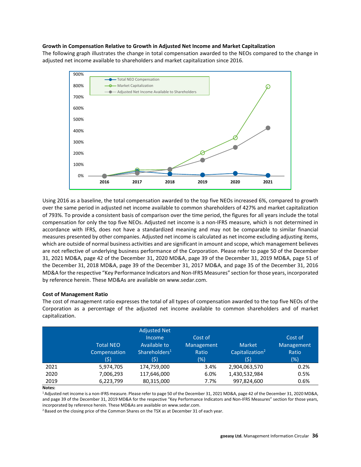### **Growth in Compensation Relative to Growth in Adjusted Net Income and Market Capitalization**

The following graph illustrates the change in total compensation awarded to the NEOs compared to the change in adjusted net income available to shareholders and market capitalization since 2016.



Using 2016 as a baseline, the total compensation awarded to the top five NEOs increased 6%, compared to growth over the same period in adjusted net income available to common shareholders of 427% and market capitalization of 793%. To provide a consistent basis of comparison over the time period, the figures for all years include the total compensation for only the top five NEOs. Adjusted net income is a non-IFRS measure, which is not determined in accordance with IFRS, does not have a standardized meaning and may not be comparable to similar financial measures presented by other companies. Adjusted net income is calculated as net income excluding adjusting items, which are outside of normal business activities and are significant in amount and scope, which management believes are not reflective of underlying business performance of the Corporation. Please refer to page 50 of the December 31, 2021 MD&A, page 42 of the December 31, 2020 MD&A, page 39 of the December 31, 2019 MD&A, page 51 of the December 31, 2018 MD&A, page 39 of the December 31, 2017 MD&A, and page 35 of the December 31, 2016 MD&A for the respective "Key Performance Indicators and Non-IFRS Measures" section for those years, incorporated by reference herein. These MD&As are available on [www.sedar.com.](http://www.sedar.com/) 

### **Cost of Management Ratio**

The cost of management ratio expresses the total of all types of compensation awarded to the top five NEOs of the Corporation as a percentage of the adjusted net income available to common shareholders and of market capitalization.

|      | <b>Total NEO</b><br>Compensation<br>(\$) | <b>Adjusted Net</b><br><b>Income</b><br>Available to<br>Shareholders <sup>1</sup><br>(\$) | Cost of<br>Management<br>Ratio<br>(%) | <b>Market</b><br>Capitalization <sup>2</sup><br>(\$) | Cost of<br>Management<br>Ratio<br>(%) |
|------|------------------------------------------|-------------------------------------------------------------------------------------------|---------------------------------------|------------------------------------------------------|---------------------------------------|
| 2021 | 5,974,705                                | 174,759,000                                                                               | 3.4%                                  | 2,904,063,570                                        | 0.2%                                  |
| 2020 | 7,006,293                                | 117,646,000                                                                               | 6.0%                                  | 1,430,532,984                                        | 0.5%                                  |
| 2019 | 6,223,799                                | 80,315,000                                                                                | 7.7%                                  | 997,824,600                                          | 0.6%                                  |

**Notes:**

1 Adjusted net income is a non-IFRS measure. Please refer to page 50 of the December 31, 2021 MD&A, page 42 of the December 31, 2020 MD&A, and page 39 of the December 31, 2019 MD&A for the respective "Key Performance Indicators and Non-IFRS Measures" section for those years, incorporated by reference herein. These MD&As are available on [www.sedar.com.](http://www.sedar.com/)<br><sup>2</sup> Based on the closing price of the Common Shares on the TSX as at December 31 of each year.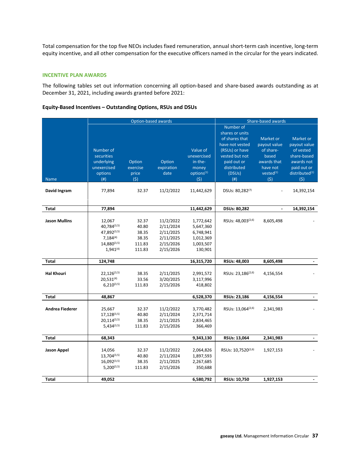Total compensation for the top five NEOs includes fixed remuneration, annual short-term cash incentive, long-term equity incentive, and all other compensation for the executive officers named in the circular for the years indicated.

## **INCENTIVE PLAN AWARDS**

The following tables set out information concerning all option-based and share-based awards outstanding as at December 31, 2021, including awards granted before 2021:

### **Equity-Based Incentives – Outstanding Options, RSUs and DSUs**

|                        |                                                                                            | Option-based awards                                  |                                                                            |                                                                              |                                                                                                                                                       | Share-based awards                                                                                         |                                                                                                                         |  |
|------------------------|--------------------------------------------------------------------------------------------|------------------------------------------------------|----------------------------------------------------------------------------|------------------------------------------------------------------------------|-------------------------------------------------------------------------------------------------------------------------------------------------------|------------------------------------------------------------------------------------------------------------|-------------------------------------------------------------------------------------------------------------------------|--|
| <b>Name</b>            | Number of<br>securities<br>underlying<br>unexercised<br>options<br>(# )                    | Option<br>exercise<br>price<br>(5)                   | Option<br>expiration<br>date                                               | Value of<br>unexercised<br>in-the-<br>money<br>options <sup>(1)</sup><br>(5) | Number of<br>shares or units<br>of shares that<br>have not vested<br>(RSUs) or have<br>vested but not<br>paid out or<br>distributed<br>(DSUs)<br>(# ) | Market or<br>payout value<br>of share-<br>based<br>awards that<br>have not<br>vested <sup>(1)</sup><br>(5) | Market or<br>payout value<br>of vested<br>share-based<br>awards not<br>paid out or<br>distributed <sup>(1)</sup><br>(5) |  |
| David Ingram           | 77,894                                                                                     | 32.37                                                | 11/2/2022                                                                  | 11,442,629                                                                   | DSUs: 80,282(7)                                                                                                                                       |                                                                                                            | 14,392,154                                                                                                              |  |
| Total                  | 77,894                                                                                     |                                                      |                                                                            | 11,442,629                                                                   | <b>DSUs: 80,282</b>                                                                                                                                   |                                                                                                            | 14,392,154                                                                                                              |  |
| <b>Jason Mullins</b>   | 12,067<br>40.784(3,5)<br>47.892(3,5)<br>$7,184^{(4)}$<br>$14,880^{(3,5)}$<br>$1,941^{(4)}$ | 32.37<br>40.80<br>38.35<br>38.35<br>111.83<br>111.83 | 11/2/2022<br>2/11/2024<br>2/11/2025<br>2/11/2025<br>2/15/2026<br>2/15/2026 | 1,772,642<br>5,647,360<br>6,748,941<br>1,012,369<br>1,003,507<br>130,901     | RSUs: 48,003(2,6)                                                                                                                                     | 8,605,498                                                                                                  |                                                                                                                         |  |
| <b>Total</b>           | 124,748                                                                                    |                                                      |                                                                            | 16,315,720                                                                   | RSUs: 48,003                                                                                                                                          | 8,605,498                                                                                                  |                                                                                                                         |  |
| <b>Hal Khouri</b>      | $22,126^{(3,5)}$<br>$20,531^{(4)}$<br>$6.210^{(3,5)}$                                      | 38.35<br>33.56<br>111.83                             | 2/11/2025<br>3/20/2025<br>2/15/2026                                        | 2,991,572<br>3,117,996<br>418,802                                            | RSUs: 23,186 <sup>(2,6)</sup>                                                                                                                         | 4,156,554                                                                                                  |                                                                                                                         |  |
| Total                  | 48,867                                                                                     |                                                      |                                                                            | 6,528,370                                                                    | RSUs: 23,186                                                                                                                                          | 4,156,554                                                                                                  |                                                                                                                         |  |
| <b>Andrea Fiederer</b> | 25,667<br>17,128(3,5)<br>$20.114^{(3,5)}$<br>$5,434^{(3,5)}$                               | 32.37<br>40.80<br>38.35<br>111.83                    | 11/2/2022<br>2/11/2024<br>2/11/2025<br>2/15/2026                           | 3,770,482<br>2,371,714<br>2,834,465<br>366,469                               | RSUs: 13,064 <sup>(2,6)</sup>                                                                                                                         | 2,341,983                                                                                                  |                                                                                                                         |  |
| Total                  | 68,343                                                                                     |                                                      |                                                                            | 9,343,130                                                                    | RSUs: 13,064                                                                                                                                          | 2,341,983                                                                                                  |                                                                                                                         |  |
| <b>Jason Appel</b>     | 14,056<br>$13,704^{(3,5)}$<br>$16,092^{(3,5)}$<br>$5,200^{(3,5)}$                          | 32.37<br>40.80<br>38.35<br>111.83                    | 11/2/2022<br>2/11/2024<br>2/11/2025<br>2/15/2026                           | 2,064,826<br>1,897,593<br>2,267,685<br>350,688                               | RSUs: 10,7520(2,6)                                                                                                                                    | 1,927,153                                                                                                  |                                                                                                                         |  |
| <b>Total</b>           | 49,052                                                                                     |                                                      |                                                                            | 6,580,792                                                                    | RSUs: 10,750                                                                                                                                          | 1,927,153                                                                                                  |                                                                                                                         |  |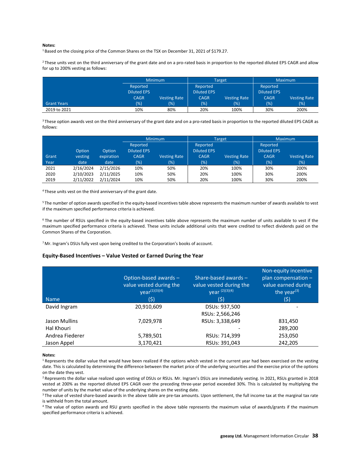#### **Notes:**

<sup>1</sup> Based on the closing price of the Common Shares on the TSX on December 31, 2021 of \$179.27.

<sup>2</sup> These units vest on the third anniversary of the grant date and on a pro-rated basis in proportion to the reported diluted EPS CAGR and allow for up to 200% vesting as follows:

|                    |                    | <b>Minimum</b>      |                    | <b>Target</b>       | <b>Maximum</b>     |                     |
|--------------------|--------------------|---------------------|--------------------|---------------------|--------------------|---------------------|
|                    | Reported           |                     | Reported           |                     | Reported           |                     |
|                    | <b>Diluted EPS</b> |                     | <b>Diluted EPS</b> |                     | <b>Diluted EPS</b> |                     |
|                    | <b>CAGR</b>        | <b>Vesting Rate</b> | <b>CAGR</b>        | <b>Vesting Rate</b> | <b>CAGR</b>        | <b>Vesting Rate</b> |
| <b>Grant Years</b> | $(\%)$             | (% )                | $(\%)$             | (% )                | (%)                | (%)                 |
| 2019 to 2021       | 10%                | 80%                 | 20%                | 100%                | 30%                | 200%                |

<sup>3</sup> These option awards vest on the third anniversary of the grant date and on a pro-rated basis in proportion to the reported diluted EPS CAGR as follows:

|       |           |            | Minimum                        |                     |                                | Target              | <b>Maximum</b>                 |                     |
|-------|-----------|------------|--------------------------------|---------------------|--------------------------------|---------------------|--------------------------------|---------------------|
|       | Option    | Option     | Reported<br><b>Diluted EPS</b> |                     | Reported<br><b>Diluted EPS</b> |                     | Reported<br><b>Diluted EPS</b> |                     |
| Grant | vesting   | expiration | <b>CAGR</b>                    | <b>Vesting Rate</b> | CAGR                           | <b>Vesting Rate</b> | <b>CAGR</b>                    | <b>Vesting Rate</b> |
| Year  | date      | date       | $(\%)$                         | (%)                 | (%)                            | (%)                 | (%)                            | (%)                 |
| 2021  | 2/16/2024 | 2/15/2026  | 10%                            | 50%                 | 20%                            | 100%                | 30%                            | 200%                |
| 2020  | 2/10/2023 | 2/11/2025  | 10%                            | 50%                 | 20%                            | 100%                | 30%                            | 200%                |
| 2019  | 2/11/2022 | 2/11/2024  | 10%                            | 50%                 | 20%                            | 100%                | 30%                            | 200%                |

4 These units vest on the third anniversary of the grant date.

<sup>5</sup> The number of option awards specified in the equity-based incentives table above represents the maximum number of awards available to vest if the maximum specified performance criteria is achieved.

<sup>6</sup> The number of RSUs specified in the equity-based incentives table above represents the maximum number of units available to vest if the maximum specified performance criteria is achieved. These units include additional units that were credited to reflect dividends paid on the Common Shares of the Corporation.

<sup>7</sup> Mr. Ingram's DSUs fully vest upon being credited to the Corporation's books of account.

#### **Equity-Based Incentives – Value Vested or Earned During the Year**

| <b>Name</b>     | Option-based awards -<br>value vested during the<br>year <sup>(1)(3)(4)</sup><br>(5) | Share-based awards $-$<br>value vested during the<br>vear (2)(3)(4)<br>(\$) | Non-equity incentive<br>plan compensation $-$<br>value earned during<br>the year $(3)$<br>(5) |
|-----------------|--------------------------------------------------------------------------------------|-----------------------------------------------------------------------------|-----------------------------------------------------------------------------------------------|
| David Ingram    | 20,910,609                                                                           | DSUs: 937,500                                                               |                                                                                               |
|                 |                                                                                      | RSUs: 2,566,246                                                             |                                                                                               |
| Jason Mullins   | 7,029,978                                                                            | RSUs: 3,338,649                                                             | 831,450                                                                                       |
| Hal Khouri      |                                                                                      |                                                                             | 289,200                                                                                       |
| Andrea Fiederer | 5,789,501                                                                            | RSUs: 714,399                                                               | 253,050                                                                                       |
| Jason Appel     | 3,170,421                                                                            | RSUs: 391,043                                                               | 242,205                                                                                       |

#### **Notes:**

 $1$  Represents the dollar value that would have been realized if the options which vested in the current year had been exercised on the vesting date. This is calculated by determining the difference between the market price of the underlying securities and the exercise price of the options on the date they vest.

<sup>2</sup> Represents the dollar value realized upon vesting of DSUs or RSUs. Mr. Ingram's DSUs are immediately vesting. In 2021, RSUs granted in 2018 vested at 200% as the reported diluted EPS CAGR over the preceding three-year period exceeded 30%. This is calculated by multiplying the number of units by the market value of the underlying shares on the vesting date.

<sup>3</sup> The value of vested share-based awards in the above table are pre-tax amounts. Upon settlement, the full income tax at the marginal tax rate is withheld from the total amount.

4 The value of option awards and RSU grants specified in the above table represents the maximum value of awards/grants if the maximum specified performance criteria is achieved.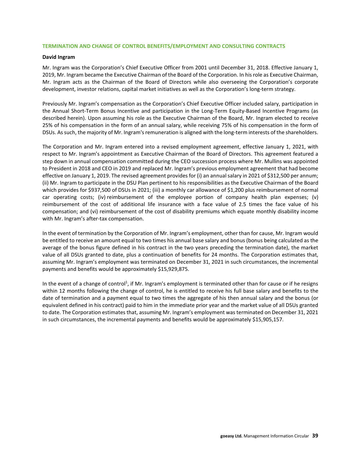### **TERMINATION AND CHANGE OF CONTROL BENEFITS/EMPLOYMENT AND CONSULTING CONTRACTS**

#### **David Ingram**

Mr. Ingram was the Corporation's Chief Executive Officer from 2001 until December 31, 2018. Effective January 1, 2019, Mr. Ingram became the Executive Chairman of the Board of the Corporation. In his role as Executive Chairman, Mr. Ingram acts as the Chairman of the Board of Directors while also overseeing the Corporation's corporate development, investor relations, capital market initiatives as well as the Corporation's long-term strategy.

Previously Mr. Ingram's compensation as the Corporation's Chief Executive Officer included salary, participation in the Annual Short-Term Bonus Incentive and participation in the Long-Term Equity-Based Incentive Programs (as described herein). Upon assuming his role as the Executive Chairman of the Board, Mr. Ingram elected to receive 25% of his compensation in the form of an annual salary, while receiving 75% of his compensation in the form of DSUs. As such, the majority of Mr. Ingram's remuneration is aligned with the long-term interests of the shareholders.

The Corporation and Mr. Ingram entered into a revised employment agreement, effective January 1, 2021, with respect to Mr. Ingram's appointment as Executive Chairman of the Board of Directors. This agreement featured a step down in annual compensation committed during the CEO succession process where Mr. Mullins was appointed to President in 2018 and CEO in 2019 and replaced Mr. Ingram's previous employment agreement that had become effective on January 1, 2019. The revised agreement provides for (i) an annual salary in 2021 of \$312,500 per annum; (ii) Mr. Ingram to participate in the DSU Plan pertinent to his responsibilities as the Executive Chairman of the Board which provides for \$937,500 of DSUs in 2021; (iii) a monthly car allowance of \$1,200 plus reimbursement of normal car operating costs; (iv) reimbursement of the employee portion of company health plan expenses; (v) reimbursement of the cost of additional life insurance with a face value of 2.5 times the face value of his compensation; and (vi) reimbursement of the cost of disability premiums which equate monthly disability income with Mr. Ingram's after-tax compensation.

In the event of termination by the Corporation of Mr. Ingram's employment, other than for cause, Mr. Ingram would be entitled to receive an amount equal to two times his annual base salary and bonus (bonus being calculated as the average of the bonus figure defined in his contract in the two years preceding the termination date), the market value of all DSUs granted to date, plus a continuation of benefits for 24 months. The Corporation estimates that, assuming Mr. Ingram's employment was terminated on December 31, 2021 in such circumstances, the incremental payments and benefits would be approximately \$15,929,875.

In the event of a change of control<sup>1</sup>, if Mr. Ingram's employment is terminated other than for cause or if he resigns within 12 months following the change of control, he is entitled to receive his full base salary and benefits to the date of termination and a payment equal to two times the aggregate of his then annual salary and the bonus (or equivalent defined in his contract) paid to him in the immediate prior year and the market value of all DSUs granted to date. The Corporation estimates that, assuming Mr. Ingram's employment was terminated on December 31, 2021 in such circumstances, the incremental payments and benefits would be approximately \$15,905,157.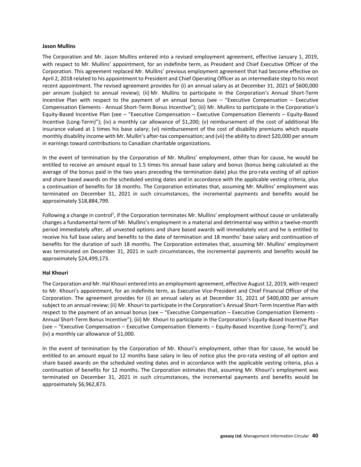### **Jason Mullins**

The Corporation and Mr. Jason Mullins entered into a revised employment agreement, effective January 1, 2019, with respect to Mr. Mullins' appointment, for an indefinite term, as President and Chief Executive Officer of the Corporation. This agreement replaced Mr. Mullins' previous employment agreement that had become effective on April 2, 2018 related to his appointment to President and Chief Operating Officer as an intermediate step to his most recent appointment. The revised agreement provides for (i) an annual salary as at December 31, 2021 of \$600,000 per annum (subject to annual review); (ii) Mr. Mullins to participate in the Corporation's Annual Short-Term Incentive Plan with respect to the payment of an annual bonus (see – "Executive Compensation – Executive Compensation Elements - Annual Short-Term Bonus Incentive"); (iii) Mr. Mullins to participate in the Corporation's Equity-Based Incentive Plan (see – "Executive Compensation – Executive Compensation Elements – Equity-Based Incentive (Long-Term)"); (iv) a monthly car allowance of \$1,200; (v) reimbursement of the cost of additional life insurance valued at 1 times his base salary; (vi) reimbursement of the cost of disability premiums which equate monthly disability income with Mr. Mullin's after-tax compensation; and (vii) the ability to direct \$20,000 per annum in earnings toward contributions to Canadian charitable organizations.

In the event of termination by the Corporation of Mr. Mullins' employment, other than for cause, he would be entitled to receive an amount equal to 1.5 times his annual base salary and bonus (bonus being calculated as the average of the bonus paid in the two years preceding the termination date) plus the pro-rata vesting of all option and share based awards on the scheduled vesting dates and in accordance with the applicable vesting criteria, plus a continuation of benefits for 18 months. The Corporation estimates that, assuming Mr. Mullins' employment was terminated on December 31, 2021 in such circumstances, the incremental payments and benefits would be approximately \$18,884,799.

Following a change in control<sup>1</sup>, if the Corporation terminates Mr. Mullins' employment without cause or unilaterally changes a fundamental term of Mr. Mullins's employment in a material and detrimental way within a twelve-month period immediately after, all unvested options and share based awards will immediately vest and he is entitled to receive his full base salary and benefits to the date of termination and 18 months' base salary and continuation of benefits for the duration of such 18 months. The Corporation estimates that, assuming Mr. Mullins' employment was terminated on December 31, 2021 in such circumstances, the incremental payments and benefits would be approximately \$24,499,173.

### **Hal Khouri**

The Corporation and Mr. Hal Khouri entered into an employment agreement, effective August 12, 2019, with respect to Mr. Khouri's appointment, for an indefinite term, as Executive Vice-President and Chief Financial Officer of the Corporation. The agreement provides for (i) an annual salary as at December 31, 2021 of \$400,000 per annum subject to an annual review; (ii) Mr. Khouri to participate in the Corporation's Annual Short-Term Incentive Plan with respect to the payment of an annual bonus (see – "Executive Compensation – Executive Compensation Elements - Annual Short-Term Bonus Incentive"); (iii) Mr. Khouri to participate in the Corporation's Equity-Based Incentive Plan (see – "Executive Compensation – Executive Compensation Elements – Equity-Based Incentive (Long-Term)"); and (iv) a monthly car allowance of \$1,000.

In the event of termination by the Corporation of Mr. Khouri's employment, other than for cause, he would be entitled to an amount equal to 12 months base salary in lieu of notice plus the pro-rata vesting of all option and share based awards on the scheduled vesting dates and in accordance with the applicable vesting criteria, plus a continuation of benefits for 12 months. The Corporation estimates that, assuming Mr. Khouri's employment was terminated on December 31, 2021 in such circumstances, the incremental payments and benefits would be approximately \$6,962,873.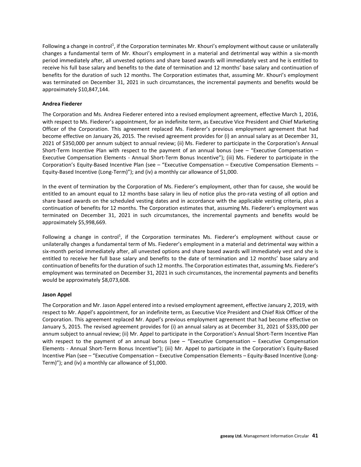Following a change in control<sup>1</sup>, if the Corporation terminates Mr. Khouri's employment without cause or unilaterally changes a fundamental term of Mr. Khouri's employment in a material and detrimental way within a six-month period immediately after, all unvested options and share based awards will immediately vest and he is entitled to receive his full base salary and benefits to the date of termination and 12 months' base salary and continuation of benefits for the duration of such 12 months. The Corporation estimates that, assuming Mr. Khouri's employment was terminated on December 31, 2021 in such circumstances, the incremental payments and benefits would be approximately \$10,847,144.

### **Andrea Fiederer**

The Corporation and Ms. Andrea Fiederer entered into a revised employment agreement, effective March 1, 2016, with respect to Ms. Fiederer's appointment, for an indefinite term, as Executive Vice President and Chief Marketing Officer of the Corporation. This agreement replaced Ms. Fiederer's previous employment agreement that had become effective on January 26, 2015. The revised agreement provides for (i) an annual salary as at December 31, 2021 of \$350,000 per annum subject to annual review; (ii) Ms. Fiederer to participate in the Corporation's Annual Short-Term Incentive Plan with respect to the payment of an annual bonus (see – "Executive Compensation – Executive Compensation Elements - Annual Short-Term Bonus Incentive"); (iii) Ms. Fiederer to participate in the Corporation's Equity-Based Incentive Plan (see – "Executive Compensation – Executive Compensation Elements – Equity-Based Incentive (Long-Term)"); and (iv) a monthly car allowance of \$1,000.

In the event of termination by the Corporation of Ms. Fiederer's employment, other than for cause, she would be entitled to an amount equal to 12 months base salary in lieu of notice plus the pro-rata vesting of all option and share based awards on the scheduled vesting dates and in accordance with the applicable vesting criteria, plus a continuation of benefits for 12 months. The Corporation estimates that, assuming Ms. Fiederer's employment was terminated on December 31, 2021 in such circumstances, the incremental payments and benefits would be approximately \$5,998,669.

Following a change in control<sup>1</sup>, if the Corporation terminates Ms. Fiederer's employment without cause or unilaterally changes a fundamental term of Ms. Fiederer's employment in a material and detrimental way within a six-month period immediately after, all unvested options and share based awards will immediately vest and she is entitled to receive her full base salary and benefits to the date of termination and 12 months' base salary and continuation of benefits for the duration of such 12 months. The Corporation estimates that, assuming Ms. Fiederer's employment was terminated on December 31, 2021 in such circumstances, the incremental payments and benefits would be approximately \$8,073,608.

### **Jason Appel**

The Corporation and Mr. Jason Appel entered into a revised employment agreement, effective January 2, 2019, with respect to Mr. Appel's appointment, for an indefinite term, as Executive Vice President and Chief Risk Officer of the Corporation. This agreement replaced Mr. Appel's previous employment agreement that had become effective on January 5, 2015. The revised agreement provides for (i) an annual salary as at December 31, 2021 of \$335,000 per annum subject to annual review; (ii) Mr. Appel to participate in the Corporation's Annual Short-Term Incentive Plan with respect to the payment of an annual bonus (see – "Executive Compensation – Executive Compensation Elements - Annual Short-Term Bonus Incentive"); (iii) Mr. Appel to participate in the Corporation's Equity-Based Incentive Plan (see – "Executive Compensation – Executive Compensation Elements – Equity-Based Incentive (Long-Term)"); and (iv) a monthly car allowance of \$1,000.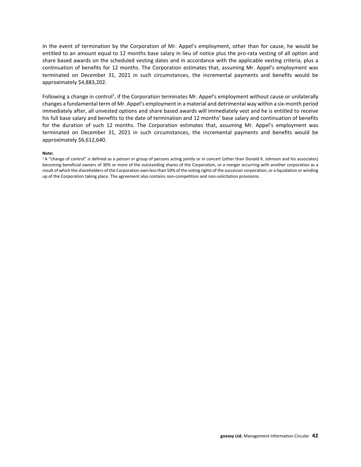In the event of termination by the Corporation of Mr. Appel's employment, other than for cause, he would be entitled to an amount equal to 12 months base salary in lieu of notice plus the pro-rata vesting of all option and share based awards on the scheduled vesting dates and in accordance with the applicable vesting criteria, plus a continuation of benefits for 12 months. The Corporation estimates that, assuming Mr. Appel's employment was terminated on December 31, 2021 in such circumstances, the incremental payments and benefits would be approximately \$4,883,202.

Following a change in control<sup>1</sup>, if the Corporation terminates Mr. Appel's employment without cause or unilaterally changes a fundamental term of Mr. Appel's employment in a material and detrimental way within a six-month period immediately after, all unvested options and share based awards will immediately vest and he is entitled to receive his full base salary and benefits to the date of termination and 12 months' base salary and continuation of benefits for the duration of such 12 months. The Corporation estimates that, assuming Mr. Appel's employment was terminated on December 31, 2021 in such circumstances, the incremental payments and benefits would be approximately \$6,612,640.

#### **Note:**

<sup>1</sup> A "change of control" is defined as a person or group of persons acting jointly or in concert (other than Donald K. Johnson and his associates) becoming beneficial owners of 30% or more of the outstanding shares of the Corporation, or a merger occurring with another corporation as a result of which the shareholders of the Corporation own less than 50% of the voting rights of the successor corporation, or a liquidation or winding up of the Corporation taking place. The agreement also contains non-competition and non-solicitation provisions.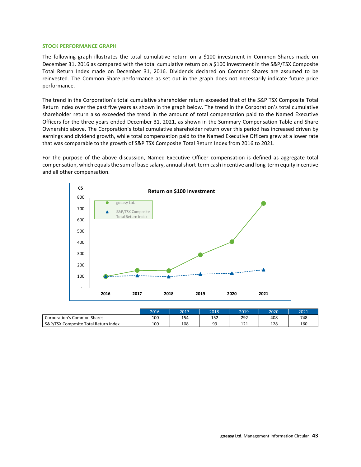#### **STOCK PERFORMANCE GRAPH**

The following graph illustrates the total cumulative return on a \$100 investment in Common Shares made on December 31, 2016 as compared with the total cumulative return on a \$100 investment in the S&P/TSX Composite Total Return Index made on December 31, 2016. Dividends declared on Common Shares are assumed to be reinvested. The Common Share performance as set out in the graph does not necessarily indicate future price performance.

The trend in the Corporation's total cumulative shareholder return exceeded that of the S&P TSX Composite Total Return Index over the past five years as shown in the graph below. The trend in the Corporation's total cumulative shareholder return also exceeded the trend in the amount of total compensation paid to the Named Executive Officers for the three years ended December 31, 2021, as shown in the Summary Compensation Table and Share Ownership above. The Corporation's total cumulative shareholder return over this period has increased driven by earnings and dividend growth, while total compensation paid to the Named Executive Officers grew at a lower rate that was comparable to the growth of S&P TSX Composite Total Return Index from 2016 to 2021.

For the purpose of the above discussion, Named Executive Officer compensation is defined as aggregate total compensation, which equals the sum of base salary, annual short-term cash incentive and long-term equity incentive and all other compensation.



|                                      | 2016 | 2017 | 2018           | 2019      | 2020 | 2021 |
|--------------------------------------|------|------|----------------|-----------|------|------|
| Corporation's Common Shares          | 100  | 154  | 157<br>⊥د⊥     | 292       | 408  | 748  |
| S&P/TSX Composite Total Return Index | 100  | 108  | QQ<br><u>.</u> | 12<br>ᆂᆇᆂ | 128  | 160  |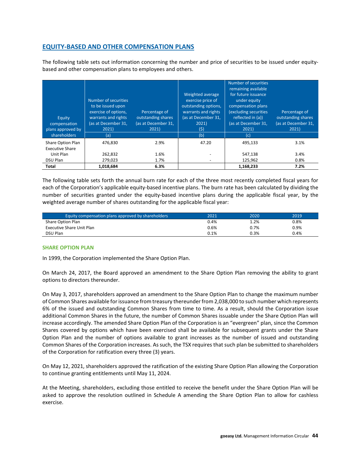# **EQUITY-BASED AND OTHER COMPENSATION PLANS**

The following table sets out information concerning the number and price of securities to be issued under equitybased and other compensation plans to employees and others.

| Equity<br>compensation<br>plans approved by | Number of securities<br>to be issued upon<br>exercise of options,<br>warrants and rights<br>(as at December 31,<br>2021) | Percentage of<br>outstanding shares<br>(as at December 31,<br>2021) | Weighted average<br>exercise price of<br>outstanding options,<br>warrants and rights<br>(as at December 31,<br>2021<br>$(\mathsf{S})$ | Number of securities<br>remaining available<br>for future issuance<br>under equity<br>compensation plans<br>(excluding securities<br>reflected in (a))<br>(as at December 31,<br>2021) | Percentage of<br>outstanding shares<br>(as at December 31,<br>2021) |
|---------------------------------------------|--------------------------------------------------------------------------------------------------------------------------|---------------------------------------------------------------------|---------------------------------------------------------------------------------------------------------------------------------------|----------------------------------------------------------------------------------------------------------------------------------------------------------------------------------------|---------------------------------------------------------------------|
| shareholders                                | (a)                                                                                                                      |                                                                     | (b)                                                                                                                                   | (c)                                                                                                                                                                                    |                                                                     |
| Share Option Plan<br><b>Executive Share</b> | 476.830                                                                                                                  | 2.9%                                                                | 47.20                                                                                                                                 | 495.133                                                                                                                                                                                | 3.1%                                                                |
| Unit Plan                                   | 262,832                                                                                                                  | 1.6%                                                                | -                                                                                                                                     | 547,138                                                                                                                                                                                | 3.4%                                                                |
| DSU Plan                                    | 279,023                                                                                                                  | 1.7%                                                                |                                                                                                                                       | 125,962                                                                                                                                                                                | 0.8%                                                                |
| Total                                       | 1.018.684                                                                                                                | 6.3%                                                                |                                                                                                                                       | 1,168,233                                                                                                                                                                              | 7.2%                                                                |

The following table sets forth the annual burn rate for each of the three most recently completed fiscal years for each of the Corporation's applicable equity-based incentive plans. The burn rate has been calculated by dividing the number of securities granted under the equity-based incentive plans during the applicable fiscal year, by the weighted average number of shares outstanding for the applicable fiscal year:

| Equity compensation plans approved by shareholders | 2021 | 2020 | 2019    |
|----------------------------------------------------|------|------|---------|
| Share Option Plan                                  | 0.4% | 1.2% | $0.8\%$ |
| Executive Share Unit Plan                          | 0.6% | 0.7% | 0.9%    |
| <b>DSU Plan</b>                                    | 0.1% | 0.3% | 0.4%    |

### **SHARE OPTION PLAN**

In 1999, the Corporation implemented the Share Option Plan.

On March 24, 2017, the Board approved an amendment to the Share Option Plan removing the ability to grant options to directors thereunder.

On May 3, 2017, shareholders approved an amendment to the Share Option Plan to change the maximum number of Common Shares available for issuance from treasury thereunder from 2,038,000 to such number which represents 6% of the issued and outstanding Common Shares from time to time. As a result, should the Corporation issue additional Common Shares in the future, the number of Common Shares issuable under the Share Option Plan will increase accordingly. The amended Share Option Plan of the Corporation is an "evergreen" plan, since the Common Shares covered by options which have been exercised shall be available for subsequent grants under the Share Option Plan and the number of options available to grant increases as the number of issued and outstanding Common Shares of the Corporation increases. As such, the TSX requires that such plan be submitted to shareholders of the Corporation for ratification every three (3) years.

On May 12, 2021, shareholders approved the ratification of the existing Share Option Plan allowing the Corporation to continue granting entitlements until May 11, 2024.

At the Meeting, shareholders, excluding those entitled to receive the benefit under the Share Option Plan will be asked to approve the resolution outlined in Schedule A amending the Share Option Plan to allow for cashless exercise.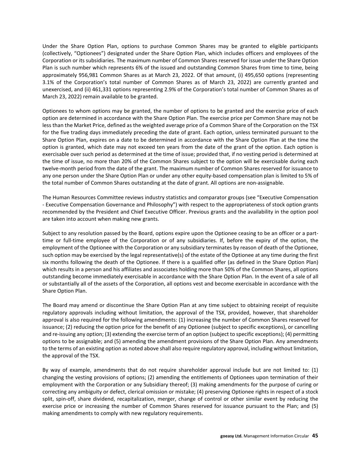Under the Share Option Plan, options to purchase Common Shares may be granted to eligible participants (collectively, "Optionees") designated under the Share Option Plan, which includes officers and employees of the Corporation or its subsidiaries. The maximum number of Common Shares reserved for issue under the Share Option Plan is such number which represents 6% of the issued and outstanding Common Shares from time to time, being approximately 956,981 Common Shares as at March 23, 2022. Of that amount, (i) 495,650 options (representing 3.1% of the Corporation's total number of Common Shares as of March 23, 2022) are currently granted and unexercised, and (ii) 461,331 options representing 2.9% of the Corporation's total number of Common Shares as of March 23, 2022) remain available to be granted.

Optionees to whom options may be granted, the number of options to be granted and the exercise price of each option are determined in accordance with the Share Option Plan. The exercise price per Common Share may not be less than the Market Price, defined as the weighted average price of a Common Share of the Corporation on the TSX for the five trading days immediately preceding the date of grant. Each option, unless terminated pursuant to the Share Option Plan, expires on a date to be determined in accordance with the Share Option Plan at the time the option is granted, which date may not exceed ten years from the date of the grant of the option. Each option is exercisable over such period as determined at the time of issue; provided that, if no vesting period is determined at the time of issue, no more than 20% of the Common Shares subject to the option will be exercisable during each twelve-month period from the date of the grant. The maximum number of Common Shares reserved for issuance to any one person under the Share Option Plan or under any other equity-based compensation plan is limited to 5% of the total number of Common Shares outstanding at the date of grant. All options are non-assignable.

The Human Resources Committee reviews industry statistics and comparator groups (see "Executive Compensation - Executive Compensation Governance and Philosophy") with respect to the appropriateness of stock option grants recommended by the President and Chief Executive Officer. Previous grants and the availability in the option pool are taken into account when making new grants.

Subject to any resolution passed by the Board, options expire upon the Optionee ceasing to be an officer or a parttime or full-time employee of the Corporation or of any subsidiaries. If, before the expiry of the option, the employment of the Optionee with the Corporation or any subsidiary terminates by reason of death of the Optionee, such option may be exercised by the legal representative(s) of the estate of the Optionee at any time during the first six months following the death of the Optionee. If there is a qualified offer (as defined in the Share Option Plan) which results in a person and his affiliates and associates holding more than 50% of the Common Shares, all options outstanding become immediately exercisable in accordance with the Share Option Plan. In the event of a sale of all or substantially all of the assets of the Corporation, all options vest and become exercisable in accordance with the Share Option Plan.

The Board may amend or discontinue the Share Option Plan at any time subject to obtaining receipt of requisite regulatory approvals including without limitation, the approval of the TSX, provided, however, that shareholder approval is also required for the following amendments: (1) increasing the number of Common Shares reserved for issuance; (2) reducing the option price for the benefit of any Optionee (subject to specific exceptions), or cancelling and re-issuing any option; (3) extending the exercise term of an option (subject to specific exceptions); (4) permitting options to be assignable; and (5) amending the amendment provisions of the Share Option Plan. Any amendments to the terms of an existing option as noted above shall also require regulatory approval, including without limitation, the approval of the TSX.

By way of example, amendments that do not require shareholder approval include but are not limited to: (1) changing the vesting provisions of options; (2) amending the entitlements of Optionees upon termination of their employment with the Corporation or any Subsidiary thereof; (3) making amendments for the purpose of curing or correcting any ambiguity or defect, clerical omission or mistake; (4) preserving Optionee rights in respect of a stock split, spin-off, share dividend, recapitalization, merger, change of control or other similar event by reducing the exercise price or increasing the number of Common Shares reserved for issuance pursuant to the Plan; and (5) making amendments to comply with new regulatory requirements.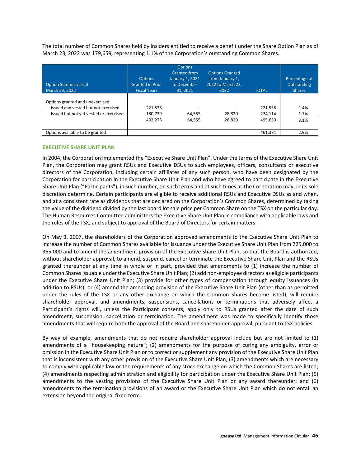The total number of Common Shares held by insiders entitled to receive a benefit under the Share Option Plan as of March 23, 2022 was 179,659, representing 1.1% of the Corporation's outstanding Common Shares.

| <b>Option Summary as at</b><br>March 23, 2022 | <b>Options</b><br><b>Granted in Prior</b><br><b>Fiscal Years</b> | <b>Options</b><br><b>Granted from</b><br>January 1, 2021<br>to December<br>31.2021 | <b>Options Granted</b><br>from January 1,<br>2022 to March 23,<br>2022 | <b>TOTAL</b> | Percentage of<br>Outstanding<br><b>Shares</b> |
|-----------------------------------------------|------------------------------------------------------------------|------------------------------------------------------------------------------------|------------------------------------------------------------------------|--------------|-----------------------------------------------|
| Options granted and unexercised               |                                                                  |                                                                                    |                                                                        |              |                                               |
| Issued and vested but not exercised           | 221,536                                                          |                                                                                    |                                                                        | 221,536      | 1.4%                                          |
| Issued but not yet vested or exercised        | 180,739                                                          | 64,555                                                                             | 28,820                                                                 | 274,114      | 1.7%                                          |
|                                               | 402,275                                                          | 64,555                                                                             | 28,820                                                                 | 495.650      | 3.1%                                          |
|                                               |                                                                  |                                                                                    |                                                                        |              |                                               |
| Options available to be granted               |                                                                  |                                                                                    |                                                                        | 461,331      | 2.9%                                          |

### **EXECUTIVE SHARE UNIT PLAN**

In 2004, the Corporation implemented the "Executive Share Unit Plan". Under the terms of the Executive Share Unit Plan, the Corporation may grant RSUs and Executive DSUs to such employees, officers, consultants or executive directors of the Corporation, including certain affiliates of any such person, who have been designated by the Corporation for participation in the Executive Share Unit Plan and who have agreed to participate in the Executive Share Unit Plan ("Participants"), in such number, on such terms and at such times as the Corporation may, in its sole discretion determine. Certain participants are eligible to receive additional RSUs and Executive DSUs as and when, and at a consistent rate as dividends that are declared on the Corporation's Common Shares, determined by taking the value of the dividend divided by the last board lot sale price per Common Share on the TSX on the particular day. The Human Resources Committee administers the Executive Share Unit Plan in compliance with applicable laws and the rules of the TSX, and subject to approval of the Board of Directors for certain matters.

On May 3, 2007, the shareholders of the Corporation approved amendments to the Executive Share Unit Plan to increase the number of Common Shares available for issuance under the Executive Share Unit Plan from 225,000 to 365,000 and to amend the amendment provision of the Executive Share Unit Plan, so that the Board is authorized, without shareholder approval, to amend, suspend, cancel or terminate the Executive Share Unit Plan and the RSUs granted thereunder at any time in whole or in part, provided that amendments to (1) increase the number of Common Shares issuable under the Executive Share Unit Plan; (2) add non-employee directors as eligible participants under the Executive Share Unit Plan; (3) provide for other types of compensation through equity issuances (in addition to RSUs); or (4) amend the amending provision of the Executive Share Unit Plan (other than as permitted under the rules of the TSX or any other exchange on which the Common Shares become listed), will require shareholder approval, and amendments, suspensions, cancellations or terminations that adversely affect a Participant's rights will, unless the Participant consents, apply only to RSUs granted after the date of such amendment, suspension, cancellation or termination. The amendment was made to specifically identify those amendments that will require both the approval of the Board and shareholder approval, pursuant to TSX policies.

By way of example, amendments that do not require shareholder approval include but are not limited to (1) amendments of a "housekeeping nature"; (2) amendments for the purpose of curing any ambiguity, error or omission in the Executive Share Unit Plan or to correct or supplement any provision of the Executive Share Unit Plan that is inconsistent with any other provision of the Executive Share Unit Plan; (3) amendments which are necessary to comply with applicable law or the requirements of any stock exchange on which the Common Shares are listed; (4) amendments respecting administration and eligibility for participation under the Executive Share Unit Plan; (5) amendments to the vesting provisions of the Executive Share Unit Plan or any award thereunder; and (6) amendments to the termination provisions of an award or the Executive Share Unit Plan which do not entail an extension beyond the original fixed term.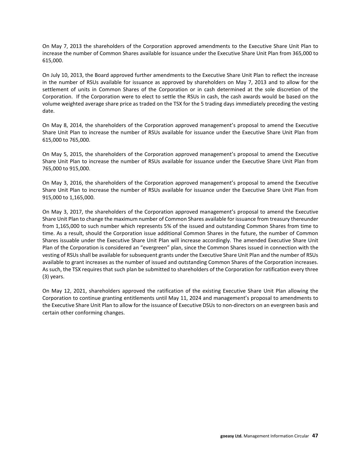On May 7, 2013 the shareholders of the Corporation approved amendments to the Executive Share Unit Plan to increase the number of Common Shares available for issuance under the Executive Share Unit Plan from 365,000 to 615,000.

On July 10, 2013, the Board approved further amendments to the Executive Share Unit Plan to reflect the increase in the number of RSUs available for issuance as approved by shareholders on May 7, 2013 and to allow for the settlement of units in Common Shares of the Corporation or in cash determined at the sole discretion of the Corporation. If the Corporation were to elect to settle the RSUs in cash, the cash awards would be based on the volume weighted average share price as traded on the TSX for the 5 trading days immediately preceding the vesting date.

On May 8, 2014, the shareholders of the Corporation approved management's proposal to amend the Executive Share Unit Plan to increase the number of RSUs available for issuance under the Executive Share Unit Plan from 615,000 to 765,000.

On May 5, 2015, the shareholders of the Corporation approved management's proposal to amend the Executive Share Unit Plan to increase the number of RSUs available for issuance under the Executive Share Unit Plan from 765,000 to 915,000.

On May 3, 2016, the shareholders of the Corporation approved management's proposal to amend the Executive Share Unit Plan to increase the number of RSUs available for issuance under the Executive Share Unit Plan from 915,000 to 1,165,000.

On May 3, 2017, the shareholders of the Corporation approved management's proposal to amend the Executive Share Unit Plan to change the maximum number of Common Shares available for issuance from treasury thereunder from 1,165,000 to such number which represents 5% of the issued and outstanding Common Shares from time to time. As a result, should the Corporation issue additional Common Shares in the future, the number of Common Shares issuable under the Executive Share Unit Plan will increase accordingly. The amended Executive Share Unit Plan of the Corporation is considered an "evergreen" plan, since the Common Shares issued in connection with the vesting of RSUs shall be available for subsequent grants under the Executive Share Unit Plan and the number of RSUs available to grant increases as the number of issued and outstanding Common Shares of the Corporation increases. As such, the TSX requires that such plan be submitted to shareholders of the Corporation for ratification every three (3) years.

On May 12, 2021, shareholders approved the ratification of the existing Executive Share Unit Plan allowing the Corporation to continue granting entitlements until May 11, 2024 and management's proposal to amendments to the Executive Share Unit Plan to allow for the issuance of Executive DSUs to non-directors on an evergreen basis and certain other conforming changes.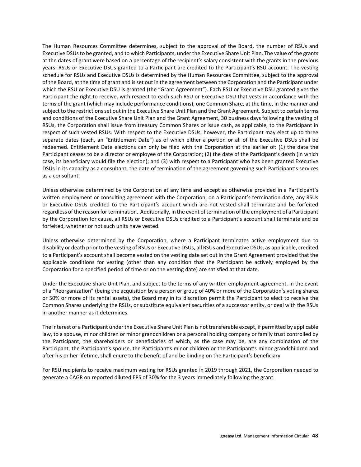The Human Resources Committee determines, subject to the approval of the Board, the number of RSUs and Executive DSUs to be granted, and to which Participants, under the Executive Share Unit Plan. The value of the grants at the dates of grant were based on a percentage of the recipient's salary consistent with the grants in the previous years. RSUs or Executive DSUs granted to a Participant are credited to the Participant's RSU account. The vesting schedule for RSUs and Executive DSUs is determined by the Human Resources Committee, subject to the approval of the Board, at the time of grant and is set out in the agreement between the Corporation and the Participant under which the RSU or Executive DSU is granted (the "Grant Agreement"). Each RSU or Executive DSU granted gives the Participant the right to receive, with respect to each such RSU or Executive DSU that vests in accordance with the terms of the grant (which may include performance conditions), one Common Share, at the time, in the manner and subject to the restrictions set out in the Executive Share Unit Plan and the Grant Agreement. Subject to certain terms and conditions of the Executive Share Unit Plan and the Grant Agreement, 30 business days following the vesting of RSUs, the Corporation shall issue from treasury Common Shares or issue cash, as applicable, to the Participant in respect of such vested RSUs. With respect to the Executive DSUs, however, the Participant may elect up to three separate dates (each, an "Entitlement Date") as of which either a portion or all of the Executive DSUs shall be redeemed. Entitlement Date elections can only be filed with the Corporation at the earlier of: (1) the date the Participant ceases to be a director or employee of the Corporation; (2) the date of the Participant's death (in which case, its beneficiary would file the election); and (3) with respect to a Participant who has been granted Executive DSUs in its capacity as a consultant, the date of termination of the agreement governing such Participant's services as a consultant.

Unless otherwise determined by the Corporation at any time and except as otherwise provided in a Participant's written employment or consulting agreement with the Corporation, on a Participant's termination date, any RSUs or Executive DSUs credited to the Participant's account which are not vested shall terminate and be forfeited regardless of the reason for termination. Additionally, in the event of termination of the employment of a Participant by the Corporation for cause, all RSUs or Executive DSUs credited to a Participant's account shall terminate and be forfeited, whether or not such units have vested.

Unless otherwise determined by the Corporation, where a Participant terminates active employment due to disability or death prior to the vesting of RSUs or Executive DSUs, all RSUs and Executive DSUs, as applicable, credited to a Participant's account shall become vested on the vesting date set out in the Grant Agreement provided that the applicable conditions for vesting (other than any condition that the Participant be actively employed by the Corporation for a specified period of time or on the vesting date) are satisfied at that date.

Under the Executive Share Unit Plan, and subject to the terms of any written employment agreement, in the event of a "Reorganization" (being the acquisition by a person or group of 40% or more of the Corporation's voting shares or 50% or more of its rental assets), the Board may in its discretion permit the Participant to elect to receive the Common Shares underlying the RSUs, or substitute equivalent securities of a successor entity, or deal with the RSUs in another manner as it determines.

The interest of a Participant under the Executive Share Unit Plan is not transferable except, if permitted by applicable law, to a spouse, minor children or minor grandchildren or a personal holding company or family trust controlled by the Participant, the shareholders or beneficiaries of which, as the case may be, are any combination of the Participant, the Participant's spouse, the Participant's minor children or the Participant's minor grandchildren and after his or her lifetime, shall enure to the benefit of and be binding on the Participant's beneficiary.

For RSU recipients to receive maximum vesting for RSUs granted in 2019 through 2021, the Corporation needed to generate a CAGR on reported diluted EPS of 30% for the 3 years immediately following the grant.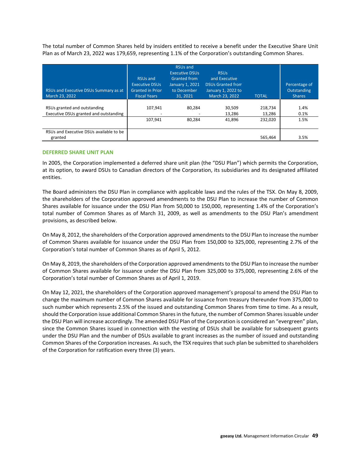The total number of Common Shares held by insiders entitled to receive a benefit under the Executive Share Unit Plan as of March 23, 2022 was 179,659, representing 1.1% of the Corporation's outstanding Common Shares.

| RSUs and Executive DSUs Summary as at<br>March 23, 2022                | <b>RSUs and</b><br><b>Executive DSUs</b><br><b>Granted in Prior</b><br><b>Fiscal Years</b> | <b>RSUs and</b><br><b>Executive DSUs</b><br><b>Granted from</b><br>January 1, 2021<br>to December<br>31.2021 | <b>RSUs</b><br>and Executive<br><b>DSUs Granted from</b><br>January 1, 2022 to<br>March 23, 2022 | <b>TOTAL</b>                 | Percentage of<br>Outstanding<br><b>Shares</b> |
|------------------------------------------------------------------------|--------------------------------------------------------------------------------------------|--------------------------------------------------------------------------------------------------------------|--------------------------------------------------------------------------------------------------|------------------------------|-----------------------------------------------|
| RSUs granted and outstanding<br>Executive DSUs granted and outstanding | 107.941<br>107.941                                                                         | 80.284<br>80.284                                                                                             | 30.509<br>13,286<br>41.896                                                                       | 218.734<br>13,286<br>232.020 | 1.4%<br>0.1%<br>1.5%                          |
| RSUs and Executive DSUs available to be<br>granted                     |                                                                                            |                                                                                                              |                                                                                                  | 565,464                      | 3.5%                                          |

### **DEFERRED SHARE UNIT PLAN**

In 2005, the Corporation implemented a deferred share unit plan (the "DSU Plan") which permits the Corporation, at its option, to award DSUs to Canadian directors of the Corporation, its subsidiaries and its designated affiliated entities.

The Board administers the DSU Plan in compliance with applicable laws and the rules of the TSX. On May 8, 2009, the shareholders of the Corporation approved amendments to the DSU Plan to increase the number of Common Shares available for issuance under the DSU Plan from 50,000 to 150,000, representing 1.4% of the Corporation's total number of Common Shares as of March 31, 2009, as well as amendments to the DSU Plan's amendment provisions, as described below.

On May 8, 2012, the shareholders of the Corporation approved amendments to the DSU Plan to increase the number of Common Shares available for issuance under the DSU Plan from 150,000 to 325,000, representing 2.7% of the Corporation's total number of Common Shares as of April 5, 2012.

On May 8, 2019, the shareholders of the Corporation approved amendments to the DSU Plan to increase the number of Common Shares available for issuance under the DSU Plan from 325,000 to 375,000, representing 2.6% of the Corporation's total number of Common Shares as of April 1, 2019.

On May 12, 2021, the shareholders of the Corporation approved management's proposal to amend the DSU Plan to change the maximum number of Common Shares available for issuance from treasury thereunder from 375,000 to such number which represents 2.5% of the issued and outstanding Common Shares from time to time. As a result, should the Corporation issue additional Common Shares in the future, the number of Common Shares issuable under the DSU Plan will increase accordingly. The amended DSU Plan of the Corporation is considered an "evergreen" plan, since the Common Shares issued in connection with the vesting of DSUs shall be available for subsequent grants under the DSU Plan and the number of DSUs available to grant increases as the number of issued and outstanding Common Shares of the Corporation increases. As such, the TSX requires that such plan be submitted to shareholders of the Corporation for ratification every three (3) years.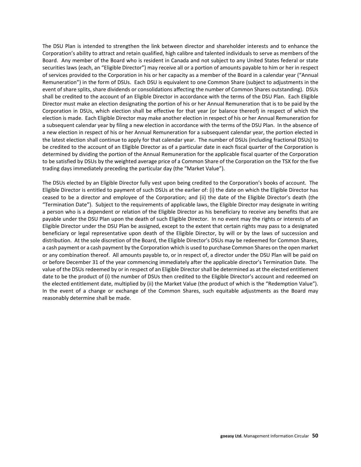The DSU Plan is intended to strengthen the link between director and shareholder interests and to enhance the Corporation's ability to attract and retain qualified, high calibre and talented individuals to serve as members of the Board. Any member of the Board who is resident in Canada and not subject to any United States federal or state securities laws (each, an "Eligible Director") may receive all or a portion of amounts payable to him or her in respect of services provided to the Corporation in his or her capacity as a member of the Board in a calendar year ("Annual Remuneration") in the form of DSUs. Each DSU is equivalent to one Common Share (subject to adjustments in the event of share splits, share dividends or consolidations affecting the number of Common Shares outstanding). DSUs shall be credited to the account of an Eligible Director in accordance with the terms of the DSU Plan. Each Eligible Director must make an election designating the portion of his or her Annual Remuneration that is to be paid by the Corporation in DSUs, which election shall be effective for that year (or balance thereof) in respect of which the election is made. Each Eligible Director may make another election in respect of his or her Annual Remuneration for a subsequent calendar year by filing a new election in accordance with the terms of the DSU Plan. In the absence of a new election in respect of his or her Annual Remuneration for a subsequent calendar year, the portion elected in the latest election shall continue to apply for that calendar year. The number of DSUs (including fractional DSUs) to be credited to the account of an Eligible Director as of a particular date in each fiscal quarter of the Corporation is determined by dividing the portion of the Annual Remuneration for the applicable fiscal quarter of the Corporation to be satisfied by DSUs by the weighted average price of a Common Share of the Corporation on the TSX for the five trading days immediately preceding the particular day (the "Market Value").

The DSUs elected by an Eligible Director fully vest upon being credited to the Corporation's books of account. The Eligible Director is entitled to payment of such DSUs at the earlier of: (i) the date on which the Eligible Director has ceased to be a director and employee of the Corporation; and (ii) the date of the Eligible Director's death (the "Termination Date"). Subject to the requirements of applicable laws, the Eligible Director may designate in writing a person who is a dependent or relation of the Eligible Director as his beneficiary to receive any benefits that are payable under the DSU Plan upon the death of such Eligible Director. In no event may the rights or interests of an Eligible Director under the DSU Plan be assigned, except to the extent that certain rights may pass to a designated beneficiary or legal representative upon death of the Eligible Director, by will or by the laws of succession and distribution. At the sole discretion of the Board, the Eligible Director's DSUs may be redeemed for Common Shares, a cash payment or a cash payment by the Corporation which is used to purchase Common Shares on the open market or any combination thereof. All amounts payable to, or in respect of, a director under the DSU Plan will be paid on or before December 31 of the year commencing immediately after the applicable director's Termination Date. The value of the DSUs redeemed by or in respect of an Eligible Director shall be determined as at the elected entitlement date to be the product of (i) the number of DSUs then credited to the Eligible Director's account and redeemed on the elected entitlement date, multiplied by (ii) the Market Value (the product of which is the "Redemption Value"). In the event of a change or exchange of the Common Shares, such equitable adjustments as the Board may reasonably determine shall be made.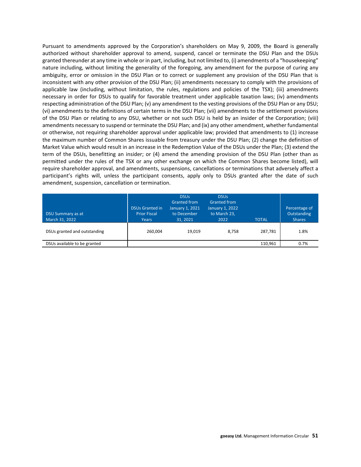Pursuant to amendments approved by the Corporation's shareholders on May 9, 2009, the Board is generally authorized without shareholder approval to amend, suspend, cancel or terminate the DSU Plan and the DSUs granted thereunder at any time in whole or in part, including, but not limited to, (i) amendments of a "housekeeping" nature including, without limiting the generality of the foregoing, any amendment for the purpose of curing any ambiguity, error or omission in the DSU Plan or to correct or supplement any provision of the DSU Plan that is inconsistent with any other provision of the DSU Plan; (ii) amendments necessary to comply with the provisions of applicable law (including, without limitation, the rules, regulations and policies of the TSX); (iii) amendments necessary in order for DSUs to qualify for favorable treatment under applicable taxation laws; (iv) amendments respecting administration of the DSU Plan; (v) any amendment to the vesting provisions of the DSU Plan or any DSU; (vi) amendments to the definitions of certain terms in the DSU Plan; (vii) amendments to the settlement provisions of the DSU Plan or relating to any DSU, whether or not such DSU is held by an insider of the Corporation; (viii) amendments necessary to suspend or terminate the DSU Plan; and (ix) any other amendment, whether fundamental or otherwise, not requiring shareholder approval under applicable law; provided that amendments to (1) increase the maximum number of Common Shares issuable from treasury under the DSU Plan; (2) change the definition of Market Value which would result in an increase in the Redemption Value of the DSUs under the Plan; (3) extend the term of the DSUs, benefitting an insider; or (4) amend the amending provision of the DSU Plan (other than as permitted under the rules of the TSX or any other exchange on which the Common Shares become listed), will require shareholder approval, and amendments, suspensions, cancellations or terminations that adversely affect a participant's rights will, unless the participant consents, apply only to DSUs granted after the date of such amendment, suspension, cancellation or termination.

| DSU Summary as at<br>March 31, 2022 | <b>DSUs Granted in</b><br><b>Prior Fiscal</b><br><b>Years</b> | <b>DSUs</b><br><b>Granted from</b><br>January 1, 2021<br>to December<br>31, 2021 | <b>DSUs</b><br><b>Granted from</b><br>January 1, 2022<br>to March 23.<br>2022 | <b>TOTAL</b> | Percentage of<br>Outstanding<br><b>Shares</b> |
|-------------------------------------|---------------------------------------------------------------|----------------------------------------------------------------------------------|-------------------------------------------------------------------------------|--------------|-----------------------------------------------|
| DSUs granted and outstanding        | 260.004                                                       | 19.019                                                                           | 8.758                                                                         | 287.781      | 1.8%                                          |
| DSUs available to be granted        |                                                               |                                                                                  |                                                                               | 110,961      | 0.7%                                          |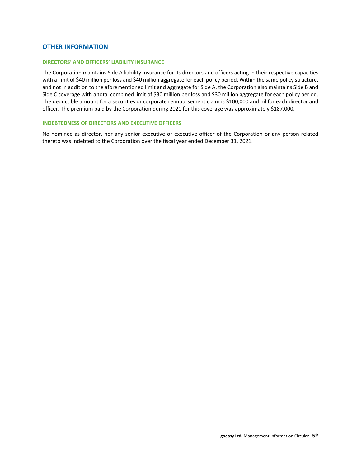# **OTHER INFORMATION**

#### **DIRECTORS' AND OFFICERS' LIABILITY INSURANCE**

The Corporation maintains Side A liability insurance for its directors and officers acting in their respective capacities with a limit of \$40 million per loss and \$40 million aggregate for each policy period. Within the same policy structure, and not in addition to the aforementioned limit and aggregate for Side A, the Corporation also maintains Side B and Side C coverage with a total combined limit of \$30 million per loss and \$30 million aggregate for each policy period. The deductible amount for a securities or corporate reimbursement claim is \$100,000 and nil for each director and officer. The premium paid by the Corporation during 2021 for this coverage was approximately \$187,000.

### **INDEBTEDNESS OF DIRECTORS AND EXECUTIVE OFFICERS**

No nominee as director, nor any senior executive or executive officer of the Corporation or any person related thereto was indebted to the Corporation over the fiscal year ended December 31, 2021.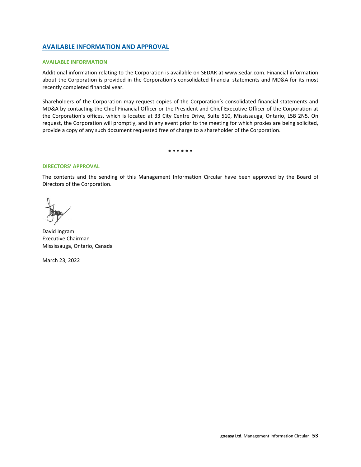# **AVAILABLE INFORMATION AND APPROVAL**

### **AVAILABLE INFORMATION**

Additional information relating to the Corporation is available on SEDAR at www.sedar.com. Financial information about the Corporation is provided in the Corporation's consolidated financial statements and MD&A for its most recently completed financial year.

Shareholders of the Corporation may request copies of the Corporation's consolidated financial statements and MD&A by contacting the Chief Financial Officer or the President and Chief Executive Officer of the Corporation at the Corporation's offices, which is located at 33 City Centre Drive, Suite 510, Mississauga, Ontario, L5B 2N5. On request, the Corporation will promptly, and in any event prior to the meeting for which proxies are being solicited, provide a copy of any such document requested free of charge to a shareholder of the Corporation.

**\* \* \* \* \* \***

### **DIRECTORS' APPROVAL**

The contents and the sending of this Management Information Circular have been approved by the Board of Directors of the Corporation.

David Ingram Executive Chairman Mississauga, Ontario, Canada

March 23, 2022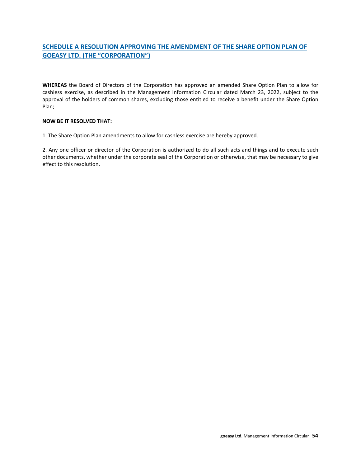# **SCHEDULE A RESOLUTION APPROVING THE AMENDMENT OF THE SHARE OPTION PLAN OF GOEASY LTD. (THE "CORPORATION")**

**WHEREAS** the Board of Directors of the Corporation has approved an amended Share Option Plan to allow for cashless exercise, as described in the Management Information Circular dated March 23, 2022, subject to the approval of the holders of common shares, excluding those entitled to receive a benefit under the Share Option Plan;

## **NOW BE IT RESOLVED THAT:**

1. The Share Option Plan amendments to allow for cashless exercise are hereby approved.

2. Any one officer or director of the Corporation is authorized to do all such acts and things and to execute such other documents, whether under the corporate seal of the Corporation or otherwise, that may be necessary to give effect to this resolution.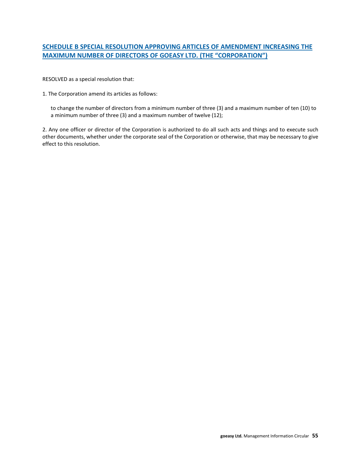# **SCHEDULE B SPECIAL RESOLUTION APPROVING ARTICLES OF AMENDMENT INCREASING THE MAXIMUM NUMBER OF DIRECTORS OF GOEASY LTD. (THE "CORPORATION")**

RESOLVED as a special resolution that:

1. The Corporation amend its articles as follows:

to change the number of directors from a minimum number of three (3) and a maximum number of ten (10) to a minimum number of three (3) and a maximum number of twelve (12);

2. Any one officer or director of the Corporation is authorized to do all such acts and things and to execute such other documents, whether under the corporate seal of the Corporation or otherwise, that may be necessary to give effect to this resolution.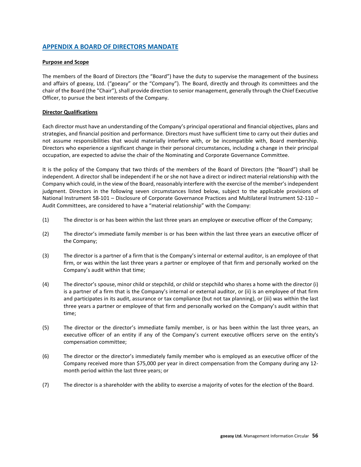# **APPENDIX A BOARD OF DIRECTORS MANDATE**

## **Purpose and Scope**

The members of the Board of Directors (the "Board") have the duty to supervise the management of the business and affairs of goeasy, Ltd. ("goeasy" or the "Company"). The Board, directly and through its committees and the chair of the Board (the "Chair"), shall provide direction to senior management, generally through the Chief Executive Officer, to pursue the best interests of the Company.

## **Director Qualifications**

Each director must have an understanding of the Company's principal operational and financial objectives, plans and strategies, and financial position and performance. Directors must have sufficient time to carry out their duties and not assume responsibilities that would materially interfere with, or be incompatible with, Board membership. Directors who experience a significant change in their personal circumstances, including a change in their principal occupation, are expected to advise the chair of the Nominating and Corporate Governance Committee.

It is the policy of the Company that two thirds of the members of the Board of Directors (the "Board") shall be independent. A director shall be independent if he or she not have a direct or indirect material relationship with the Company which could, in the view of the Board, reasonably interfere with the exercise of the member's independent judgment. Directors in the following seven circumstances listed below, subject to the applicable provisions of National Instrument 58-101 – Disclosure of Corporate Governance Practices and Multilateral Instrument 52-110 – Audit Committees, are considered to have a "material relationship" with the Company:

- (1) The director is or has been within the last three years an employee or executive officer of the Company;
- (2) The director's immediate family member is or has been within the last three years an executive officer of the Company;
- (3) The director is a partner of a firm that is the Company's internal or external auditor, is an employee of that firm, or was within the last three years a partner or employee of that firm and personally worked on the Company's audit within that time;
- (4) The director's spouse, minor child or stepchild, or child or stepchild who shares a home with the director (i) is a partner of a firm that is the Company's internal or external auditor, or (ii) is an employee of that firm and participates in its audit, assurance or tax compliance (but not tax planning), or (iii) was within the last three years a partner or employee of that firm and personally worked on the Company's audit within that time;
- (5) The director or the director's immediate family member, is or has been within the last three years, an executive officer of an entity if any of the Company's current executive officers serve on the entity's compensation committee;
- (6) The director or the director's immediately family member who is employed as an executive officer of the Company received more than \$75,000 per year in direct compensation from the Company during any 12 month period within the last three years; or
- (7) The director is a shareholder with the ability to exercise a majority of votes for the election of the Board.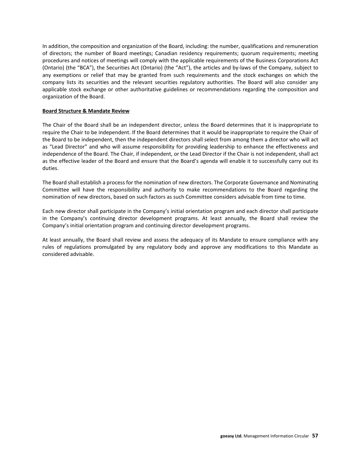In addition, the composition and organization of the Board, including: the number, qualifications and remuneration of directors; the number of Board meetings; Canadian residency requirements; quorum requirements; meeting procedures and notices of meetings will comply with the applicable requirements of the Business Corporations Act (Ontario) (the "BCA"), the Securities Act (Ontario) (the "Act"), the articles and by-laws of the Company, subject to any exemptions or relief that may be granted from such requirements and the stock exchanges on which the company lists its securities and the relevant securities regulatory authorities. The Board will also consider any applicable stock exchange or other authoritative guidelines or recommendations regarding the composition and organization of the Board.

### **Board Structure & Mandate Review**

The Chair of the Board shall be an independent director, unless the Board determines that it is inappropriate to require the Chair to be independent. If the Board determines that it would be inappropriate to require the Chair of the Board to be independent, then the independent directors shall select from among them a director who will act as "Lead Director" and who will assume responsibility for providing leadership to enhance the effectiveness and independence of the Board. The Chair, if independent, or the Lead Director if the Chair is not independent, shall act as the effective leader of the Board and ensure that the Board's agenda will enable it to successfully carry out its duties.

The Board shall establish a process for the nomination of new directors. The Corporate Governance and Nominating Committee will have the responsibility and authority to make recommendations to the Board regarding the nomination of new directors, based on such factors as such Committee considers advisable from time to time.

Each new director shall participate in the Company's initial orientation program and each director shall participate in the Company's continuing director development programs. At least annually, the Board shall review the Company's initial orientation program and continuing director development programs.

At least annually, the Board shall review and assess the adequacy of its Mandate to ensure compliance with any rules of regulations promulgated by any regulatory body and approve any modifications to this Mandate as considered advisable.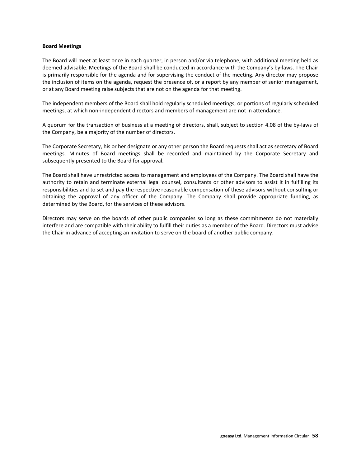#### **Board Meetings**

The Board will meet at least once in each quarter, in person and/or via telephone, with additional meeting held as deemed advisable. Meetings of the Board shall be conducted in accordance with the Company's by-laws. The Chair is primarily responsible for the agenda and for supervising the conduct of the meeting. Any director may propose the inclusion of items on the agenda, request the presence of, or a report by any member of senior management, or at any Board meeting raise subjects that are not on the agenda for that meeting.

The independent members of the Board shall hold regularly scheduled meetings, or portions of regularly scheduled meetings, at which non-independent directors and members of management are not in attendance.

A quorum for the transaction of business at a meeting of directors, shall, subject to section 4.08 of the by-laws of the Company, be a majority of the number of directors.

The Corporate Secretary, his or her designate or any other person the Board requests shall act as secretary of Board meetings. Minutes of Board meetings shall be recorded and maintained by the Corporate Secretary and subsequently presented to the Board for approval.

The Board shall have unrestricted access to management and employees of the Company. The Board shall have the authority to retain and terminate external legal counsel, consultants or other advisors to assist it in fulfilling its responsibilities and to set and pay the respective reasonable compensation of these advisors without consulting or obtaining the approval of any officer of the Company. The Company shall provide appropriate funding, as determined by the Board, for the services of these advisors.

Directors may serve on the boards of other public companies so long as these commitments do not materially interfere and are compatible with their ability to fulfill their duties as a member of the Board. Directors must advise the Chair in advance of accepting an invitation to serve on the board of another public company.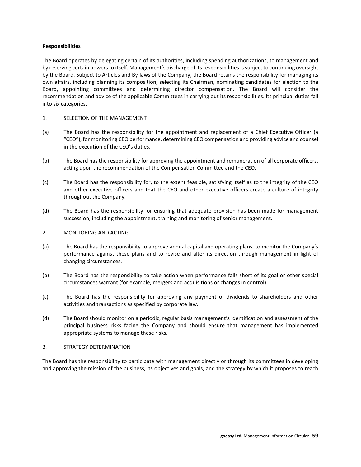### **Responsibilities**

The Board operates by delegating certain of its authorities, including spending authorizations, to management and by reserving certain powers to itself. Management's discharge of its responsibilities is subject to continuing oversight by the Board. Subject to Articles and By-laws of the Company, the Board retains the responsibility for managing its own affairs, including planning its composition, selecting its Chairman, nominating candidates for election to the Board, appointing committees and determining director compensation. The Board will consider the recommendation and advice of the applicable Committees in carrying out its responsibilities. Its principal duties fall into six categories.

- 1. SELECTION OF THE MANAGEMENT
- (a) The Board has the responsibility for the appointment and replacement of a Chief Executive Officer (a "CEO"), for monitoring CEO performance, determining CEO compensation and providing advice and counsel in the execution of the CEO's duties.
- (b) The Board has the responsibility for approving the appointment and remuneration of all corporate officers, acting upon the recommendation of the Compensation Committee and the CEO.
- (c) The Board has the responsibility for, to the extent feasible, satisfying itself as to the integrity of the CEO and other executive officers and that the CEO and other executive officers create a culture of integrity throughout the Company.
- (d) The Board has the responsibility for ensuring that adequate provision has been made for management succession, including the appointment, training and monitoring of senior management.
- 2. MONITORING AND ACTING
- (a) The Board has the responsibility to approve annual capital and operating plans, to monitor the Company's performance against these plans and to revise and alter its direction through management in light of changing circumstances.
- (b) The Board has the responsibility to take action when performance falls short of its goal or other special circumstances warrant (for example, mergers and acquisitions or changes in control).
- (c) The Board has the responsibility for approving any payment of dividends to shareholders and other activities and transactions as specified by corporate law.
- (d) The Board should monitor on a periodic, regular basis management's identification and assessment of the principal business risks facing the Company and should ensure that management has implemented appropriate systems to manage these risks.

### 3. STRATEGY DETERMINATION

The Board has the responsibility to participate with management directly or through its committees in developing and approving the mission of the business, its objectives and goals, and the strategy by which it proposes to reach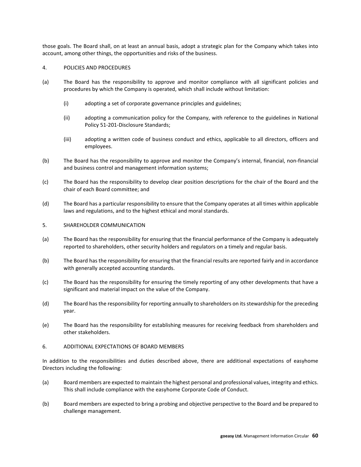those goals. The Board shall, on at least an annual basis, adopt a strategic plan for the Company which takes into account, among other things, the opportunities and risks of the business.

### 4. POLICIES AND PROCEDURES

- (a) The Board has the responsibility to approve and monitor compliance with all significant policies and procedures by which the Company is operated, which shall include without limitation:
	- (i) adopting a set of corporate governance principles and guidelines;
	- (ii) adopting a communication policy for the Company, with reference to the guidelines in National Policy 51-201-Disclosure Standards;
	- (iii) adopting a written code of business conduct and ethics, applicable to all directors, officers and employees.
- (b) The Board has the responsibility to approve and monitor the Company's internal, financial, non-financial and business control and management information systems;
- (c) The Board has the responsibility to develop clear position descriptions for the chair of the Board and the chair of each Board committee; and
- (d) The Board has a particular responsibility to ensure that the Company operates at all times within applicable laws and regulations, and to the highest ethical and moral standards.
- 5. SHAREHOLDER COMMUNICATION
- (a) The Board has the responsibility for ensuring that the financial performance of the Company is adequately reported to shareholders, other security holders and regulators on a timely and regular basis.
- (b) The Board has the responsibility for ensuring that the financial results are reported fairly and in accordance with generally accepted accounting standards.
- (c) The Board has the responsibility for ensuring the timely reporting of any other developments that have a significant and material impact on the value of the Company.
- (d) The Board has the responsibility for reporting annually to shareholders on its stewardship for the preceding year.
- (e) The Board has the responsibility for establishing measures for receiving feedback from shareholders and other stakeholders.
- 6. ADDITIONAL EXPECTATIONS OF BOARD MEMBERS

In addition to the responsibilities and duties described above, there are additional expectations of easyhome Directors including the following:

- (a) Board members are expected to maintain the highest personal and professional values, integrity and ethics. This shall include compliance with the easyhome Corporate Code of Conduct.
- (b) Board members are expected to bring a probing and objective perspective to the Board and be prepared to challenge management.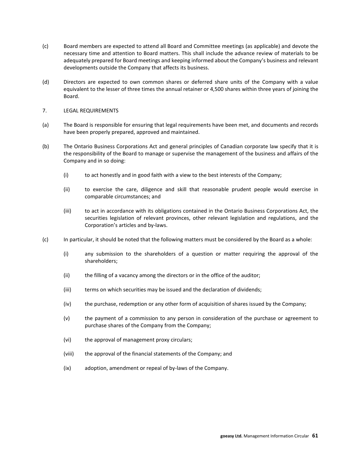- (c) Board members are expected to attend all Board and Committee meetings (as applicable) and devote the necessary time and attention to Board matters. This shall include the advance review of materials to be adequately prepared for Board meetings and keeping informed about the Company's business and relevant developments outside the Company that affects its business.
- (d) Directors are expected to own common shares or deferred share units of the Company with a value equivalent to the lesser of three times the annual retainer or 4,500 shares within three years of joining the Board.
- 7. LEGAL REQUIREMENTS
- (a) The Board is responsible for ensuring that legal requirements have been met, and documents and records have been properly prepared, approved and maintained.
- (b) The Ontario Business Corporations Act and general principles of Canadian corporate law specify that it is the responsibility of the Board to manage or supervise the management of the business and affairs of the Company and in so doing:
	- (i) to act honestly and in good faith with a view to the best interests of the Company;
	- (ii) to exercise the care, diligence and skill that reasonable prudent people would exercise in comparable circumstances; and
	- (iii) to act in accordance with its obligations contained in the Ontario Business Corporations Act, the securities legislation of relevant provinces, other relevant legislation and regulations, and the Corporation's articles and by-laws.
- (c) In particular, it should be noted that the following matters must be considered by the Board as a whole:
	- (i) any submission to the shareholders of a question or matter requiring the approval of the shareholders;
	- (ii) the filling of a vacancy among the directors or in the office of the auditor;
	- (iii) terms on which securities may be issued and the declaration of dividends;
	- (iv) the purchase, redemption or any other form of acquisition of shares issued by the Company;
	- (v) the payment of a commission to any person in consideration of the purchase or agreement to purchase shares of the Company from the Company;
	- (vi) the approval of management proxy circulars;
	- (viii) the approval of the financial statements of the Company; and
	- (ix) adoption, amendment or repeal of by-laws of the Company.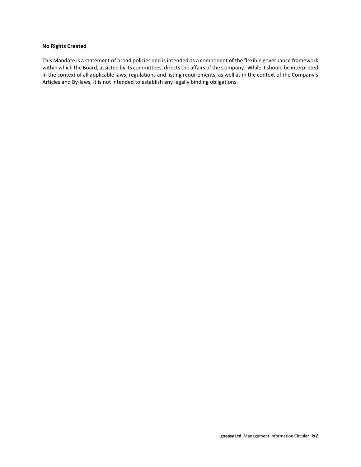### **No Rights Created**

This Mandate is a statement of broad policies and is intended as a component of the flexible governance framework within which the Board, assisted by its committees, directs the affairs of the Company. While it should be interpreted in the context of all applicable laws, regulations and listing requirements, as well as in the context of the Company's Articles and By-laws, it is not intended to establish any legally binding obligations.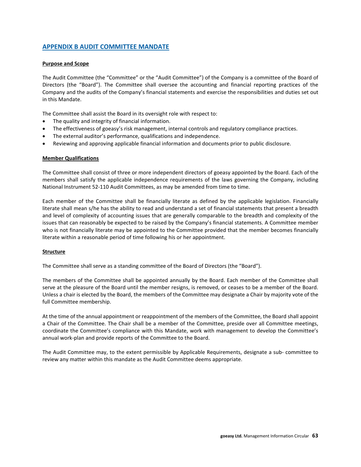# **APPENDIX B AUDIT COMMITTEE MANDATE**

### **Purpose and Scope**

The Audit Committee (the "Committee" or the "Audit Committee") of the Company is a committee of the Board of Directors (the "Board"). The Committee shall oversee the accounting and financial reporting practices of the Company and the audits of the Company's financial statements and exercise the responsibilities and duties set out in this Mandate.

The Committee shall assist the Board in its oversight role with respect to:

- The quality and integrity of financial information.
- The effectiveness of goeasy's risk management, internal controls and regulatory compliance practices.
- The external auditor's performance, qualifications and independence.
- Reviewing and approving applicable financial information and documents prior to public disclosure.

### **Member Qualifications**

The Committee shall consist of three or more independent directors of goeasy appointed by the Board. Each of the members shall satisfy the applicable independence requirements of the laws governing the Company, including National Instrument 52-110 Audit Committees, as may be amended from time to time.

Each member of the Committee shall be financially literate as defined by the applicable legislation. Financially literate shall mean s/he has the ability to read and understand a set of financial statements that present a breadth and level of complexity of accounting issues that are generally comparable to the breadth and complexity of the issues that can reasonably be expected to be raised by the Company's financial statements. A Committee member who is not financially literate may be appointed to the Committee provided that the member becomes financially literate within a reasonable period of time following his or her appointment.

### **Structure**

The Committee shall serve as a standing committee of the Board of Directors (the "Board").

The members of the Committee shall be appointed annually by the Board. Each member of the Committee shall serve at the pleasure of the Board until the member resigns, is removed, or ceases to be a member of the Board. Unless a chair is elected by the Board, the members of the Committee may designate a Chair by majority vote of the full Committee membership.

At the time of the annual appointment or reappointment of the members of the Committee, the Board shall appoint a Chair of the Committee. The Chair shall be a member of the Committee, preside over all Committee meetings, coordinate the Committee's compliance with this Mandate, work with management to develop the Committee's annual work-plan and provide reports of the Committee to the Board.

The Audit Committee may, to the extent permissible by Applicable Requirements, designate a sub- committee to review any matter within this mandate as the Audit Committee deems appropriate.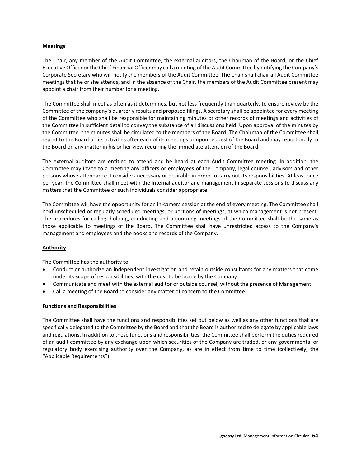### **Meetings**

The Chair, any member of the Audit Committee, the external auditors, the Chairman of the Board, or the Chief Executive Officer or the Chief Financial Officer may call a meeting of the Audit Committee by notifying the Company's Corporate Secretary who will notify the members of the Audit Committee. The Chair shall chair all Audit Committee meetings that he or she attends, and in the absence of the Chair, the members of the Audit Committee present may appoint a chair from their number for a meeting.

The Committee shall meet as often as it determines, but not less frequently than quarterly, to ensure review by the Committee of the company's quarterly results and proposed filings. A secretary shall be appointed for every meeting of the Committee who shall be responsible for maintaining minutes or other records of meetings and activities of the Committee in sufficient detail to convey the substance of all discussions held. Upon approval of the minutes by the Committee, the minutes shall be circulated to the members of the Board. The Chairman of the Committee shall report to the Board on its activities after each of its meetings or upon request of the Board and may report orally to the Board on any matter in his or her view requiring the immediate attention of the Board.

The external auditors are entitled to attend and be heard at each Audit Committee meeting. In addition, the Committee may invite to a meeting any officers or employees of the Company, legal counsel, advisors and other persons whose attendance it considers necessary or desirable in order to carry out its responsibilities. At least once per year, the Committee shall meet with the internal auditor and management in separate sessions to discuss any matters that the Committee or such individuals consider appropriate.

The Committee will have the opportunity for an in-camera session at the end of every meeting. The Committee shall hold unscheduled or regularly scheduled meetings, or portions of meetings, at which management is not present. The procedures for calling, holding, conducting and adjourning meetings of the Committee shall be the same as those applicable to meetings of the Board. The Committee shall have unrestricted access to the Company's management and employees and the books and records of the Company.

## **Authority**

The Committee has the authority to:

- Conduct or authorize an independent investigation and retain outside consultants for any matters that come under its scope of responsibilities, with the cost to be borne by the Company.
- Communicate and meet with the external auditor or outside counsel, without the presence of Management.
- Call a meeting of the Board to consider any matter of concern to the Committee

## **Functions and Responsibilities**

The Committee shall have the functions and responsibilities set out below as well as any other functions that are specifically delegated to the Committee by the Board and that the Board is authorized to delegate by applicable laws and regulations. In addition to these functions and responsibilities, the Committee shall perform the duties required of an audit committee by any exchange upon which securities of the Company are traded, or any governmental or regulatory body exercising authority over the Company, as are in effect from time to time (collectively, the "Applicable Requirements").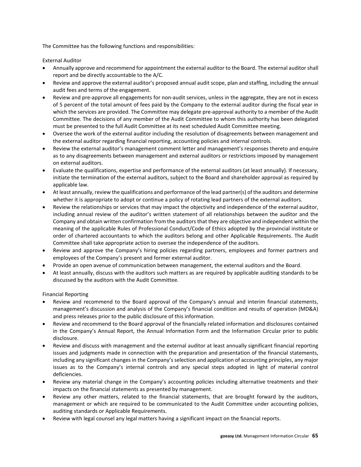The Committee has the following functions and responsibilities:

External Auditor

- Annually approve and recommend for appointment the external auditor to the Board. The external auditor shall report and be directly accountable to the A/C.
- Review and approve the external auditor's proposed annual audit scope, plan and staffing, including the annual audit fees and terms of the engagement.
- Review and pre-approve all engagements for non-audit services, unless in the aggregate, they are not in excess of 5 percent of the total amount of fees paid by the Company to the external auditor during the fiscal year in which the services are provided. The Committee may delegate pre-approval authority to a member of the Audit Committee. The decisions of any member of the Audit Committee to whom this authority has been delegated must be presented to the full Audit Committee at its next scheduled Audit Committee meeting.
- Oversee the work of the external auditor including the resolution of disagreements between management and the external auditor regarding financial reporting, accounting policies and internal controls.
- Review the external auditor's management comment letter and management's responses thereto and enquire as to any disagreements between management and external auditors or restrictions imposed by management on external auditors.
- Evaluate the qualifications, expertise and performance of the external auditors (at least annually). If necessary, initiate the termination of the external auditors, subject to the Board and shareholder approval as required by applicable law.
- At least annually, review the qualifications and performance of the lead partner(s) of the auditors and determine whether it is appropriate to adopt or continue a policy of rotating lead partners of the external auditors.
- Review the relationships or services that may impact the objectivity and independence of the external auditor, including annual review of the auditor's written statement of all relationships between the auditor and the Company and obtain written confirmation from the auditors that they are objective and independent within the meaning of the applicable Rules of Professional Conduct/Code of Ethics adopted by the provincial institute or order of chartered accountants to which the auditors belong and other Applicable Requirements. The Audit Committee shall take appropriate action to oversee the independence of the auditors.
- Review and approve the Company's hiring policies regarding partners, employees and former partners and employees of the Company's present and former external auditor.
- Provide an open avenue of communication between management, the external auditors and the Board.
- At least annually, discuss with the auditors such matters as are required by applicable auditing standards to be discussed by the auditors with the Audit Committee.

Financial Reporting

- Review and recommend to the Board approval of the Company's annual and interim financial statements, management's discussion and analysis of the Company's financial condition and results of operation (MD&A) and press releases prior to the public disclosure of this information.
- Review and recommend to the Board approval of the financially related information and disclosures contained in the Company's Annual Report, the Annual Information Form and the Information Circular prior to public disclosure.
- Review and discuss with management and the external auditor at least annually significant financial reporting issues and judgments made in connection with the preparation and presentation of the financial statements, including any significant changes in the Company's selection and application of accounting principles, any major issues as to the Company's internal controls and any special steps adopted in light of material control deficiencies.
- Review any material change in the Company's accounting policies including alternative treatments and their impacts on the financial statements as presented by management.
- Review any other matters, related to the financial statements, that are brought forward by the auditors, management or which are required to be communicated to the Audit Committee under accounting policies, auditing standards or Applicable Requirements.
- Review with legal counsel any legal matters having a significant impact on the financial reports.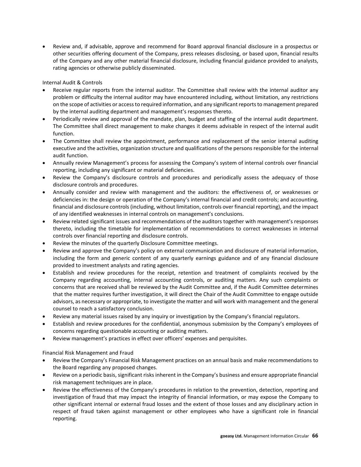• Review and, if advisable, approve and recommend for Board approval financial disclosure in a prospectus or other securities offering document of the Company, press releases disclosing, or based upon, financial results of the Company and any other material financial disclosure, including financial guidance provided to analysts, rating agencies or otherwise publicly disseminated.

Internal Audit & Controls

- Receive regular reports from the internal auditor. The Committee shall review with the internal auditor any problem or difficulty the internal auditor may have encountered including, without limitation, any restrictions on the scope of activities or access to required information, and any significant reports to management prepared by the internal auditing department and management's responses thereto.
- Periodically review and approval of the mandate, plan, budget and staffing of the internal audit department. The Committee shall direct management to make changes it deems advisable in respect of the internal audit function.
- The Committee shall review the appointment, performance and replacement of the senior internal auditing executive and the activities, organization structure and qualifications of the persons responsible for the internal audit function.
- Annually review Management's process for assessing the Company's system of internal controls over financial reporting, including any significant or material deficiencies.
- Review the Company's disclosure controls and procedures and periodically assess the adequacy of those disclosure controls and procedures.
- Annually consider and review with management and the auditors: the effectiveness of, or weaknesses or deficiencies in: the design or operation of the Company's internal financial and credit controls; and accounting, financial and disclosure controls (including, without limitation, controls over financial reporting), and the impact of any identified weaknesses in internal controls on management's conclusions.
- Review related significant issues and recommendations of the auditors together with management's responses thereto, including the timetable for implementation of recommendations to correct weaknesses in internal controls over financial reporting and disclosure controls.
- Review the minutes of the quarterly Disclosure Committee meetings.
- Review and approve the Company's policy on external communication and disclosure of material information, including the form and generic content of any quarterly earnings guidance and of any financial disclosure provided to investment analysts and rating agencies.
- Establish and review procedures for the receipt, retention and treatment of complaints received by the Company regarding accounting, internal accounting controls, or auditing matters. Any such complaints or concerns that are received shall be reviewed by the Audit Committee and, if the Audit Committee determines that the matter requires further investigation, it will direct the Chair of the Audit Committee to engage outside advisors, as necessary or appropriate, to investigate the matter and will work with management and the general counsel to reach a satisfactory conclusion.
- Review any material issues raised by any inquiry or investigation by the Company's financial regulators.
- Establish and review procedures for the confidential, anonymous submission by the Company's employees of concerns regarding questionable accounting or auditing matters.
- Review management's practices in effect over officers' expenses and perquisites.

Financial Risk Management and Fraud

- Review the Company's Financial Risk Management practices on an annual basis and make recommendations to the Board regarding any proposed changes.
- Review on a periodic basis, significant risks inherent in the Company's business and ensure appropriate financial risk management techniques are in place.
- Review the effectiveness of the Company's procedures in relation to the prevention, detection, reporting and investigation of fraud that may impact the integrity of financial information, or may expose the Company to other significant internal or external fraud losses and the extent of those losses and any disciplinary action in respect of fraud taken against management or other employees who have a significant role in financial reporting.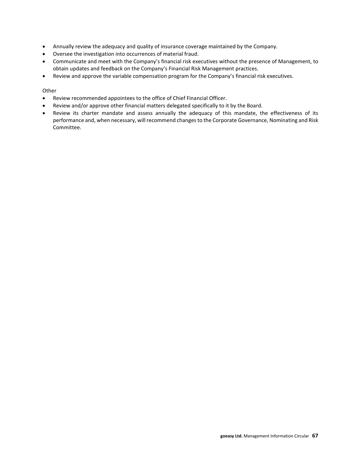- Annually review the adequacy and quality of insurance coverage maintained by the Company.
- Oversee the investigation into occurrences of material fraud.
- Communicate and meet with the Company's financial risk executives without the presence of Management, to obtain updates and feedback on the Company's Financial Risk Management practices.
- Review and approve the variable compensation program for the Company's financial risk executives.

### **Other**

- Review recommended appointees to the office of Chief Financial Officer.
- Review and/or approve other financial matters delegated specifically to it by the Board.
- Review its charter mandate and assess annually the adequacy of this mandate, the effectiveness of its performance and, when necessary, will recommend changes to the Corporate Governance, Nominating and Risk Committee.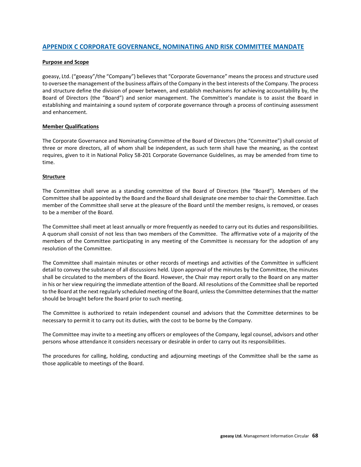# **APPENDIX C CORPORATE GOVERNANCE, NOMINATING AND RISK COMMITTEE MANDATE**

### **Purpose and Scope**

goeasy, Ltd. ("goeasy"/the "Company") believes that "Corporate Governance" means the process and structure used to oversee the management of the business affairs of the Company in the best interests of the Company. The process and structure define the division of power between, and establish mechanisms for achieving accountability by, the Board of Directors (the "Board") and senior management. The Committee's mandate is to assist the Board in establishing and maintaining a sound system of corporate governance through a process of continuing assessment and enhancement.

### **Member Qualifications**

The Corporate Governance and Nominating Committee of the Board of Directors (the "Committee") shall consist of three or more directors, all of whom shall be independent, as such term shall have the meaning, as the context requires, given to it in National Policy 58-201 Corporate Governance Guidelines, as may be amended from time to time.

### **Structure**

The Committee shall serve as a standing committee of the Board of Directors (the "Board"). Members of the Committee shall be appointed by the Board and the Board shall designate one member to chair the Committee. Each member of the Committee shall serve at the pleasure of the Board until the member resigns, is removed, or ceases to be a member of the Board.

The Committee shall meet at least annually or more frequently as needed to carry out its duties and responsibilities. A quorum shall consist of not less than two members of the Committee. The affirmative vote of a majority of the members of the Committee participating in any meeting of the Committee is necessary for the adoption of any resolution of the Committee.

The Committee shall maintain minutes or other records of meetings and activities of the Committee in sufficient detail to convey the substance of all discussions held. Upon approval of the minutes by the Committee, the minutes shall be circulated to the members of the Board. However, the Chair may report orally to the Board on any matter in his or her view requiring the immediate attention of the Board. All resolutions of the Committee shall be reported to the Board at the next regularly scheduled meeting of the Board, unless the Committee determines that the matter should be brought before the Board prior to such meeting.

The Committee is authorized to retain independent counsel and advisors that the Committee determines to be necessary to permit it to carry out its duties, with the cost to be borne by the Company.

The Committee may invite to a meeting any officers or employees of the Company, legal counsel, advisors and other persons whose attendance it considers necessary or desirable in order to carry out its responsibilities.

The procedures for calling, holding, conducting and adjourning meetings of the Committee shall be the same as those applicable to meetings of the Board.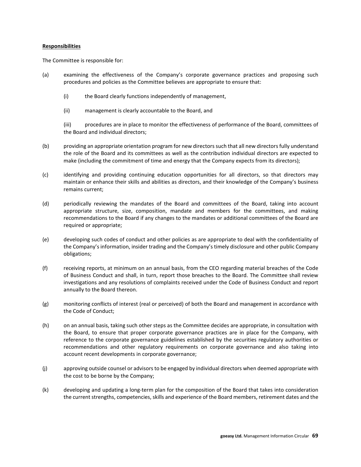### **Responsibilities**

The Committee is responsible for:

- (a) examining the effectiveness of the Company's corporate governance practices and proposing such procedures and policies as the Committee believes are appropriate to ensure that:
	- (i) the Board clearly functions independently of management,
	- (ii) management is clearly accountable to the Board, and

(iii) procedures are in place to monitor the effectiveness of performance of the Board, committees of the Board and individual directors;

- (b) providing an appropriate orientation program for new directors such that all new directors fully understand the role of the Board and its committees as well as the contribution individual directors are expected to make (including the commitment of time and energy that the Company expects from its directors);
- (c) identifying and providing continuing education opportunities for all directors, so that directors may maintain or enhance their skills and abilities as directors, and their knowledge of the Company's business remains current;
- (d) periodically reviewing the mandates of the Board and committees of the Board, taking into account appropriate structure, size, composition, mandate and members for the committees, and making recommendations to the Board if any changes to the mandates or additional committees of the Board are required or appropriate;
- (e) developing such codes of conduct and other policies as are appropriate to deal with the confidentiality of the Company's information, insider trading and the Company's timely disclosure and other public Company obligations;
- (f) receiving reports, at minimum on an annual basis, from the CEO regarding material breaches of the Code of Business Conduct and shall, in turn, report those breaches to the Board. The Committee shall review investigations and any resolutions of complaints received under the Code of Business Conduct and report annually to the Board thereon.
- (g) monitoring conflicts of interest (real or perceived) of both the Board and management in accordance with the Code of Conduct;
- (h) on an annual basis, taking such other steps as the Committee decides are appropriate, in consultation with the Board, to ensure that proper corporate governance practices are in place for the Company, with reference to the corporate governance guidelines established by the securities regulatory authorities or recommendations and other regulatory requirements on corporate governance and also taking into account recent developments in corporate governance;
- (j) approving outside counsel or advisors to be engaged by individual directors when deemed appropriate with the cost to be borne by the Company;
- (k) developing and updating a long-term plan for the composition of the Board that takes into consideration the current strengths, competencies, skills and experience of the Board members, retirement dates and the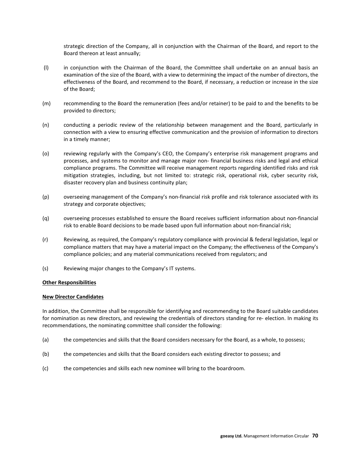strategic direction of the Company, all in conjunction with the Chairman of the Board, and report to the Board thereon at least annually;

- (l) in conjunction with the Chairman of the Board, the Committee shall undertake on an annual basis an examination of the size of the Board, with a view to determining the impact of the number of directors, the effectiveness of the Board, and recommend to the Board, if necessary, a reduction or increase in the size of the Board;
- (m) recommending to the Board the remuneration (fees and/or retainer) to be paid to and the benefits to be provided to directors;
- (n) conducting a periodic review of the relationship between management and the Board, particularly in connection with a view to ensuring effective communication and the provision of information to directors in a timely manner;
- (o) reviewing regularly with the Company's CEO, the Company's enterprise risk management programs and processes, and systems to monitor and manage major non- financial business risks and legal and ethical compliance programs. The Committee will receive management reports regarding identified risks and risk mitigation strategies, including, but not limited to: strategic risk, operational risk, cyber security risk, disaster recovery plan and business continuity plan;
- (p) overseeing management of the Company's non-financial risk profile and risk tolerance associated with its strategy and corporate objectives;
- (q) overseeing processes established to ensure the Board receives sufficient information about non-financial risk to enable Board decisions to be made based upon full information about non-financial risk;
- (r) Reviewing, as required, the Company's regulatory compliance with provincial & federal legislation, legal or compliance matters that may have a material impact on the Company; the effectiveness of the Company's compliance policies; and any material communications received from regulators; and
- (s) Reviewing major changes to the Company's IT systems.

### **Other Responsibilities**

### **New Director Candidates**

In addition, the Committee shall be responsible for identifying and recommending to the Board suitable candidates for nomination as new directors, and reviewing the credentials of directors standing for re- election. In making its recommendations, the nominating committee shall consider the following:

- (a) the competencies and skills that the Board considers necessary for the Board, as a whole, to possess;
- (b) the competencies and skills that the Board considers each existing director to possess; and
- (c) the competencies and skills each new nominee will bring to the boardroom.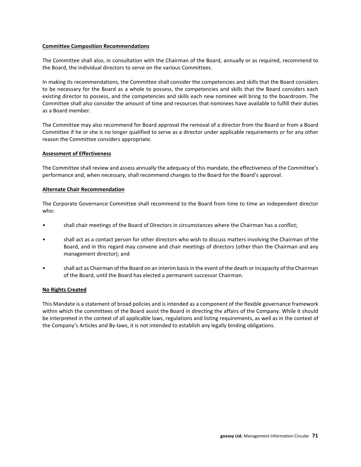### **Committee Composition Recommendations**

The Committee shall also, in consultation with the Chairman of the Board, annually or as required, recommend to the Board, the individual directors to serve on the various Committees.

In making its recommendations, the Committee shall consider the competencies and skills that the Board considers to be necessary for the Board as a whole to possess, the competencies and skills that the Board considers each existing director to possess, and the competencies and skills each new nominee will bring to the boardroom. The Committee shall also consider the amount of time and resources that nominees have available to fulfill their duties as a Board member.

The Committee may also recommend for Board approval the removal of a director from the Board or from a Board Committee if he or she is no longer qualified to serve as a director under applicable requirements or for any other reason the Committee considers appropriate.

### **Assessment of Effectiveness**

The Committee shall review and assess annually the adequacy of this mandate, the effectiveness of the Committee's performance and, when necessary, shall recommend changes to the Board for the Board's approval.

### **Alternate Chair Recommendation**

The Corporate Governance Committee shall recommend to the Board from time to time an independent director who:

- shall chair meetings of the Board of Directors in circumstances where the Chairman has a conflict;
- shall act as a contact person for other directors who wish to discuss matters involving the Chairman of the Board, and in this regard may convene and chair meetings of directors (other than the Chairman and any management director); and
- shall act as Chairman of the Board on an interim basis in the event of the death or incapacity of the Chairman of the Board, until the Board has elected a permanent successor Chairman.

## **No Rights Created**

This Mandate is a statement of broad policies and is intended as a component of the flexible governance framework within which the committees of the Board assist the Board in directing the affairs of the Company. While it should be interpreted in the context of all applicable laws, regulations and listing requirements, as well as in the context of the Company's Articles and By-laws, it is not intended to establish any legally binding obligations.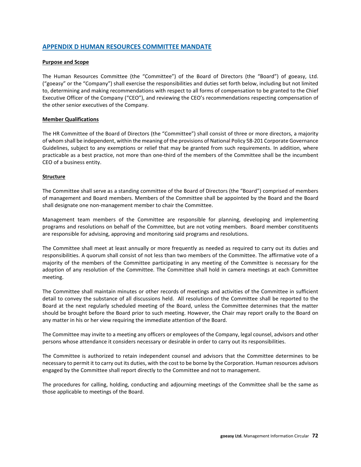# **APPENDIX D HUMAN RESOURCES COMMITTEE MANDATE**

# **Purpose and Scope**

The Human Resources Committee (the "Committee") of the Board of Directors (the "Board") of goeasy, Ltd. ("goeasy" or the "Company") shall exercise the responsibilities and duties set forth below, including but not limited to, determining and making recommendations with respect to all forms of compensation to be granted to the Chief Executive Officer of the Company ("CEO"), and reviewing the CEO's recommendations respecting compensation of the other senior executives of the Company.

### **Member Qualifications**

The HR Committee of the Board of Directors (the "Committee") shall consist of three or more directors, a majority of whom shall be independent, within the meaning of the provisions of National Policy 58-201 Corporate Governance Guidelines, subject to any exemptions or relief that may be granted from such requirements. In addition, where practicable as a best practice, not more than one-third of the members of the Committee shall be the incumbent CEO of a business entity.

## **Structure**

The Committee shall serve as a standing committee of the Board of Directors (the "Board") comprised of members of management and Board members. Members of the Committee shall be appointed by the Board and the Board shall designate one non-management member to chair the Committee.

Management team members of the Committee are responsible for planning, developing and implementing programs and resolutions on behalf of the Committee, but are not voting members. Board member constituents are responsible for advising, approving and monitoring said programs and resolutions.

The Committee shall meet at least annually or more frequently as needed as required to carry out its duties and responsibilities. A quorum shall consist of not less than two members of the Committee. The affirmative vote of a majority of the members of the Committee participating in any meeting of the Committee is necessary for the adoption of any resolution of the Committee. The Committee shall hold in camera meetings at each Committee meeting.

The Committee shall maintain minutes or other records of meetings and activities of the Committee in sufficient detail to convey the substance of all discussions held. All resolutions of the Committee shall be reported to the Board at the next regularly scheduled meeting of the Board, unless the Committee determines that the matter should be brought before the Board prior to such meeting. However, the Chair may report orally to the Board on any matter in his or her view requiring the immediate attention of the Board.

The Committee may invite to a meeting any officers or employees of the Company, legal counsel, advisors and other persons whose attendance it considers necessary or desirable in order to carry out its responsibilities.

The Committee is authorized to retain independent counsel and advisors that the Committee determines to be necessary to permit it to carry out its duties, with the cost to be borne by the Corporation. Human resources advisors engaged by the Committee shall report directly to the Committee and not to management.

The procedures for calling, holding, conducting and adjourning meetings of the Committee shall be the same as those applicable to meetings of the Board.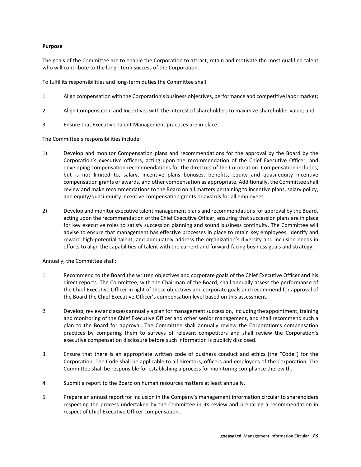### **Purpose**

The goals of the Committee are to enable the Corporation to attract, retain and motivate the most qualified talent who will contribute to the long - term success of the Corporation.

To fulfil its responsibilities and long-term duties the Committee shall:

- 1. Align compensation with the Corporation's business objectives, performance and competitive labor market;
- 2. Align Compensation and Incentives with the interest of shareholders to maximize shareholder value; and
- 3. Ensure that Executive Talent Management practices are in place.

The Committee's responsibilities include:

- 1) Develop and monitor Compensation plans and recommendations for the approval by the Board by the Corporation's executive officers, acting upon the recommendation of the Chief Executive Officer, and developing compensation recommendations for the directors of the Corporation. Compensation includes, but is not limited to, salary, incentive plans bonuses, benefits, equity and quasi-equity incentive compensation grants or awards, and other compensation as appropriate. Additionally, the Committee shall review and make recommendations to the Board on all matters pertaining to incentive plans, salary policy, and equity/quasi-equity incentive compensation grants or awards for all employees.
- 2) Develop and monitor executive talent management plans and recommendations for approval by the Board, acting upon the recommendation of the Chief Executive Officer, ensuring that succession plans are in place for key executive roles to satisfy succession planning and sound business continuity. The Committee will advise to ensure that management has effective processes in place to retain key employees, identify and reward high-potential talent, and adequately address the organization's diversity and inclusion needs in efforts to align the capabilities of talent with the current and forward-facing business goals and strategy.

Annually, the Committee shall:

- 1. Recommend to the Board the written objectives and corporate goals of the Chief Executive Officer and his direct reports. The Committee, with the Chairman of the Board, shall annually assess the performance of the Chief Executive Officer in light of these objectives and corporate goals and recommend for approval of the Board the Chief Executive Officer's compensation level based on this assessment.
- 2. Develop, review and assess annually a plan for management succession, including the appointment, training and monitoring of the Chief Executive Officer and other senior management, and shall recommend such a plan to the Board for approval. The Committee shall annually review the Corporation's compensation practices by comparing them to surveys of relevant competitors and shall review the Corporation's executive compensation disclosure before such information is publicly disclosed.
- 3. Ensure that there is an appropriate written code of business conduct and ethics (the "Code") for the Corporation. The Code shall be applicable to all directors, officers and employees of the Corporation. The Committee shall be responsible for establishing a process for monitoring compliance therewith.
- 4. Submit a report to the Board on human resources matters at least annually.
- 5. Prepare an annual report for inclusion in the Company's management information circular to shareholders respecting the process undertaken by the Committee in its review and preparing a recommendation in respect of Chief Executive Officer compensation.